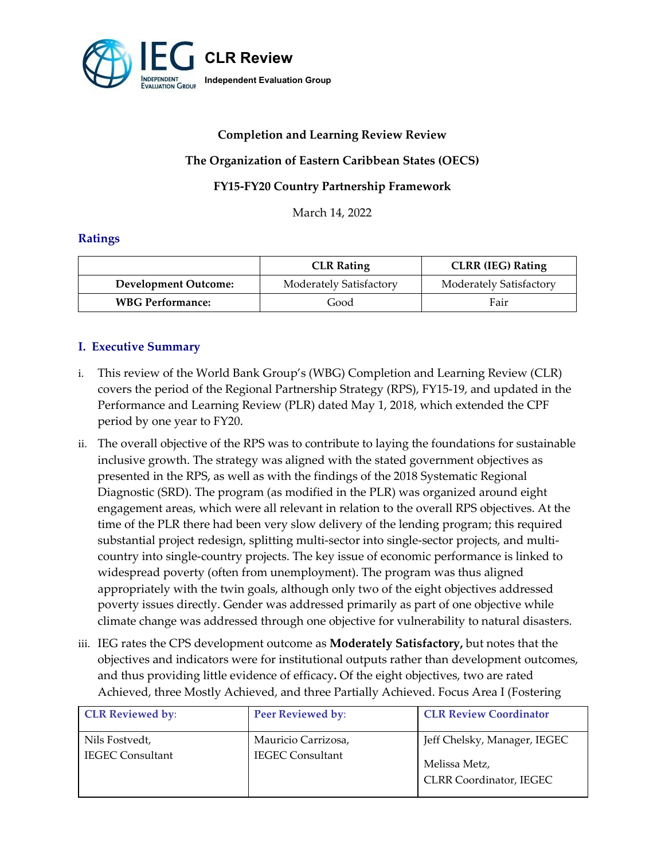

# **Completion and Learning Review Review**

### **The Organization of Eastern Caribbean States (OECS)**

### **FY15-FY20 Country Partnership Framework**

March 14, 2022

### **Ratings**

|                             | <b>CLR Rating</b>       | <b>CLRR</b> (IEG) Rating |
|-----------------------------|-------------------------|--------------------------|
| <b>Development Outcome:</b> | Moderately Satisfactory | Moderately Satisfactory  |
| <b>WBG Performance:</b>     | Good                    | Fair                     |

## **I. Executive Summary**

- i. This review of the World Bank Group's (WBG) Completion and Learning Review (CLR) covers the period of the Regional Partnership Strategy (RPS), FY15-19, and updated in the Performance and Learning Review (PLR) dated May 1, 2018, which extended the CPF period by one year to FY20.
- ii. The overall objective of the RPS was to contribute to laying the foundations for sustainable inclusive growth. The strategy was aligned with the stated government objectives as presented in the RPS, as well as with the findings of the 2018 Systematic Regional Diagnostic (SRD). The program (as modified in the PLR) was organized around eight engagement areas, which were all relevant in relation to the overall RPS objectives. At the time of the PLR there had been very slow delivery of the lending program; this required substantial project redesign, splitting multi-sector into single-sector projects, and multicountry into single-country projects. The key issue of economic performance is linked to widespread poverty (often from unemployment). The program was thus aligned appropriately with the twin goals, although only two of the eight objectives addressed poverty issues directly. Gender was addressed primarily as part of one objective while climate change was addressed through one objective for vulnerability to natural disasters.
- iii. IEG rates the CPS development outcome as **Moderately Satisfactory,** but notes that the objectives and indicators were for institutional outputs rather than development outcomes, and thus providing little evidence of efficacy**.** Of the eight objectives, two are rated Achieved, three Mostly Achieved, and three Partially Achieved. Focus Area I (Fostering

| <b>CLR Reviewed by:</b>                   | Peer Reviewed by:                              | <b>CLR Review Coordinator</b>                                                   |
|-------------------------------------------|------------------------------------------------|---------------------------------------------------------------------------------|
| Nils Fostvedt,<br><b>IEGEC Consultant</b> | Mauricio Carrizosa,<br><b>IEGEC Consultant</b> | Jeff Chelsky, Manager, IEGEC<br>Melissa Metz,<br><b>CLRR Coordinator, IEGEC</b> |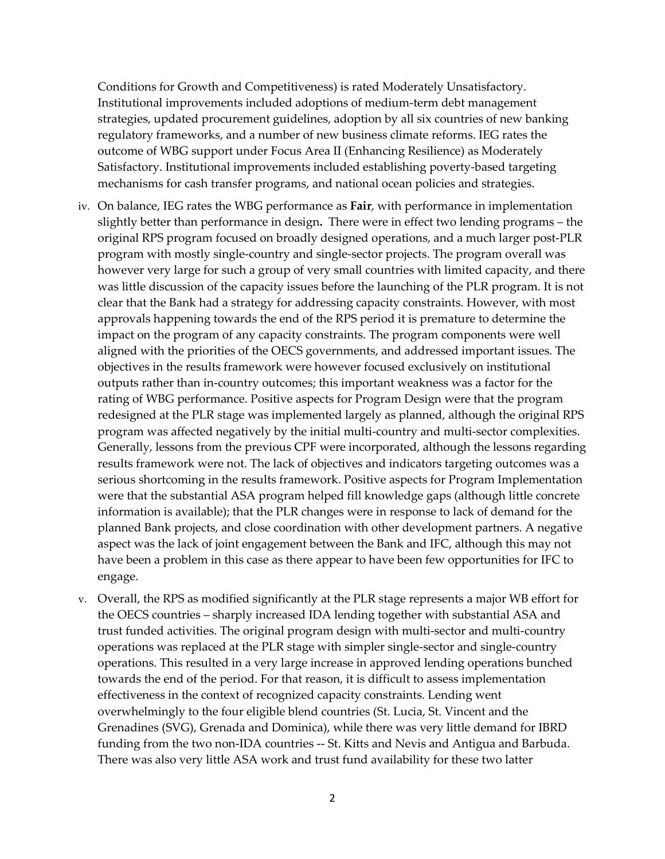Conditions for Growth and Competitiveness) is rated Moderately Unsatisfactory. Institutional improvements included adoptions of medium-term debt management strategies, updated procurement guidelines, adoption by all six countries of new banking regulatory frameworks, and a number of new business climate reforms. IEG rates the outcome of WBG support under Focus Area II (Enhancing Resilience) as Moderately Satisfactory. Institutional improvements included establishing poverty-based targeting mechanisms for cash transfer programs, and national ocean policies and strategies.

- iv. On balance, IEG rates the WBG performance as **Fair**, with performance in implementation slightly better than performance in design**.** There were in effect two lending programs – the original RPS program focused on broadly designed operations, and a much larger post-PLR program with mostly single-country and single-sector projects. The program overall was however very large for such a group of very small countries with limited capacity, and there was little discussion of the capacity issues before the launching of the PLR program. It is not clear that the Bank had a strategy for addressing capacity constraints. However, with most approvals happening towards the end of the RPS period it is premature to determine the impact on the program of any capacity constraints. The program components were well aligned with the priorities of the OECS governments, and addressed important issues. The objectives in the results framework were however focused exclusively on institutional outputs rather than in-country outcomes; this important weakness was a factor for the rating of WBG performance. Positive aspects for Program Design were that the program redesigned at the PLR stage was implemented largely as planned, although the original RPS program was affected negatively by the initial multi-country and multi-sector complexities. Generally, lessons from the previous CPF were incorporated, although the lessons regarding results framework were not. The lack of objectives and indicators targeting outcomes was a serious shortcoming in the results framework. Positive aspects for Program Implementation were that the substantial ASA program helped fill knowledge gaps (although little concrete information is available); that the PLR changes were in response to lack of demand for the planned Bank projects, and close coordination with other development partners. A negative aspect was the lack of joint engagement between the Bank and IFC, although this may not have been a problem in this case as there appear to have been few opportunities for IFC to engage.
- v. Overall, the RPS as modified significantly at the PLR stage represents a major WB effort for the OECS countries – sharply increased IDA lending together with substantial ASA and trust funded activities. The original program design with multi-sector and multi-country operations was replaced at the PLR stage with simpler single-sector and single-country operations. This resulted in a very large increase in approved lending operations bunched towards the end of the period. For that reason, it is difficult to assess implementation effectiveness in the context of recognized capacity constraints. Lending went overwhelmingly to the four eligible blend countries (St. Lucia, St. Vincent and the Grenadines (SVG), Grenada and Dominica), while there was very little demand for IBRD funding from the two non-IDA countries -- St. Kitts and Nevis and Antigua and Barbuda. There was also very little ASA work and trust fund availability for these two latter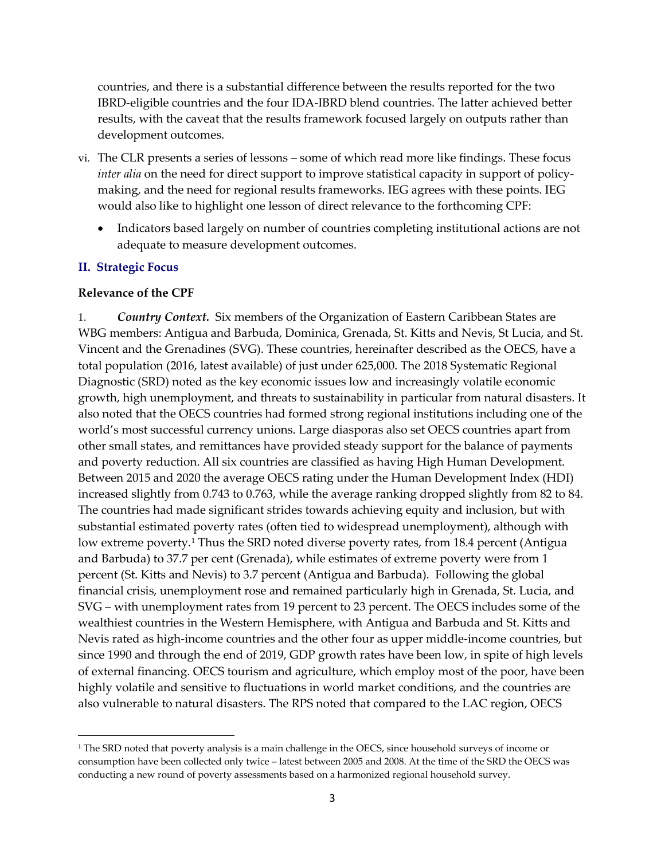countries, and there is a substantial difference between the results reported for the two IBRD-eligible countries and the four IDA-IBRD blend countries. The latter achieved better results, with the caveat that the results framework focused largely on outputs rather than development outcomes.

- vi. The CLR presents a series of lessons some of which read more like findings. These focus *inter alia* on the need for direct support to improve statistical capacity in support of policymaking, and the need for regional results frameworks. IEG agrees with these points. IEG would also like to highlight one lesson of direct relevance to the forthcoming CPF:
	- Indicators based largely on number of countries completing institutional actions are not adequate to measure development outcomes.

#### **II. Strategic Focus**

#### **Relevance of the CPF**

1. *Country Context.* Six members of the Organization of Eastern Caribbean States are WBG members: Antigua and Barbuda, Dominica, Grenada, St. Kitts and Nevis, St Lucia, and St. Vincent and the Grenadines (SVG). These countries, hereinafter described as the OECS, have a total population (2016, latest available) of just under 625,000. The 2018 Systematic Regional Diagnostic (SRD) noted as the key economic issues low and increasingly volatile economic growth, high unemployment, and threats to sustainability in particular from natural disasters. It also noted that the OECS countries had formed strong regional institutions including one of the world's most successful currency unions. Large diasporas also set OECS countries apart from other small states, and remittances have provided steady support for the balance of payments and poverty reduction. All six countries are classified as having High Human Development. Between 2015 and 2020 the average OECS rating under the Human Development Index (HDI) increased slightly from 0.743 to 0.763, while the average ranking dropped slightly from 82 to 84. The countries had made significant strides towards achieving equity and inclusion, but with substantial estimated poverty rates (often tied to widespread unemployment), although with low extreme poverty.<sup>1</sup> Thus the SRD noted diverse poverty rates, from 18.4 percent (Antigua and Barbuda) to 37.7 per cent (Grenada), while estimates of extreme poverty were from 1 percent (St. Kitts and Nevis) to 3.7 percent (Antigua and Barbuda). Following the global financial crisis, unemployment rose and remained particularly high in Grenada, St. Lucia, and SVG – with unemployment rates from 19 percent to 23 percent. The OECS includes some of the wealthiest countries in the Western Hemisphere, with Antigua and Barbuda and St. Kitts and Nevis rated as high-income countries and the other four as upper middle-income countries, but since 1990 and through the end of 2019, GDP growth rates have been low, in spite of high levels of external financing. OECS tourism and agriculture, which employ most of the poor, have been highly volatile and sensitive to fluctuations in world market conditions, and the countries are also vulnerable to natural disasters. The RPS noted that compared to the LAC region, OECS

<span id="page-2-0"></span><sup>&</sup>lt;sup>1</sup> The SRD noted that poverty analysis is a main challenge in the OECS, since household surveys of income or consumption have been collected only twice – latest between 2005 and 2008. At the time of the SRD the OECS was conducting a new round of poverty assessments based on a harmonized regional household survey.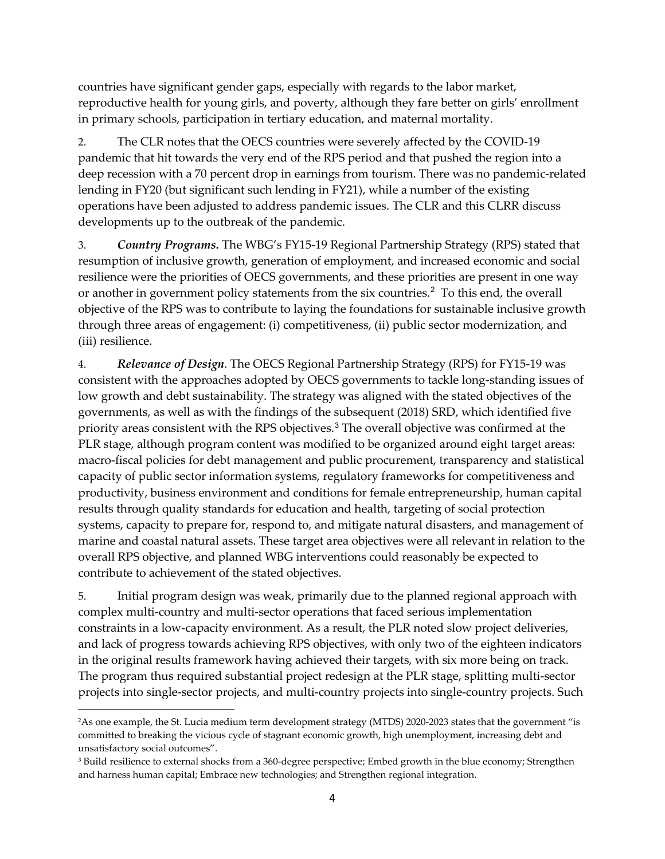countries have significant gender gaps, especially with regards to the labor market, reproductive health for young girls, and poverty, although they fare better on girls' enrollment in primary schools, participation in tertiary education, and maternal mortality.

2. The CLR notes that the OECS countries were severely affected by the COVID-19 pandemic that hit towards the very end of the RPS period and that pushed the region into a deep recession with a 70 percent drop in earnings from tourism. There was no pandemic-related lending in FY20 (but significant such lending in FY21), while a number of the existing operations have been adjusted to address pandemic issues. The CLR and this CLRR discuss developments up to the outbreak of the pandemic.

3. *Country Programs.* The WBG's FY15-19 Regional Partnership Strategy (RPS) stated that resumption of inclusive growth, generation of employment, and increased economic and social resilience were the priorities of OECS governments, and these priorities are present in one way or another in government policy statements from the six countries.<sup>[2](#page-3-0)</sup> To this end, the overall objective of the RPS was to contribute to laying the foundations for sustainable inclusive growth through three areas of engagement: (i) competitiveness, (ii) public sector modernization, and (iii) resilience.

4. *Relevance of Design*. The OECS Regional Partnership Strategy (RPS) for FY15-19 was consistent with the approaches adopted by OECS governments to tackle long-standing issues of low growth and debt sustainability. The strategy was aligned with the stated objectives of the governments, as well as with the findings of the subsequent (2018) SRD, which identified five priority areas consistent with the RPS objectives.[3](#page-3-1) The overall objective was confirmed at the PLR stage, although program content was modified to be organized around eight target areas: macro-fiscal policies for debt management and public procurement, transparency and statistical capacity of public sector information systems, regulatory frameworks for competitiveness and productivity, business environment and conditions for female entrepreneurship, human capital results through quality standards for education and health, targeting of social protection systems, capacity to prepare for, respond to, and mitigate natural disasters, and management of marine and coastal natural assets. These target area objectives were all relevant in relation to the overall RPS objective, and planned WBG interventions could reasonably be expected to contribute to achievement of the stated objectives.

5. Initial program design was weak, primarily due to the planned regional approach with complex multi-country and multi-sector operations that faced serious implementation constraints in a low-capacity environment. As a result, the PLR noted slow project deliveries, and lack of progress towards achieving RPS objectives, with only two of the eighteen indicators in the original results framework having achieved their targets, with six more being on track. The program thus required substantial project redesign at the PLR stage, splitting multi-sector projects into single-sector projects, and multi-country projects into single-country projects. Such

<span id="page-3-0"></span><sup>2</sup>As one example, the St. Lucia medium term development strategy (MTDS) 2020-2023 states that the government "is committed to breaking the vicious cycle of stagnant economic growth, high unemployment, increasing debt and

<span id="page-3-1"></span>unsatisfactory social outcomes".<br><sup>3</sup> Build resilience to external shocks from a 360-degree perspective; Embed growth in the blue economy; Strengthen and harness human capital; Embrace new technologies; and Strengthen regional integration.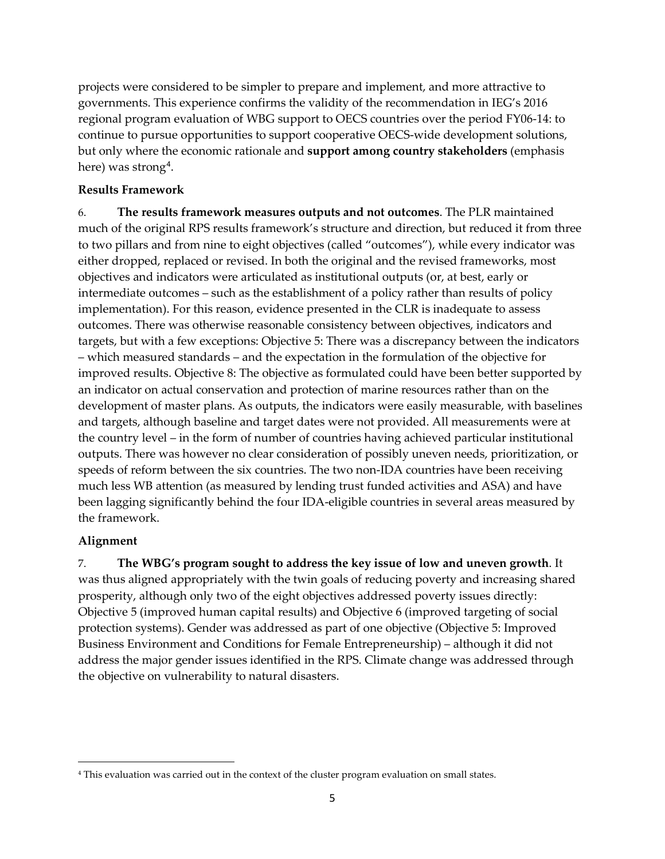projects were considered to be simpler to prepare and implement, and more attractive to governments. This experience confirms the validity of the recommendation in IEG's 2016 regional program evaluation of WBG support to OECS countries over the period FY06-14: to continue to pursue opportunities to support cooperative OECS-wide development solutions, but only where the economic rationale and **support among country stakeholders** (emphasis here) was strong<sup>[4](#page-4-0)</sup>.

### **Results Framework**

6. **The results framework measures outputs and not outcomes**. The PLR maintained much of the original RPS results framework's structure and direction, but reduced it from three to two pillars and from nine to eight objectives (called "outcomes"), while every indicator was either dropped, replaced or revised. In both the original and the revised frameworks, most objectives and indicators were articulated as institutional outputs (or, at best, early or intermediate outcomes – such as the establishment of a policy rather than results of policy implementation). For this reason, evidence presented in the CLR is inadequate to assess outcomes. There was otherwise reasonable consistency between objectives, indicators and targets, but with a few exceptions: Objective 5: There was a discrepancy between the indicators – which measured standards – and the expectation in the formulation of the objective for improved results. Objective 8: The objective as formulated could have been better supported by an indicator on actual conservation and protection of marine resources rather than on the development of master plans. As outputs, the indicators were easily measurable, with baselines and targets, although baseline and target dates were not provided. All measurements were at the country level – in the form of number of countries having achieved particular institutional outputs. There was however no clear consideration of possibly uneven needs, prioritization, or speeds of reform between the six countries. The two non-IDA countries have been receiving much less WB attention (as measured by lending trust funded activities and ASA) and have been lagging significantly behind the four IDA-eligible countries in several areas measured by the framework.

### **Alignment**

7. **The WBG's program sought to address the key issue of low and uneven growth**. It was thus aligned appropriately with the twin goals of reducing poverty and increasing shared prosperity, although only two of the eight objectives addressed poverty issues directly: Objective 5 (improved human capital results) and Objective 6 (improved targeting of social protection systems). Gender was addressed as part of one objective (Objective 5: Improved Business Environment and Conditions for Female Entrepreneurship) – although it did not address the major gender issues identified in the RPS. Climate change was addressed through the objective on vulnerability to natural disasters.

<span id="page-4-0"></span><sup>4</sup> This evaluation was carried out in the context of the cluster program evaluation on small states.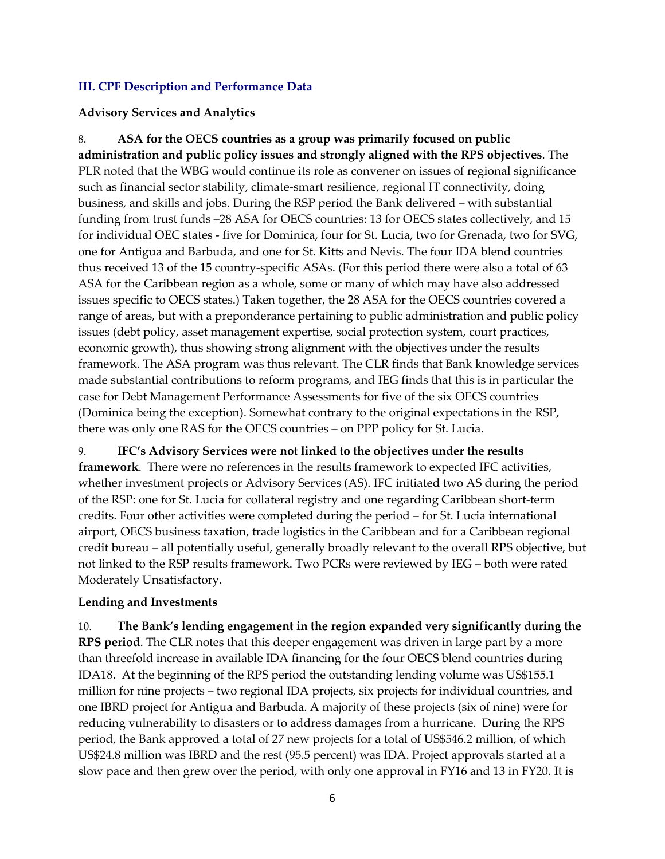## **III. CPF Description and Performance Data**

## **Advisory Services and Analytics**

8. **ASA for the OECS countries as a group was primarily focused on public administration and public policy issues and strongly aligned with the RPS objectives**. The PLR noted that the WBG would continue its role as convener on issues of regional significance such as financial sector stability, climate-smart resilience, regional IT connectivity, doing business, and skills and jobs. During the RSP period the Bank delivered – with substantial funding from trust funds –28 ASA for OECS countries: 13 for OECS states collectively, and 15 for individual OEC states - five for Dominica, four for St. Lucia, two for Grenada, two for SVG, one for Antigua and Barbuda, and one for St. Kitts and Nevis. The four IDA blend countries thus received 13 of the 15 country-specific ASAs. (For this period there were also a total of 63 ASA for the Caribbean region as a whole, some or many of which may have also addressed issues specific to OECS states.) Taken together, the 28 ASA for the OECS countries covered a range of areas, but with a preponderance pertaining to public administration and public policy issues (debt policy, asset management expertise, social protection system, court practices, economic growth), thus showing strong alignment with the objectives under the results framework. The ASA program was thus relevant. The CLR finds that Bank knowledge services made substantial contributions to reform programs, and IEG finds that this is in particular the case for Debt Management Performance Assessments for five of the six OECS countries (Dominica being the exception). Somewhat contrary to the original expectations in the RSP, there was only one RAS for the OECS countries – on PPP policy for St. Lucia.

9. **IFC's Advisory Services were not linked to the objectives under the results framework**. There were no references in the results framework to expected IFC activities, whether investment projects or Advisory Services (AS). IFC initiated two AS during the period of the RSP: one for St. Lucia for collateral registry and one regarding Caribbean short-term credits. Four other activities were completed during the period – for St. Lucia international airport, OECS business taxation, trade logistics in the Caribbean and for a Caribbean regional credit bureau – all potentially useful, generally broadly relevant to the overall RPS objective, but not linked to the RSP results framework. Two PCRs were reviewed by IEG – both were rated Moderately Unsatisfactory.

### **Lending and Investments**

10. **The Bank's lending engagement in the region expanded very significantly during the RPS period**. The CLR notes that this deeper engagement was driven in large part by a more than threefold increase in available IDA financing for the four OECS blend countries during IDA18. At the beginning of the RPS period the outstanding lending volume was US\$155.1 million for nine projects – two regional IDA projects, six projects for individual countries, and one IBRD project for Antigua and Barbuda. A majority of these projects (six of nine) were for reducing vulnerability to disasters or to address damages from a hurricane. During the RPS period, the Bank approved a total of 27 new projects for a total of US\$546.2 million, of which US\$24.8 million was IBRD and the rest (95.5 percent) was IDA. Project approvals started at a slow pace and then grew over the period, with only one approval in FY16 and 13 in FY20. It is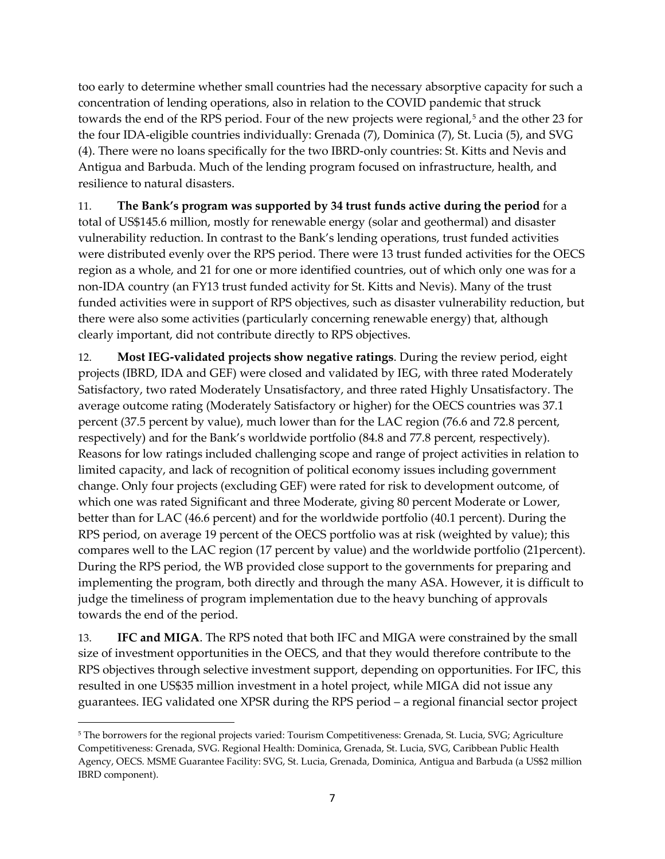too early to determine whether small countries had the necessary absorptive capacity for such a concentration of lending operations, also in relation to the COVID pandemic that struck towards the end of the RPS period. Four of the new projects were regional,<sup>[5](#page-6-0)</sup> and the other 23 for the four IDA-eligible countries individually: Grenada (7), Dominica (7), St. Lucia (5), and SVG (4). There were no loans specifically for the two IBRD-only countries: St. Kitts and Nevis and Antigua and Barbuda. Much of the lending program focused on infrastructure, health, and resilience to natural disasters.

11. **The Bank's program was supported by 34 trust funds active during the period** for a total of US\$145.6 million, mostly for renewable energy (solar and geothermal) and disaster vulnerability reduction. In contrast to the Bank's lending operations, trust funded activities were distributed evenly over the RPS period. There were 13 trust funded activities for the OECS region as a whole, and 21 for one or more identified countries, out of which only one was for a non-IDA country (an FY13 trust funded activity for St. Kitts and Nevis). Many of the trust funded activities were in support of RPS objectives, such as disaster vulnerability reduction, but there were also some activities (particularly concerning renewable energy) that, although clearly important, did not contribute directly to RPS objectives.

12. **Most IEG-validated projects show negative ratings**. During the review period, eight projects (IBRD, IDA and GEF) were closed and validated by IEG, with three rated Moderately Satisfactory, two rated Moderately Unsatisfactory, and three rated Highly Unsatisfactory. The average outcome rating (Moderately Satisfactory or higher) for the OECS countries was 37.1 percent (37.5 percent by value), much lower than for the LAC region (76.6 and 72.8 percent, respectively) and for the Bank's worldwide portfolio (84.8 and 77.8 percent, respectively). Reasons for low ratings included challenging scope and range of project activities in relation to limited capacity, and lack of recognition of political economy issues including government change. Only four projects (excluding GEF) were rated for risk to development outcome, of which one was rated Significant and three Moderate, giving 80 percent Moderate or Lower, better than for LAC (46.6 percent) and for the worldwide portfolio (40.1 percent). During the RPS period, on average 19 percent of the OECS portfolio was at risk (weighted by value); this compares well to the LAC region (17 percent by value) and the worldwide portfolio (21percent). During the RPS period, the WB provided close support to the governments for preparing and implementing the program, both directly and through the many ASA. However, it is difficult to judge the timeliness of program implementation due to the heavy bunching of approvals towards the end of the period.

13. **IFC and MIGA**. The RPS noted that both IFC and MIGA were constrained by the small size of investment opportunities in the OECS, and that they would therefore contribute to the RPS objectives through selective investment support, depending on opportunities. For IFC, this resulted in one US\$35 million investment in a hotel project, while MIGA did not issue any guarantees. IEG validated one XPSR during the RPS period – a regional financial sector project

<span id="page-6-0"></span><sup>5</sup> The borrowers for the regional projects varied: Tourism Competitiveness: Grenada, St. Lucia, SVG; Agriculture Competitiveness: Grenada, SVG. Regional Health: Dominica, Grenada, St. Lucia, SVG, Caribbean Public Health Agency, OECS. MSME Guarantee Facility: SVG, St. Lucia, Grenada, Dominica, Antigua and Barbuda (a US\$2 million IBRD component).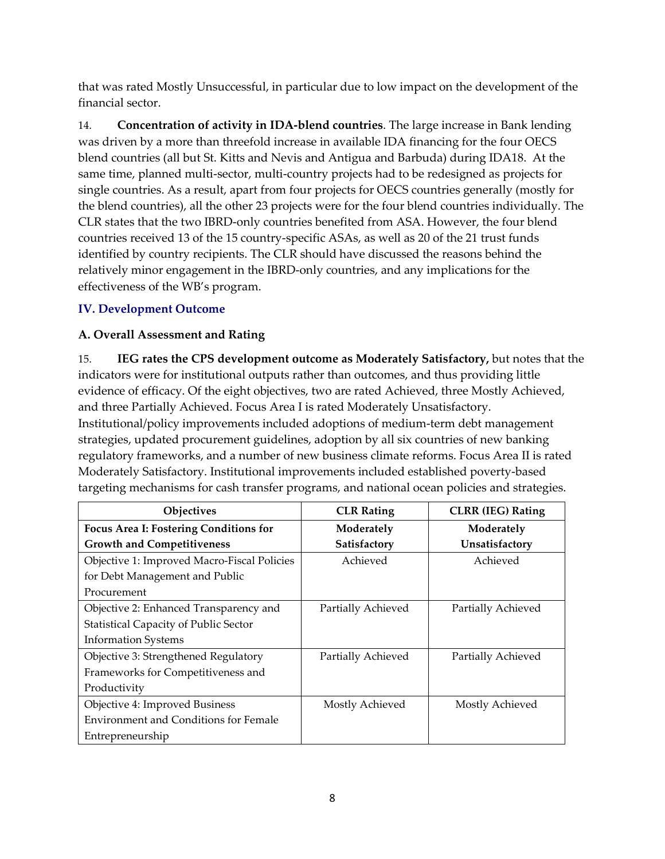that was rated Mostly Unsuccessful, in particular due to low impact on the development of the financial sector.

14. **Concentration of activity in IDA-blend countries**. The large increase in Bank lending was driven by a more than threefold increase in available IDA financing for the four OECS blend countries (all but St. Kitts and Nevis and Antigua and Barbuda) during IDA18. At the same time, planned multi-sector, multi-country projects had to be redesigned as projects for single countries. As a result, apart from four projects for OECS countries generally (mostly for the blend countries), all the other 23 projects were for the four blend countries individually. The CLR states that the two IBRD-only countries benefited from ASA. However, the four blend countries received 13 of the 15 country-specific ASAs, as well as 20 of the 21 trust funds identified by country recipients. The CLR should have discussed the reasons behind the relatively minor engagement in the IBRD-only countries, and any implications for the effectiveness of the WB's program.

# **IV. Development Outcome**

# **A. Overall Assessment and Rating**

15. **IEG rates the CPS development outcome as Moderately Satisfactory,** but notes that the indicators were for institutional outputs rather than outcomes, and thus providing little evidence of efficacy. Of the eight objectives, two are rated Achieved, three Mostly Achieved, and three Partially Achieved. Focus Area I is rated Moderately Unsatisfactory. Institutional/policy improvements included adoptions of medium-term debt management strategies, updated procurement guidelines, adoption by all six countries of new banking regulatory frameworks, and a number of new business climate reforms. Focus Area II is rated Moderately Satisfactory. Institutional improvements included established poverty-based targeting mechanisms for cash transfer programs, and national ocean policies and strategies.

| Objectives                                   | <b>CLR Rating</b>  | <b>CLRR</b> (IEG) Rating |
|----------------------------------------------|--------------------|--------------------------|
| Focus Area I: Fostering Conditions for       | Moderately         | Moderately               |
| <b>Growth and Competitiveness</b>            | Satisfactory       | Unsatisfactory           |
| Objective 1: Improved Macro-Fiscal Policies  | Achieved           | Achieved                 |
| for Debt Management and Public               |                    |                          |
| Procurement                                  |                    |                          |
| Objective 2: Enhanced Transparency and       | Partially Achieved | Partially Achieved       |
| <b>Statistical Capacity of Public Sector</b> |                    |                          |
| <b>Information Systems</b>                   |                    |                          |
| Objective 3: Strengthened Regulatory         | Partially Achieved | Partially Achieved       |
| Frameworks for Competitiveness and           |                    |                          |
| Productivity                                 |                    |                          |
| Objective 4: Improved Business               | Mostly Achieved    | Mostly Achieved          |
| <b>Environment and Conditions for Female</b> |                    |                          |
| Entrepreneurship                             |                    |                          |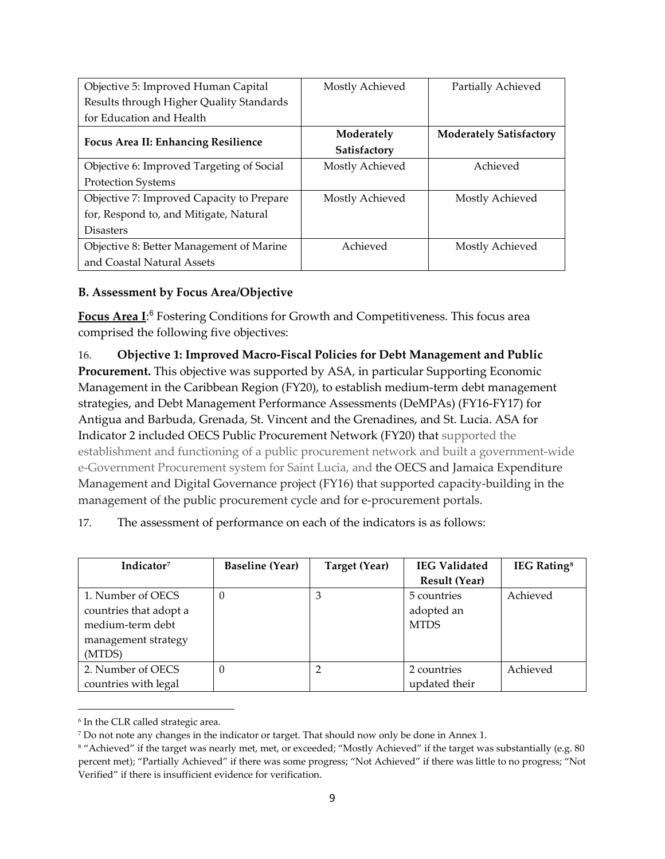| Objective 5: Improved Human Capital        | Mostly Achieved            | Partially Achieved             |
|--------------------------------------------|----------------------------|--------------------------------|
| Results through Higher Quality Standards   |                            |                                |
| for Education and Health                   |                            |                                |
| <b>Focus Area II: Enhancing Resilience</b> | Moderately<br>Satisfactory | <b>Moderately Satisfactory</b> |
| Objective 6: Improved Targeting of Social  | Mostly Achieved            | Achieved                       |
| <b>Protection Systems</b>                  |                            |                                |
| Objective 7: Improved Capacity to Prepare  | Mostly Achieved            | Mostly Achieved                |
| for, Respond to, and Mitigate, Natural     |                            |                                |
| <b>Disasters</b>                           |                            |                                |
| Objective 8: Better Management of Marine   | Achieved                   | Mostly Achieved                |
| and Coastal Natural Assets                 |                            |                                |

# **B. Assessment by Focus Area/Objective**

**Focus Area I**: [6](#page-8-0) Fostering Conditions for Growth and Competitiveness. This focus area comprised the following five objectives:

16. **Objective 1: Improved Macro-Fiscal Policies for Debt Management and Public Procurement.** This objective was supported by ASA, in particular Supporting Economic Management in the Caribbean Region (FY20), to establish medium-term debt management strategies, and Debt Management Performance Assessments (DeMPAs) (FY16-FY17) for Antigua and Barbuda, Grenada, St. Vincent and the Grenadines, and St. Lucia. ASA for Indicator 2 included OECS Public Procurement Network (FY20) that supported the establishment and functioning of a public procurement network and built a government-wide e-Government Procurement system for Saint Lucia, and the OECS and Jamaica Expenditure Management and Digital Governance project (FY16) that supported capacity-building in the management of the public procurement cycle and for e-procurement portals.

17. The assessment of performance on each of the indicators is as follows:

| Indicator <sup>7</sup> | <b>Baseline (Year)</b> | Target (Year) | <b>IEG Validated</b><br><b>Result (Year)</b> | <b>IEG Rating</b> <sup>8</sup> |
|------------------------|------------------------|---------------|----------------------------------------------|--------------------------------|
|                        |                        |               |                                              |                                |
| 1. Number of OECS      | 0                      | 3             | 5 countries                                  | Achieved                       |
| countries that adopt a |                        |               | adopted an                                   |                                |
| medium-term debt       |                        |               | <b>MTDS</b>                                  |                                |
| management strategy    |                        |               |                                              |                                |
| (MTDS)                 |                        |               |                                              |                                |
| 2. Number of OECS      | 0                      |               | 2 countries                                  | Achieved                       |
| countries with legal   |                        |               | updated their                                |                                |

<span id="page-8-0"></span><sup>6</sup> In the CLR called strategic area.

<span id="page-8-1"></span><sup>7</sup> Do not note any changes in the indicator or target. That should now only be done in Annex 1.

<span id="page-8-2"></span><sup>&</sup>lt;sup>8</sup> "Achieved" if the target was nearly met, met, or exceeded; "Mostly Achieved" if the target was substantially (e.g. 80 percent met); "Partially Achieved" if there was some progress; "Not Achieved" if there was little to no progress; "Not Verified" if there is insufficient evidence for verification.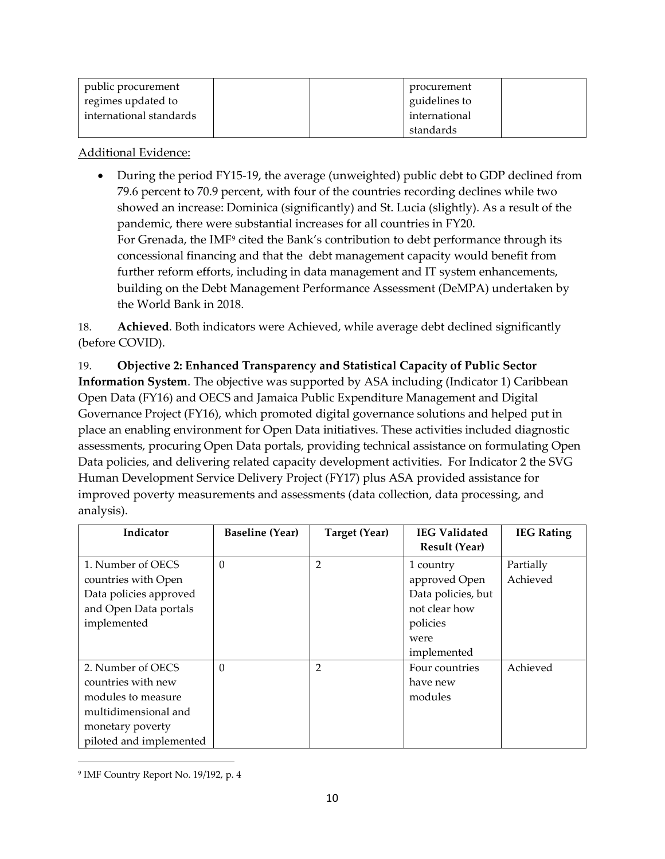| public procurement      | procurement   |
|-------------------------|---------------|
| regimes updated to      | guidelines to |
| international standards | international |
|                         | standards     |

• During the period FY15-19, the average (unweighted) public debt to GDP declined from 79.6 percent to 70.9 percent, with four of the countries recording declines while two showed an increase: Dominica (significantly) and St. Lucia (slightly). As a result of the pandemic, there were substantial increases for all countries in FY20. For Grenada, the IMF<sup>[9](#page-9-0)</sup> cited the Bank's contribution to debt performance through its concessional financing and that the debt management capacity would benefit from further reform efforts, including in data management and IT system enhancements, building on the Debt Management Performance Assessment (DeMPA) undertaken by the World Bank in 2018.

18. **Achieved**. Both indicators were Achieved, while average debt declined significantly (before COVID).

19. **Objective 2: Enhanced Transparency and Statistical Capacity of Public Sector Information System**. The objective was supported by ASA including (Indicator 1) Caribbean Open Data (FY16) and OECS and Jamaica Public Expenditure Management and Digital Governance Project (FY16), which promoted digital governance solutions and helped put in place an enabling environment for Open Data initiatives. These activities included diagnostic assessments, procuring Open Data portals, providing technical assistance on formulating Open Data policies, and delivering related capacity development activities. For Indicator 2 the SVG Human Development Service Delivery Project (FY17) plus ASA provided assistance for improved poverty measurements and assessments (data collection, data processing, and analysis).

| Indicator               | <b>Baseline (Year)</b> | Target (Year)  | <b>IEG Validated</b> | <b>IEG Rating</b> |
|-------------------------|------------------------|----------------|----------------------|-------------------|
|                         |                        |                | <b>Result (Year)</b> |                   |
| 1. Number of OECS       | $\Omega$               | $\overline{2}$ | 1 country            | Partially         |
| countries with Open     |                        |                | approved Open        | Achieved          |
| Data policies approved  |                        |                | Data policies, but   |                   |
| and Open Data portals   |                        |                | not clear how        |                   |
| implemented             |                        |                | policies             |                   |
|                         |                        |                | were                 |                   |
|                         |                        |                | implemented          |                   |
| 2. Number of OECS       | $\Omega$               | 2              | Four countries       | Achieved          |
| countries with new      |                        |                | have new             |                   |
| modules to measure      |                        |                | modules              |                   |
| multidimensional and    |                        |                |                      |                   |
| monetary poverty        |                        |                |                      |                   |
| piloted and implemented |                        |                |                      |                   |

<span id="page-9-0"></span><sup>9</sup> IMF Country Report No. 19/192, p. 4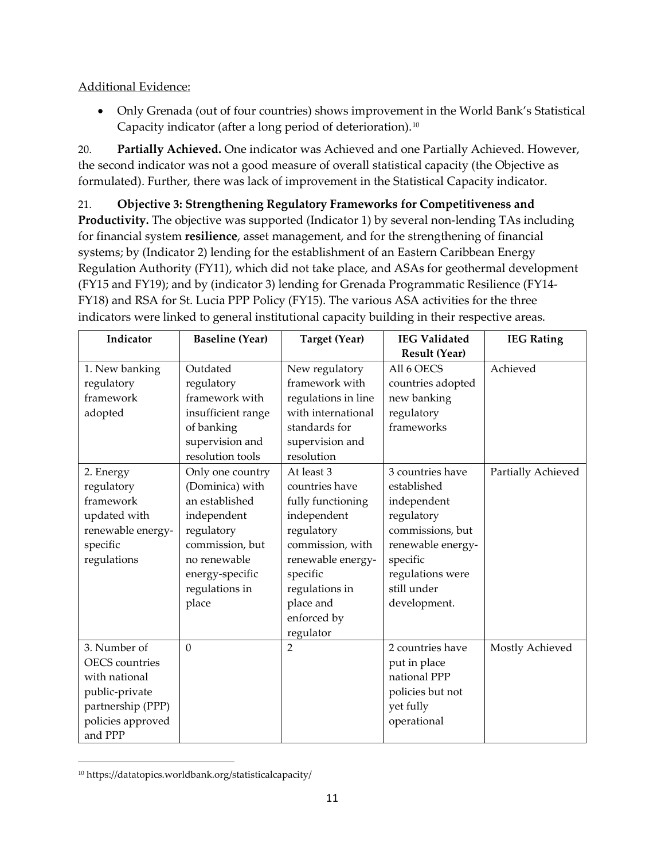• Only Grenada (out of four countries) shows improvement in the World Bank's Statistical Capacity indicator (after a long period of deterioration).[10](#page-10-0)

20. **Partially Achieved.** One indicator was Achieved and one Partially Achieved. However, the second indicator was not a good measure of overall statistical capacity (the Objective as formulated). Further, there was lack of improvement in the Statistical Capacity indicator.

21. **Objective 3: Strengthening Regulatory Frameworks for Competitiveness and Productivity.** The objective was supported (Indicator 1) by several non-lending TAs including for financial system **resilience**, asset management, and for the strengthening of financial systems; by (Indicator 2) lending for the establishment of an Eastern Caribbean Energy Regulation Authority (FY11), which did not take place, and ASAs for geothermal development (FY15 and FY19); and by (indicator 3) lending for Grenada Programmatic Resilience (FY14- FY18) and RSA for St. Lucia PPP Policy (FY15). The various ASA activities for the three indicators were linked to general institutional capacity building in their respective areas.

| Indicator             | <b>Baseline (Year)</b> | <b>Target (Year)</b> | <b>IEG Validated</b> | <b>IEG Rating</b>  |
|-----------------------|------------------------|----------------------|----------------------|--------------------|
|                       |                        |                      | <b>Result (Year)</b> |                    |
| 1. New banking        | Outdated               | New regulatory       | All 6 OECS           | Achieved           |
| regulatory            | regulatory             | framework with       | countries adopted    |                    |
| framework             | framework with         | regulations in line  | new banking          |                    |
| adopted               | insufficient range     | with international   | regulatory           |                    |
|                       | of banking             | standards for        | frameworks           |                    |
|                       | supervision and        | supervision and      |                      |                    |
|                       | resolution tools       | resolution           |                      |                    |
| 2. Energy             | Only one country       | At least 3           | 3 countries have     | Partially Achieved |
| regulatory            | (Dominica) with        | countries have       | established          |                    |
| framework             | an established         | fully functioning    | independent          |                    |
| updated with          | independent            | independent          | regulatory           |                    |
| renewable energy-     | regulatory             | regulatory           | commissions, but     |                    |
| specific              | commission, but        | commission, with     | renewable energy-    |                    |
| regulations           | no renewable           | renewable energy-    | specific             |                    |
|                       | energy-specific        | specific             | regulations were     |                    |
|                       | regulations in         | regulations in       | still under          |                    |
|                       | place                  | place and            | development.         |                    |
|                       |                        | enforced by          |                      |                    |
|                       |                        | regulator            |                      |                    |
| 3. Number of          | $\Omega$               | $\overline{2}$       | 2 countries have     | Mostly Achieved    |
| <b>OECS</b> countries |                        |                      | put in place         |                    |
| with national         |                        |                      | national PPP         |                    |
| public-private        |                        |                      | policies but not     |                    |
| partnership (PPP)     |                        |                      | yet fully            |                    |
| policies approved     |                        |                      | operational          |                    |
| and PPP               |                        |                      |                      |                    |

<span id="page-10-0"></span><sup>10</sup> https://datatopics.worldbank.org/statisticalcapacity/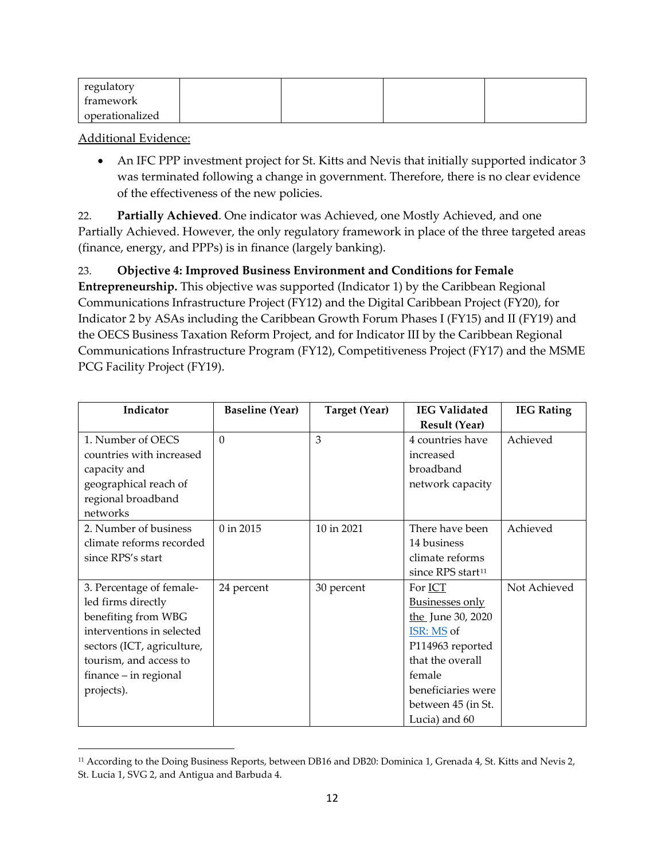| regulatory      |  |  |
|-----------------|--|--|
| framework       |  |  |
| operationalized |  |  |

• An IFC PPP investment project for St. Kitts and Nevis that initially supported indicator 3 was terminated following a change in government. Therefore, there is no clear evidence of the effectiveness of the new policies.

22. **Partially Achieved**. One indicator was Achieved, one Mostly Achieved, and one Partially Achieved. However, the only regulatory framework in place of the three targeted areas (finance, energy, and PPPs) is in finance (largely banking).

23. **Objective 4: Improved Business Environment and Conditions for Female Entrepreneurship.** This objective was supported (Indicator 1) by the Caribbean Regional Communications Infrastructure Project (FY12) and the Digital Caribbean Project (FY20), for Indicator 2 by ASAs including the Caribbean Growth Forum Phases I (FY15) and II (FY19) and the OECS Business Taxation Reform Project, and for Indicator III by the Caribbean Regional Communications Infrastructure Program (FY12), Competitiveness Project (FY17) and the MSME PCG Facility Project (FY19).

| Indicator                  | <b>Baseline (Year)</b> | <b>Target (Year)</b> | <b>IEG Validated</b>          | <b>IEG Rating</b> |
|----------------------------|------------------------|----------------------|-------------------------------|-------------------|
|                            |                        |                      | <b>Result (Year)</b>          |                   |
| 1. Number of OECS          | $\Omega$               | 3                    | 4 countries have              | Achieved          |
| countries with increased   |                        |                      | increased                     |                   |
| capacity and               |                        |                      | broadband                     |                   |
| geographical reach of      |                        |                      | network capacity              |                   |
| regional broadband         |                        |                      |                               |                   |
| networks                   |                        |                      |                               |                   |
| 2. Number of business      | $0$ in 2015            | 10 in 2021           | There have been               | Achieved          |
| climate reforms recorded   |                        |                      | 14 business                   |                   |
| since RPS's start          |                        |                      | climate reforms               |                   |
|                            |                        |                      | since RPS start <sup>11</sup> |                   |
| 3. Percentage of female-   | 24 percent             | 30 percent           | For ICT                       | Not Achieved      |
| led firms directly         |                        |                      | <b>Businesses only</b>        |                   |
| benefiting from WBG        |                        |                      | the June 30, 2020             |                   |
| interventions in selected  |                        |                      | ISR: MS of                    |                   |
| sectors (ICT, agriculture, |                        |                      | P114963 reported              |                   |
| tourism, and access to     |                        |                      | that the overall              |                   |
| finance – in regional      |                        |                      | female                        |                   |
| projects).                 |                        |                      | beneficiaries were            |                   |
|                            |                        |                      | between 45 (in St.            |                   |
|                            |                        |                      | Lucia) and 60                 |                   |

<span id="page-11-0"></span><sup>&</sup>lt;sup>11</sup> According to the Doing Business Reports, between DB16 and DB20: Dominica 1, Grenada 4, St. Kitts and Nevis 2, St. Lucia 1, SVG 2, and Antigua and Barbuda 4.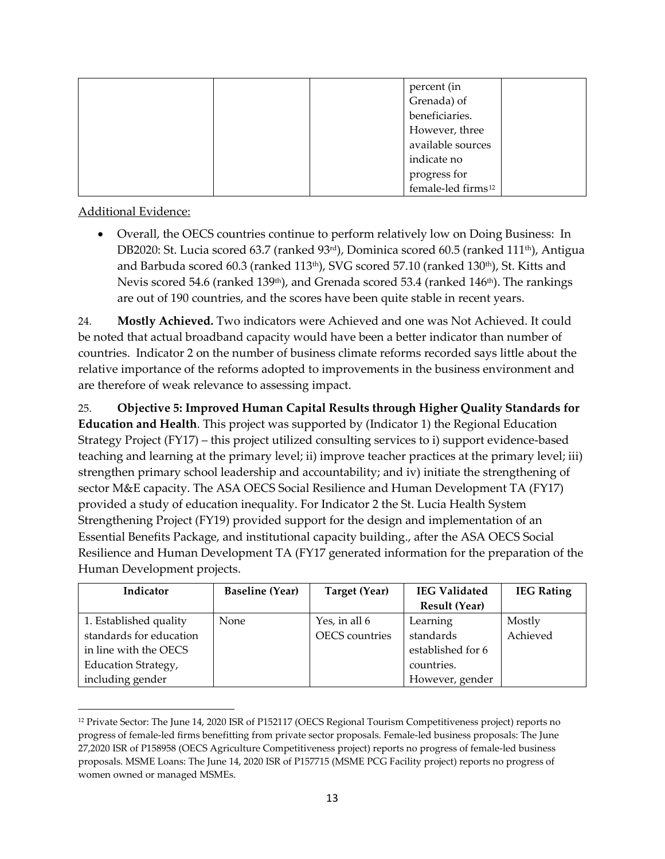| percent (in                    |
|--------------------------------|
| Grenada) of                    |
| beneficiaries.                 |
| However, three                 |
| available sources              |
| indicate no                    |
| progress for                   |
| female-led firms <sup>12</sup> |

• Overall, the OECS countries continue to perform relatively low on Doing Business: In DB2020: St. Lucia scored 63.7 (ranked 93rd), Dominica scored 60.5 (ranked 111th), Antigua and Barbuda scored 60.3 (ranked  $113<sup>th</sup>$ ), SVG scored 57.10 (ranked  $130<sup>th</sup>$ ), St. Kitts and Nevis scored 54.6 (ranked 139<sup>th</sup>), and Grenada scored 53.4 (ranked 146<sup>th</sup>). The rankings are out of 190 countries, and the scores have been quite stable in recent years.

24. **Mostly Achieved.** Two indicators were Achieved and one was Not Achieved. It could be noted that actual broadband capacity would have been a better indicator than number of countries. Indicator 2 on the number of business climate reforms recorded says little about the relative importance of the reforms adopted to improvements in the business environment and are therefore of weak relevance to assessing impact.

25. **Objective 5: Improved Human Capital Results through Higher Quality Standards for Education and Health**. This project was supported by (Indicator 1) the Regional Education Strategy Project (FY17) – this project utilized consulting services to i) support evidence-based teaching and learning at the primary level; ii) improve teacher practices at the primary level; iii) strengthen primary school leadership and accountability; and iv) initiate the strengthening of sector M&E capacity. The ASA OECS Social Resilience and Human Development TA (FY17) provided a study of education inequality. For Indicator 2 the St. Lucia Health System Strengthening Project (FY19) provided support for the design and implementation of an Essential Benefits Package, and institutional capacity building., after the ASA OECS Social Resilience and Human Development TA (FY17 generated information for the preparation of the Human Development projects.

| Indicator                  | <b>Baseline (Year)</b> | Target (Year)         | <b>IEG Validated</b> | <b>IEG Rating</b> |
|----------------------------|------------------------|-----------------------|----------------------|-------------------|
|                            |                        |                       | <b>Result (Year)</b> |                   |
| 1. Established quality     | None                   | Yes, in all 6         | Learning             | Mostly            |
| standards for education    |                        | <b>OECS</b> countries | standards            | Achieved          |
| in line with the OECS      |                        |                       | established for 6    |                   |
| <b>Education Strategy,</b> |                        |                       | countries.           |                   |
| including gender           |                        |                       | However, gender      |                   |

<span id="page-12-0"></span><sup>12</sup> Private Sector: The June 14, 2020 ISR of P152117 (OECS Regional Tourism Competitiveness project) reports no progress of female-led firms benefitting from private sector proposals. Female-led business proposals: The June 27,2020 ISR of P158958 (OECS Agriculture Competitiveness project) reports no progress of female-led business proposals. MSME Loans: The June 14, 2020 ISR of P157715 (MSME PCG Facility project) reports no progress of women owned or managed MSMEs.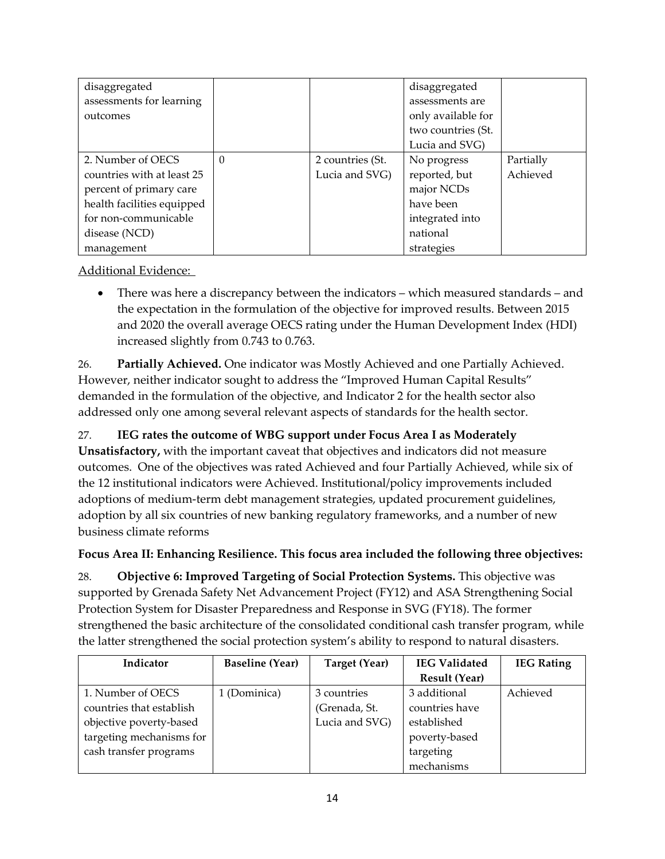| disaggregated              |   |                  | disaggregated      |           |
|----------------------------|---|------------------|--------------------|-----------|
| assessments for learning   |   |                  | assessments are    |           |
| outcomes                   |   |                  | only available for |           |
|                            |   |                  | two countries (St. |           |
|                            |   |                  | Lucia and SVG)     |           |
| 2. Number of OECS          | 0 | 2 countries (St. | No progress        | Partially |
| countries with at least 25 |   | Lucia and SVG)   | reported, but      | Achieved  |
| percent of primary care    |   |                  | major NCDs         |           |
| health facilities equipped |   |                  | have been          |           |
| for non-communicable       |   |                  | integrated into    |           |
| disease (NCD)              |   |                  | national           |           |
| management                 |   |                  | strategies         |           |

• There was here a discrepancy between the indicators – which measured standards – and the expectation in the formulation of the objective for improved results. Between 2015 and 2020 the overall average OECS rating under the Human Development Index (HDI) increased slightly from 0.743 to 0.763.

26. **Partially Achieved.** One indicator was Mostly Achieved and one Partially Achieved. However, neither indicator sought to address the "Improved Human Capital Results" demanded in the formulation of the objective, and Indicator 2 for the health sector also addressed only one among several relevant aspects of standards for the health sector.

# 27. **IEG rates the outcome of WBG support under Focus Area I as Moderately**

**Unsatisfactory,** with the important caveat that objectives and indicators did not measure outcomes. One of the objectives was rated Achieved and four Partially Achieved, while six of the 12 institutional indicators were Achieved. Institutional/policy improvements included adoptions of medium-term debt management strategies, updated procurement guidelines, adoption by all six countries of new banking regulatory frameworks, and a number of new business climate reforms

# **Focus Area II: Enhancing Resilience. This focus area included the following three objectives:**

28. **Objective 6: Improved Targeting of Social Protection Systems.** This objective was supported by Grenada Safety Net Advancement Project (FY12) and ASA Strengthening Social Protection System for Disaster Preparedness and Response in SVG (FY18). The former strengthened the basic architecture of the consolidated conditional cash transfer program, while the latter strengthened the social protection system's ability to respond to natural disasters.

| Indicator                | <b>Baseline</b> (Year) | Target (Year)  | <b>IEG Validated</b> | <b>IEG Rating</b> |
|--------------------------|------------------------|----------------|----------------------|-------------------|
|                          |                        |                | <b>Result (Year)</b> |                   |
| 1. Number of OECS        | 1 (Dominica)           | 3 countries    | 3 additional         | Achieved          |
| countries that establish |                        | (Grenada, St.  | countries have       |                   |
| objective poverty-based  |                        | Lucia and SVG) | established          |                   |
| targeting mechanisms for |                        |                | poverty-based        |                   |
| cash transfer programs   |                        |                | targeting            |                   |
|                          |                        |                | mechanisms           |                   |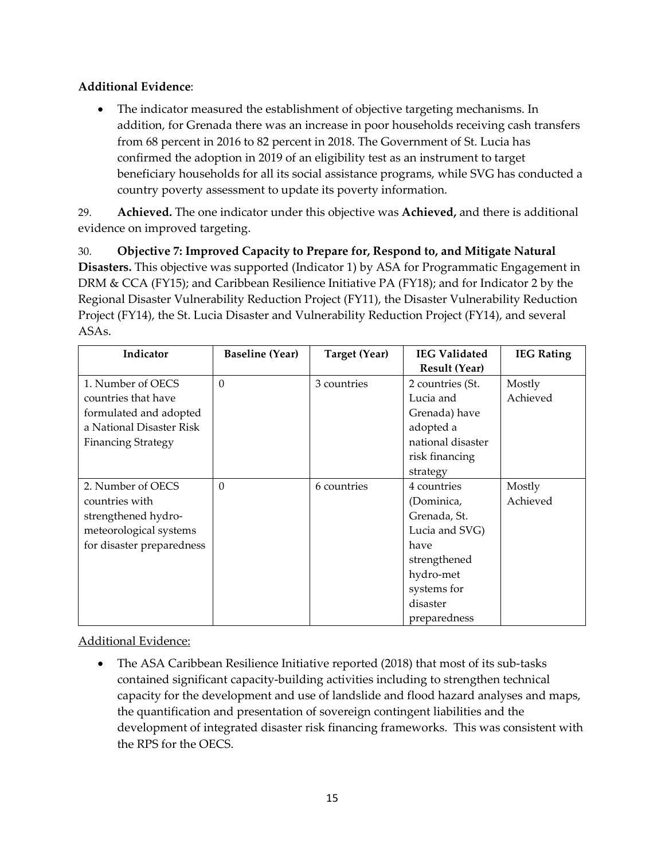• The indicator measured the establishment of objective targeting mechanisms. In addition, for Grenada there was an increase in poor households receiving cash transfers from 68 percent in 2016 to 82 percent in 2018. The Government of St. Lucia has confirmed the adoption in 2019 of an eligibility test as an instrument to target beneficiary households for all its social assistance programs, while SVG has conducted a country poverty assessment to update its poverty information.

29. **Achieved.** The one indicator under this objective was **Achieved,** and there is additional evidence on improved targeting.

30. **Objective 7: Improved Capacity to Prepare for, Respond to, and Mitigate Natural Disasters.** This objective was supported (Indicator 1) by ASA for Programmatic Engagement in DRM & CCA (FY15); and Caribbean Resilience Initiative PA (FY18); and for Indicator 2 by the Regional Disaster Vulnerability Reduction Project (FY11), the Disaster Vulnerability Reduction Project (FY14), the St. Lucia Disaster and Vulnerability Reduction Project (FY14), and several ASAs.

| Indicator                 | <b>Baseline (Year)</b> | Target (Year) | <b>IEG Validated</b> | <b>IEG Rating</b> |
|---------------------------|------------------------|---------------|----------------------|-------------------|
|                           |                        |               | <b>Result (Year)</b> |                   |
| 1. Number of OECS         | $\theta$               | 3 countries   | 2 countries (St.     | Mostly            |
| countries that have       |                        |               | Lucia and            | Achieved          |
| formulated and adopted    |                        |               | Grenada) have        |                   |
| a National Disaster Risk  |                        |               | adopted a            |                   |
| <b>Financing Strategy</b> |                        |               | national disaster    |                   |
|                           |                        |               | risk financing       |                   |
|                           |                        |               | strategy             |                   |
| 2. Number of OECS         | $\Omega$               | 6 countries   | 4 countries          | Mostly            |
| countries with            |                        |               | (Dominica,           | Achieved          |
| strengthened hydro-       |                        |               | Grenada, St.         |                   |
| meteorological systems    |                        |               | Lucia and SVG)       |                   |
| for disaster preparedness |                        |               | have                 |                   |
|                           |                        |               | strengthened         |                   |
|                           |                        |               | hydro-met            |                   |
|                           |                        |               | systems for          |                   |
|                           |                        |               | disaster             |                   |
|                           |                        |               | preparedness         |                   |

Additional Evidence:

• The ASA Caribbean Resilience Initiative reported (2018) that most of its sub-tasks contained significant capacity-building activities including to strengthen technical capacity for the development and use of landslide and flood hazard analyses and maps, the quantification and presentation of sovereign contingent liabilities and the development of integrated disaster risk financing frameworks. This was consistent with the RPS for the OECS.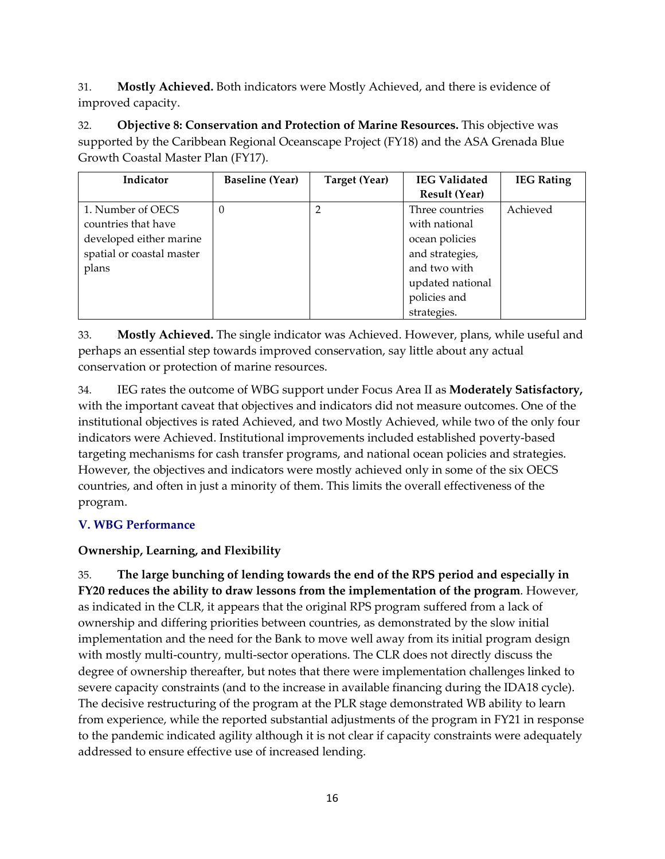31. **Mostly Achieved.** Both indicators were Mostly Achieved, and there is evidence of improved capacity.

32. **Objective 8: Conservation and Protection of Marine Resources.** This objective was supported by the Caribbean Regional Oceanscape Project (FY18) and the ASA Grenada Blue Growth Coastal Master Plan (FY17).

| Indicator                 | <b>Baseline (Year)</b> | Target (Year) | <b>IEG Validated</b> | <b>IEG Rating</b> |
|---------------------------|------------------------|---------------|----------------------|-------------------|
|                           |                        |               | <b>Result (Year)</b> |                   |
| 1. Number of OECS         | $\Omega$               |               | Three countries      | Achieved          |
| countries that have       |                        |               | with national        |                   |
| developed either marine   |                        |               | ocean policies       |                   |
| spatial or coastal master |                        |               | and strategies,      |                   |
| plans                     |                        |               | and two with         |                   |
|                           |                        |               | updated national     |                   |
|                           |                        |               | policies and         |                   |
|                           |                        |               | strategies.          |                   |

33. **Mostly Achieved.** The single indicator was Achieved. However, plans, while useful and perhaps an essential step towards improved conservation, say little about any actual conservation or protection of marine resources.

34. IEG rates the outcome of WBG support under Focus Area II as **Moderately Satisfactory,**  with the important caveat that objectives and indicators did not measure outcomes. One of the institutional objectives is rated Achieved, and two Mostly Achieved, while two of the only four indicators were Achieved. Institutional improvements included established poverty-based targeting mechanisms for cash transfer programs, and national ocean policies and strategies. However, the objectives and indicators were mostly achieved only in some of the six OECS countries, and often in just a minority of them. This limits the overall effectiveness of the program.

# **V. WBG Performance**

# **Ownership, Learning, and Flexibility**

35. **The large bunching of lending towards the end of the RPS period and especially in FY20 reduces the ability to draw lessons from the implementation of the program**. However, as indicated in the CLR, it appears that the original RPS program suffered from a lack of ownership and differing priorities between countries, as demonstrated by the slow initial implementation and the need for the Bank to move well away from its initial program design with mostly multi-country, multi-sector operations. The CLR does not directly discuss the degree of ownership thereafter, but notes that there were implementation challenges linked to severe capacity constraints (and to the increase in available financing during the IDA18 cycle). The decisive restructuring of the program at the PLR stage demonstrated WB ability to learn from experience, while the reported substantial adjustments of the program in FY21 in response to the pandemic indicated agility although it is not clear if capacity constraints were adequately addressed to ensure effective use of increased lending.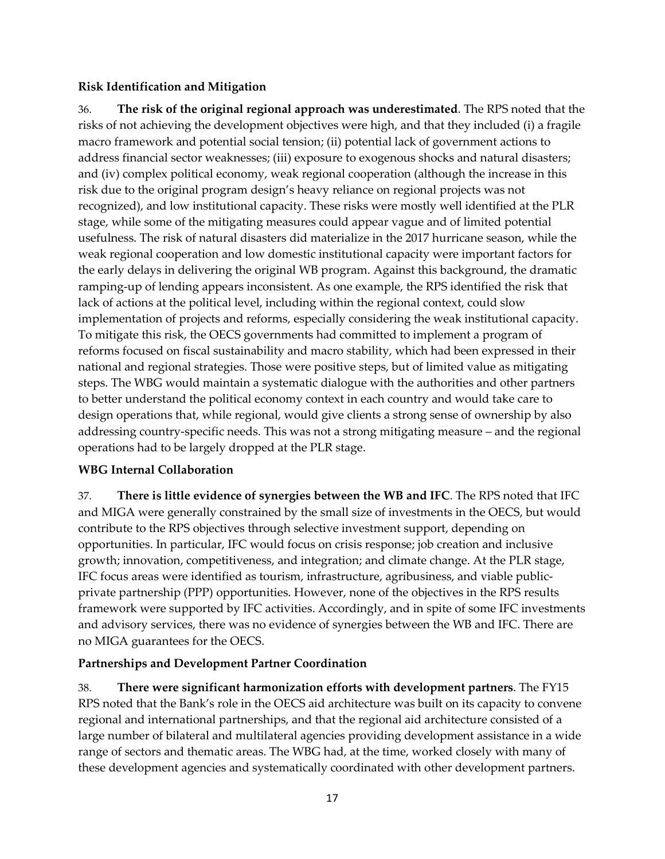# **Risk Identification and Mitigation**

36. **The risk of the original regional approach was underestimated**. The RPS noted that the risks of not achieving the development objectives were high, and that they included (i) a fragile macro framework and potential social tension; (ii) potential lack of government actions to address financial sector weaknesses; (iii) exposure to exogenous shocks and natural disasters; and (iv) complex political economy, weak regional cooperation (although the increase in this risk due to the original program design's heavy reliance on regional projects was not recognized), and low institutional capacity. These risks were mostly well identified at the PLR stage, while some of the mitigating measures could appear vague and of limited potential usefulness. The risk of natural disasters did materialize in the 2017 hurricane season, while the weak regional cooperation and low domestic institutional capacity were important factors for the early delays in delivering the original WB program. Against this background, the dramatic ramping-up of lending appears inconsistent. As one example, the RPS identified the risk that lack of actions at the political level, including within the regional context, could slow implementation of projects and reforms, especially considering the weak institutional capacity. To mitigate this risk, the OECS governments had committed to implement a program of reforms focused on fiscal sustainability and macro stability, which had been expressed in their national and regional strategies. Those were positive steps, but of limited value as mitigating steps. The WBG would maintain a systematic dialogue with the authorities and other partners to better understand the political economy context in each country and would take care to design operations that, while regional, would give clients a strong sense of ownership by also addressing country-specific needs. This was not a strong mitigating measure – and the regional operations had to be largely dropped at the PLR stage.

# **WBG Internal Collaboration**

37. **There is little evidence of synergies between the WB and IFC**. The RPS noted that IFC and MIGA were generally constrained by the small size of investments in the OECS, but would contribute to the RPS objectives through selective investment support, depending on opportunities. In particular, IFC would focus on crisis response; job creation and inclusive growth; innovation, competitiveness, and integration; and climate change. At the PLR stage, IFC focus areas were identified as tourism, infrastructure, agribusiness, and viable publicprivate partnership (PPP) opportunities. However, none of the objectives in the RPS results framework were supported by IFC activities. Accordingly, and in spite of some IFC investments and advisory services, there was no evidence of synergies between the WB and IFC. There are no MIGA guarantees for the OECS.

# **Partnerships and Development Partner Coordination**

38. **There were significant harmonization efforts with development partners**. The FY15 RPS noted that the Bank's role in the OECS aid architecture was built on its capacity to convene regional and international partnerships, and that the regional aid architecture consisted of a large number of bilateral and multilateral agencies providing development assistance in a wide range of sectors and thematic areas. The WBG had, at the time, worked closely with many of these development agencies and systematically coordinated with other development partners.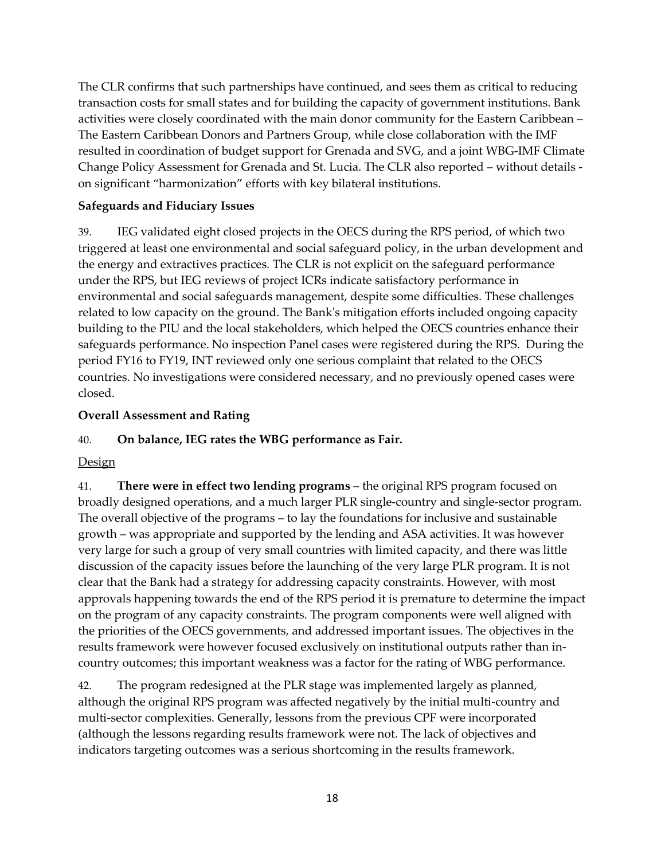The CLR confirms that such partnerships have continued, and sees them as critical to reducing transaction costs for small states and for building the capacity of government institutions. Bank activities were closely coordinated with the main donor community for the Eastern Caribbean – The Eastern Caribbean Donors and Partners Group, while close collaboration with the IMF resulted in coordination of budget support for Grenada and SVG, and a joint WBG-IMF Climate Change Policy Assessment for Grenada and St. Lucia. The CLR also reported – without details on significant "harmonization" efforts with key bilateral institutions.

# **Safeguards and Fiduciary Issues**

39. IEG validated eight closed projects in the OECS during the RPS period, of which two triggered at least one environmental and social safeguard policy, in the urban development and the energy and extractives practices. The CLR is not explicit on the safeguard performance under the RPS, but IEG reviews of project ICRs indicate satisfactory performance in environmental and social safeguards management, despite some difficulties. These challenges related to low capacity on the ground. The Bank's mitigation efforts included ongoing capacity building to the PIU and the local stakeholders, which helped the OECS countries enhance their safeguards performance. No inspection Panel cases were registered during the RPS. During the period FY16 to FY19, INT reviewed only one serious complaint that related to the OECS countries. No investigations were considered necessary, and no previously opened cases were closed.

### **Overall Assessment and Rating**

# 40. **On balance, IEG rates the WBG performance as Fair.**

### **Design**

41. **There were in effect two lending programs** – the original RPS program focused on broadly designed operations, and a much larger PLR single-country and single-sector program. The overall objective of the programs – to lay the foundations for inclusive and sustainable growth – was appropriate and supported by the lending and ASA activities. It was however very large for such a group of very small countries with limited capacity, and there was little discussion of the capacity issues before the launching of the very large PLR program. It is not clear that the Bank had a strategy for addressing capacity constraints. However, with most approvals happening towards the end of the RPS period it is premature to determine the impact on the program of any capacity constraints. The program components were well aligned with the priorities of the OECS governments, and addressed important issues. The objectives in the results framework were however focused exclusively on institutional outputs rather than incountry outcomes; this important weakness was a factor for the rating of WBG performance.

42. The program redesigned at the PLR stage was implemented largely as planned, although the original RPS program was affected negatively by the initial multi-country and multi-sector complexities. Generally, lessons from the previous CPF were incorporated (although the lessons regarding results framework were not. The lack of objectives and indicators targeting outcomes was a serious shortcoming in the results framework.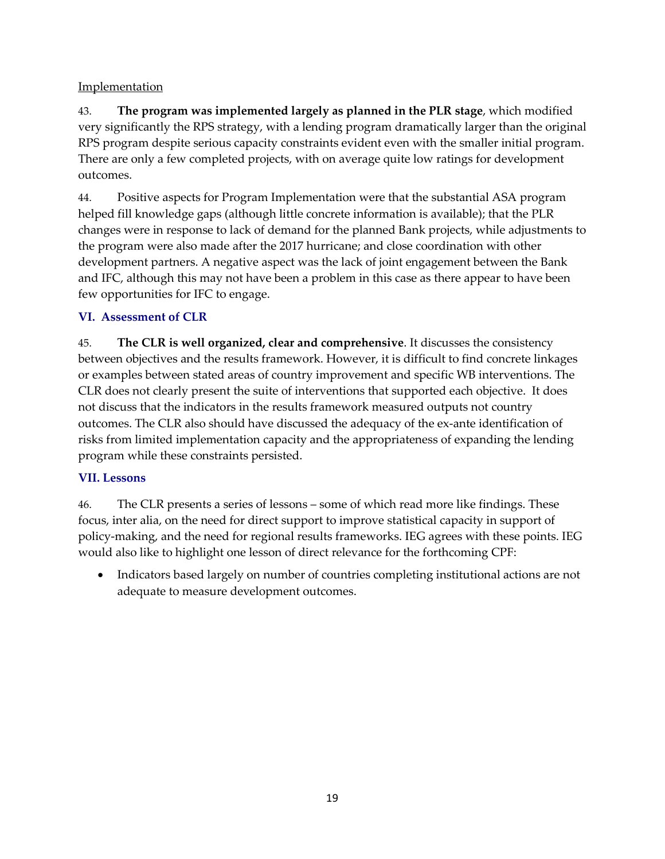# **Implementation**

43. **The program was implemented largely as planned in the PLR stage**, which modified very significantly the RPS strategy, with a lending program dramatically larger than the original RPS program despite serious capacity constraints evident even with the smaller initial program. There are only a few completed projects, with on average quite low ratings for development outcomes.

44. Positive aspects for Program Implementation were that the substantial ASA program helped fill knowledge gaps (although little concrete information is available); that the PLR changes were in response to lack of demand for the planned Bank projects, while adjustments to the program were also made after the 2017 hurricane; and close coordination with other development partners. A negative aspect was the lack of joint engagement between the Bank and IFC, although this may not have been a problem in this case as there appear to have been few opportunities for IFC to engage.

# **VI. Assessment of CLR**

45. **The CLR is well organized, clear and comprehensive**. It discusses the consistency between objectives and the results framework. However, it is difficult to find concrete linkages or examples between stated areas of country improvement and specific WB interventions. The CLR does not clearly present the suite of interventions that supported each objective. It does not discuss that the indicators in the results framework measured outputs not country outcomes. The CLR also should have discussed the adequacy of the ex-ante identification of risks from limited implementation capacity and the appropriateness of expanding the lending program while these constraints persisted.

# **VII. Lessons**

46. The CLR presents a series of lessons – some of which read more like findings. These focus, inter alia, on the need for direct support to improve statistical capacity in support of policy-making, and the need for regional results frameworks. IEG agrees with these points. IEG would also like to highlight one lesson of direct relevance for the forthcoming CPF:

• Indicators based largely on number of countries completing institutional actions are not adequate to measure development outcomes.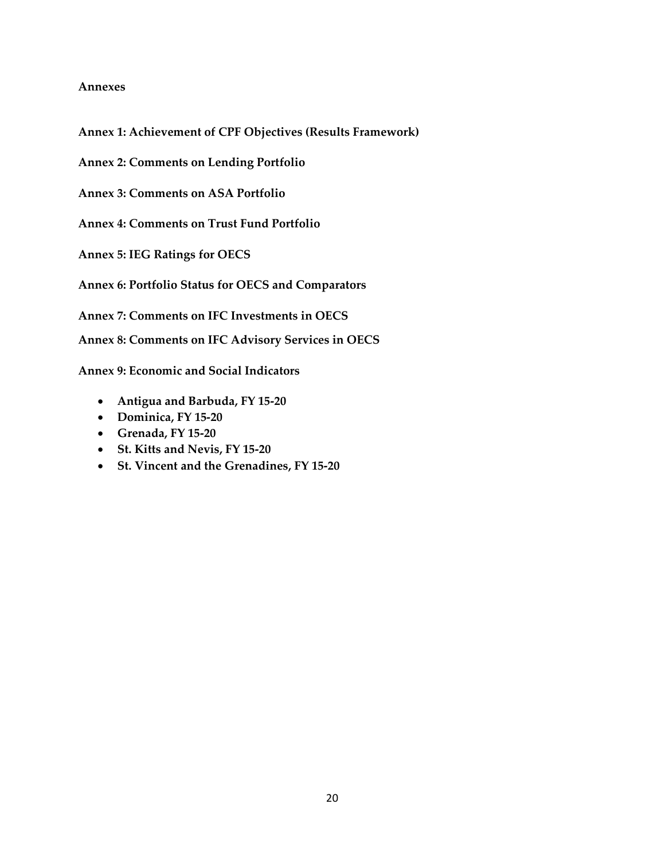#### **Annexes**

**Annex 1: Achievement of CPF Objectives (Results Framework)**

**Annex 2: Comments on Lending Portfolio**

**Annex 3: Comments on ASA Portfolio**

**Annex 4: Comments on Trust Fund Portfolio**

**Annex 5: IEG Ratings for OECS**

**Annex 6: Portfolio Status for OECS and Comparators**

**Annex 7: Comments on IFC Investments in OECS** 

**Annex 8: Comments on IFC Advisory Services in OECS** 

**Annex 9: Economic and Social Indicators** 

- **Antigua and Barbuda, FY 15-20**
- **Dominica, FY 15-20**
- **Grenada, FY 15-20**
- **St. Kitts and Nevis, FY 15-20**
- **St. Vincent and the Grenadines, FY 15-20**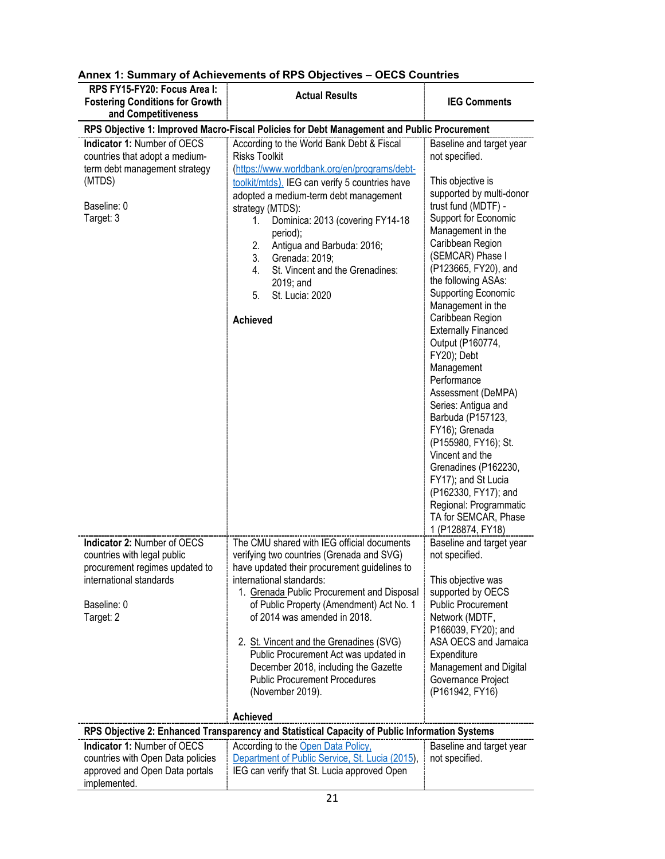| RPS FY15-FY20: Focus Area I:<br><b>Fostering Conditions for Growth</b><br>and Competitiveness                                                       | <b>Actual Results</b>                                                                                                                                                                                                                                                                                                                                                                                                                                                                 | <b>IEG Comments</b>                                                                                                                                                                                                                                                                                                                                                                                                                                                                                                                                                                                       |
|-----------------------------------------------------------------------------------------------------------------------------------------------------|---------------------------------------------------------------------------------------------------------------------------------------------------------------------------------------------------------------------------------------------------------------------------------------------------------------------------------------------------------------------------------------------------------------------------------------------------------------------------------------|-----------------------------------------------------------------------------------------------------------------------------------------------------------------------------------------------------------------------------------------------------------------------------------------------------------------------------------------------------------------------------------------------------------------------------------------------------------------------------------------------------------------------------------------------------------------------------------------------------------|
|                                                                                                                                                     | RPS Objective 1: Improved Macro-Fiscal Policies for Debt Management and Public Procurement                                                                                                                                                                                                                                                                                                                                                                                            |                                                                                                                                                                                                                                                                                                                                                                                                                                                                                                                                                                                                           |
| Indicator 1: Number of OECS<br>countries that adopt a medium-<br>term debt management strategy<br>(MTDS)                                            | According to the World Bank Debt & Fiscal<br><b>Risks Toolkit</b><br>(https://www.worldbank.org/en/programs/debt-<br>toolkit/mtds). IEG can verify 5 countries have<br>adopted a medium-term debt management                                                                                                                                                                                                                                                                          | Baseline and target year<br>not specified.<br>This objective is<br>supported by multi-donor                                                                                                                                                                                                                                                                                                                                                                                                                                                                                                               |
| Baseline: 0<br>Target: 3                                                                                                                            | strategy (MTDS):<br>Dominica: 2013 (covering FY14-18<br>1.<br>period);<br>Antigua and Barbuda: 2016;<br>2.<br>3.<br>Grenada: 2019;<br>St. Vincent and the Grenadines:<br>4.<br>2019; and<br>St. Lucia: 2020<br>5.<br><b>Achieved</b>                                                                                                                                                                                                                                                  | trust fund (MDTF) -<br>Support for Economic<br>Management in the<br>Caribbean Region<br>(SEMCAR) Phase I<br>(P123665, FY20), and<br>the following ASAs:<br><b>Supporting Economic</b><br>Management in the<br>Caribbean Region<br><b>Externally Financed</b><br>Output (P160774,<br>FY20); Debt<br>Management<br>Performance<br>Assessment (DeMPA)<br>Series: Antigua and<br>Barbuda (P157123,<br>FY16); Grenada<br>(P155980, FY16); St.<br>Vincent and the<br>Grenadines (P162230,<br>FY17); and St Lucia<br>(P162330, FY17); and<br>Regional: Programmatic<br>TA for SEMCAR, Phase<br>1 (P128874, FY18) |
| Indicator 2: Number of OECS<br>countries with legal public<br>procurement regimes updated to<br>international standards<br>Baseline: 0<br>Target: 2 | The CMU shared with IEG official documents<br>verifying two countries (Grenada and SVG)<br>have updated their procurement guidelines to<br>international standards:<br>1. Grenada Public Procurement and Disposal<br>of Public Property (Amendment) Act No. 1<br>of 2014 was amended in 2018.<br>2. St. Vincent and the Grenadines (SVG)<br>Public Procurement Act was updated in<br>December 2018, including the Gazette<br><b>Public Procurement Procedures</b><br>(November 2019). | Baseline and target year<br>not specified.<br>This objective was<br>supported by OECS<br><b>Public Procurement</b><br>Network (MDTF,<br>P166039, FY20); and<br>ASA OECS and Jamaica<br>Expenditure<br>Management and Digital<br>Governance Project<br>(P161942, FY16)                                                                                                                                                                                                                                                                                                                                     |
|                                                                                                                                                     |                                                                                                                                                                                                                                                                                                                                                                                                                                                                                       |                                                                                                                                                                                                                                                                                                                                                                                                                                                                                                                                                                                                           |
|                                                                                                                                                     | <b>Achieved</b><br>RPS Objective 2: Enhanced Transparency and Statistical Capacity of Public Information Systems                                                                                                                                                                                                                                                                                                                                                                      |                                                                                                                                                                                                                                                                                                                                                                                                                                                                                                                                                                                                           |
| Indicator 1: Number of OECS<br>countries with Open Data policies<br>approved and Open Data portals<br>implemented.                                  | According to the Open Data Policy,<br>Department of Public Service, St. Lucia (2015),<br>IEG can verify that St. Lucia approved Open                                                                                                                                                                                                                                                                                                                                                  | Baseline and target year<br>not specified.                                                                                                                                                                                                                                                                                                                                                                                                                                                                                                                                                                |

| Annex 1: Summary of Achievements of RPS Objectives - OECS Countries |  |  |
|---------------------------------------------------------------------|--|--|
|                                                                     |  |  |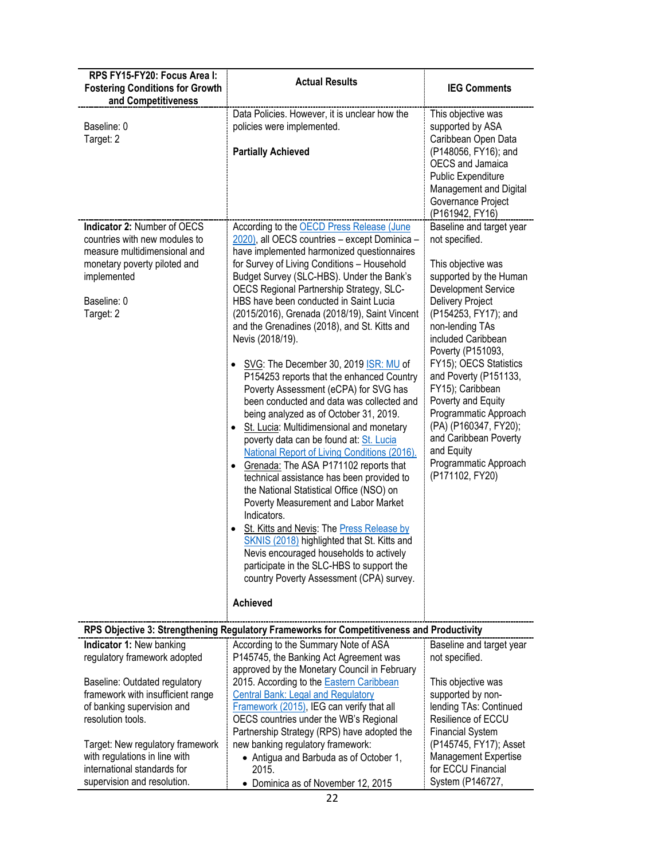| RPS FY15-FY20: Focus Area I:<br><b>Fostering Conditions for Growth</b><br>and Competitiveness                                                                           | <b>Actual Results</b>                                                                                                                                                                                                                                                                                                                                                                                                                                                                                                                                                                                                                                                                                                                                                                                                                                                                                                                                                                                                                                                                                                                                                                                                                                                              | <b>IEG Comments</b>                                                                                                                                                                                                                                                                                                                                                                                                                                           |
|-------------------------------------------------------------------------------------------------------------------------------------------------------------------------|------------------------------------------------------------------------------------------------------------------------------------------------------------------------------------------------------------------------------------------------------------------------------------------------------------------------------------------------------------------------------------------------------------------------------------------------------------------------------------------------------------------------------------------------------------------------------------------------------------------------------------------------------------------------------------------------------------------------------------------------------------------------------------------------------------------------------------------------------------------------------------------------------------------------------------------------------------------------------------------------------------------------------------------------------------------------------------------------------------------------------------------------------------------------------------------------------------------------------------------------------------------------------------|---------------------------------------------------------------------------------------------------------------------------------------------------------------------------------------------------------------------------------------------------------------------------------------------------------------------------------------------------------------------------------------------------------------------------------------------------------------|
| Baseline: 0<br>Target: 2                                                                                                                                                | Data Policies. However, it is unclear how the<br>policies were implemented.<br><b>Partially Achieved</b>                                                                                                                                                                                                                                                                                                                                                                                                                                                                                                                                                                                                                                                                                                                                                                                                                                                                                                                                                                                                                                                                                                                                                                           | This objective was<br>supported by ASA<br>Caribbean Open Data<br>(P148056, FY16); and<br><b>OECS</b> and Jamaica<br>Public Expenditure<br>Management and Digital<br>Governance Project<br>(P161942, FY16)                                                                                                                                                                                                                                                     |
| Indicator 2: Number of OECS<br>countries with new modules to<br>measure multidimensional and<br>monetary poverty piloted and<br>implemented<br>Baseline: 0<br>Target: 2 | According to the OECD Press Release (June<br>2020), all OECS countries - except Dominica -<br>have implemented harmonized questionnaires<br>for Survey of Living Conditions - Household<br>Budget Survey (SLC-HBS). Under the Bank's<br>OECS Regional Partnership Strategy, SLC-<br>HBS have been conducted in Saint Lucia<br>(2015/2016), Grenada (2018/19), Saint Vincent<br>and the Grenadines (2018), and St. Kitts and<br>Nevis (2018/19).<br>SVG: The December 30, 2019 ISR: MU of<br>P154253 reports that the enhanced Country<br>Poverty Assessment (eCPA) for SVG has<br>been conducted and data was collected and<br>being analyzed as of October 31, 2019.<br>St. Lucia: Multidimensional and monetary<br>$\bullet$<br>poverty data can be found at: St. Lucia<br>National Report of Living Conditions (2016).<br>Grenada: The ASA P171102 reports that<br>$\bullet$<br>technical assistance has been provided to<br>the National Statistical Office (NSO) on<br>Poverty Measurement and Labor Market<br>Indicators.<br>St. Kitts and Nevis: The Press Release by<br>SKNIS (2018) highlighted that St. Kitts and<br>Nevis encouraged households to actively<br>participate in the SLC-HBS to support the<br>country Poverty Assessment (CPA) survey.<br><b>Achieved</b> | Baseline and target year<br>not specified.<br>This objective was<br>supported by the Human<br>Development Service<br>Delivery Project<br>(P154253, FY17); and<br>non-lending TAs<br>included Caribbean<br>Poverty (P151093,<br>FY15); OECS Statistics<br>and Poverty (P151133,<br>FY15); Caribbean<br>Poverty and Equity<br>Programmatic Approach<br>(PA) (P160347, FY20);<br>and Caribbean Poverty<br>and Equity<br>Programmatic Approach<br>(P171102, FY20) |
|                                                                                                                                                                         | RPS Objective 3: Strengthening Regulatory Frameworks for Competitiveness and Productivity                                                                                                                                                                                                                                                                                                                                                                                                                                                                                                                                                                                                                                                                                                                                                                                                                                                                                                                                                                                                                                                                                                                                                                                          |                                                                                                                                                                                                                                                                                                                                                                                                                                                               |
| Indicator 1: New banking<br>regulatory framework adopted                                                                                                                | According to the Summary Note of ASA<br>P145745, the Banking Act Agreement was<br>approved by the Monetary Council in February                                                                                                                                                                                                                                                                                                                                                                                                                                                                                                                                                                                                                                                                                                                                                                                                                                                                                                                                                                                                                                                                                                                                                     | Baseline and target year<br>not specified.                                                                                                                                                                                                                                                                                                                                                                                                                    |
| Baseline: Outdated regulatory<br>framework with insufficient range<br>of banking supervision and<br>resolution tools.                                                   | 2015. According to the Eastern Caribbean<br><b>Central Bank: Legal and Regulatory</b><br>Framework (2015), IEG can verify that all<br>OECS countries under the WB's Regional<br>Partnership Strategy (RPS) have adopted the                                                                                                                                                                                                                                                                                                                                                                                                                                                                                                                                                                                                                                                                                                                                                                                                                                                                                                                                                                                                                                                        | This objective was<br>supported by non-<br>lending TAs: Continued<br>Resilience of ECCU<br><b>Financial System</b>                                                                                                                                                                                                                                                                                                                                            |
| Target: New regulatory framework<br>with regulations in line with<br>international standards for<br>supervision and resolution.                                         | new banking regulatory framework:<br>• Antigua and Barbuda as of October 1,<br>2015.<br>• Dominica as of November 12, 2015                                                                                                                                                                                                                                                                                                                                                                                                                                                                                                                                                                                                                                                                                                                                                                                                                                                                                                                                                                                                                                                                                                                                                         | (P145745, FY17); Asset<br>Management Expertise<br>for ECCU Financial<br>System (P146727,                                                                                                                                                                                                                                                                                                                                                                      |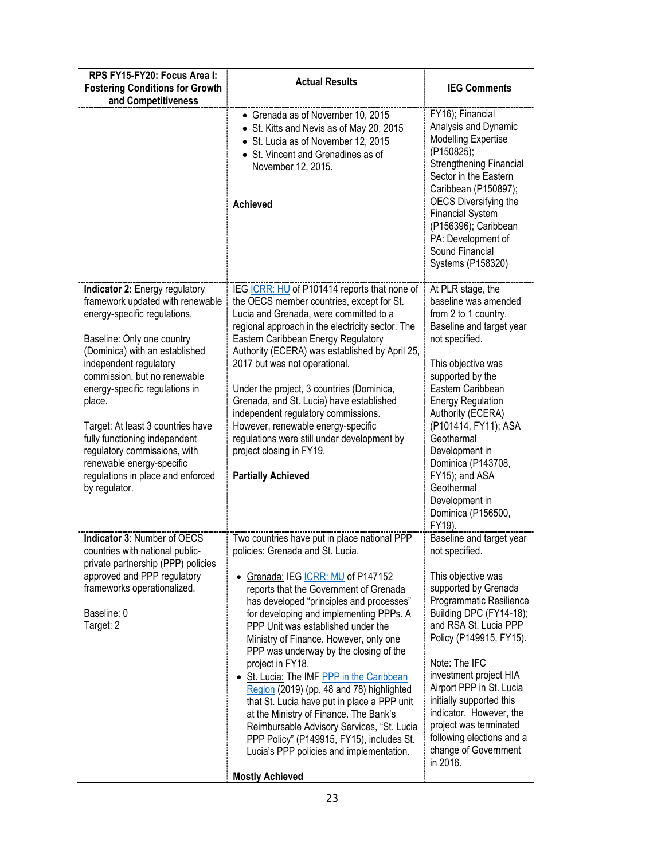| RPS FY15-FY20: Focus Area I:<br><b>Fostering Conditions for Growth</b><br>and Competitiveness                                                                                                                                                                                                                                                                                                                                                                     | <b>Actual Results</b>                                                                                                                                                                                                                                                                                                                                                                                                                                                                                                                                                                                                                                                                                                                                     | <b>IEG Comments</b>                                                                                                                                                                                                                                                                                                                                                                                                         |
|-------------------------------------------------------------------------------------------------------------------------------------------------------------------------------------------------------------------------------------------------------------------------------------------------------------------------------------------------------------------------------------------------------------------------------------------------------------------|-----------------------------------------------------------------------------------------------------------------------------------------------------------------------------------------------------------------------------------------------------------------------------------------------------------------------------------------------------------------------------------------------------------------------------------------------------------------------------------------------------------------------------------------------------------------------------------------------------------------------------------------------------------------------------------------------------------------------------------------------------------|-----------------------------------------------------------------------------------------------------------------------------------------------------------------------------------------------------------------------------------------------------------------------------------------------------------------------------------------------------------------------------------------------------------------------------|
|                                                                                                                                                                                                                                                                                                                                                                                                                                                                   | • Grenada as of November 10, 2015<br>• St. Kitts and Nevis as of May 20, 2015<br>• St. Lucia as of November 12, 2015<br>• St. Vincent and Grenadines as of<br>November 12, 2015.<br><b>Achieved</b>                                                                                                                                                                                                                                                                                                                                                                                                                                                                                                                                                       | FY16); Financial<br>Analysis and Dynamic<br><b>Modelling Expertise</b><br>(P150825);<br>Strengthening Financial<br>Sector in the Eastern<br>Caribbean (P150897);<br><b>OECS Diversifying the</b><br><b>Financial System</b><br>(P156396); Caribbean<br>PA: Development of<br>Sound Financial<br>Systems (P158320)                                                                                                           |
| Indicator 2: Energy regulatory<br>framework updated with renewable<br>energy-specific regulations.<br>Baseline: Only one country<br>(Dominica) with an established<br>independent regulatory<br>commission, but no renewable<br>energy-specific regulations in<br>place.<br>Target: At least 3 countries have<br>fully functioning independent<br>regulatory commissions, with<br>renewable energy-specific<br>regulations in place and enforced<br>by regulator. | IEG ICRR: HU of P101414 reports that none of<br>the OECS member countries, except for St.<br>Lucia and Grenada, were committed to a<br>regional approach in the electricity sector. The<br>Eastern Caribbean Energy Regulatory<br>Authority (ECERA) was established by April 25,<br>2017 but was not operational.<br>Under the project, 3 countries (Dominica,<br>Grenada, and St. Lucia) have established<br>independent regulatory commissions.<br>However, renewable energy-specific<br>regulations were still under development by<br>project closing in FY19.<br><b>Partially Achieved</b>                                                                                                                                                           | At PLR stage, the<br>baseline was amended<br>from 2 to 1 country.<br>Baseline and target year<br>not specified.<br>This objective was<br>supported by the<br>Eastern Caribbean<br><b>Energy Regulation</b><br>Authority (ECERA)<br>(P101414, FY11); ASA<br>Geothermal<br>Development in<br>Dominica (P143708,<br>FY15); and ASA<br>Geothermal<br>Development in<br>Dominica (P156500,<br>FY19).                             |
| Indicator 3: Number of OECS<br>countries with national public-<br>private partnership (PPP) policies<br>approved and PPP regulatory<br>frameworks operationalized.<br>Baseline: 0<br>Target: 2                                                                                                                                                                                                                                                                    | Two countries have put in place national PPP<br>policies: Grenada and St. Lucia.<br>• Grenada: IEG ICRR: MU of P147152<br>reports that the Government of Grenada<br>has developed "principles and processes"<br>for developing and implementing PPPs. A<br>PPP Unit was established under the<br>Ministry of Finance. However, only one<br>PPP was underway by the closing of the<br>project in FY18.<br>• St. Lucia: The IMF PPP in the Caribbean<br>Region (2019) (pp. 48 and 78) highlighted<br>that St. Lucia have put in place a PPP unit<br>at the Ministry of Finance. The Bank's<br>Reimbursable Advisory Services, "St. Lucia<br>PPP Policy" (P149915, FY15), includes St.<br>Lucia's PPP policies and implementation.<br><b>Mostly Achieved</b> | Baseline and target year<br>not specified.<br>This objective was<br>supported by Grenada<br>Programmatic Resilience<br>Building DPC (FY14-18);<br>and RSA St. Lucia PPP<br>Policy (P149915, FY15).<br>Note: The IFC<br>investment project HIA<br>Airport PPP in St. Lucia<br>initially supported this<br>indicator. However, the<br>project was terminated<br>following elections and a<br>change of Government<br>in 2016. |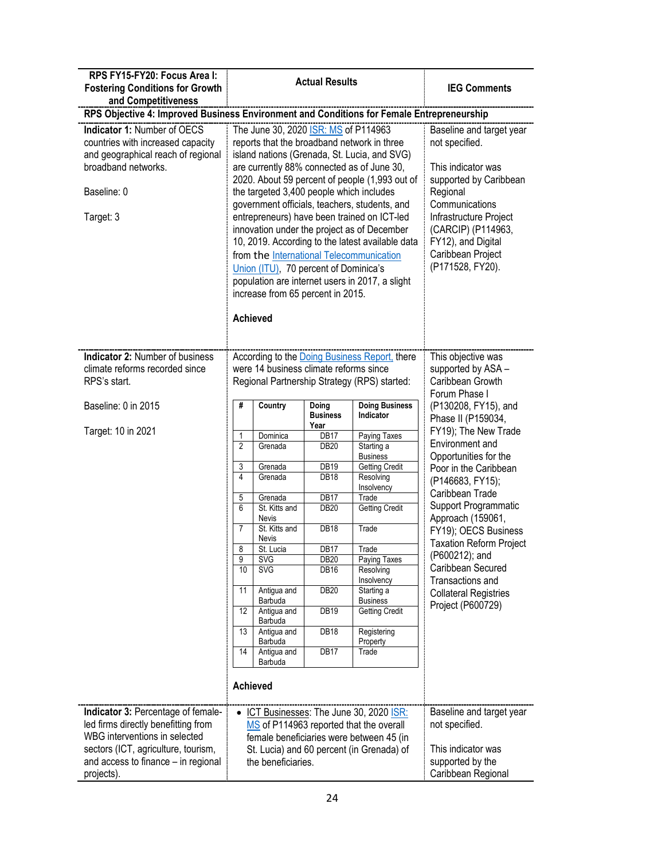| RPS FY15-FY20: Focus Area I:<br><b>Fostering Conditions for Growth</b><br>and Competitiveness                                                                                                          | <b>Actual Results</b>                                                                                                                                                                                                                                                                                                                                                                                                                                                                                                                                                                                                                                                              |                                                                                                                                                                                                                                                           |                                                                                                                                                                                             |                                                                                                                                                                                                                                                                                                | <b>IEG Comments</b>                                                                                                                                                                                                                                                                                                                                     |  |
|--------------------------------------------------------------------------------------------------------------------------------------------------------------------------------------------------------|------------------------------------------------------------------------------------------------------------------------------------------------------------------------------------------------------------------------------------------------------------------------------------------------------------------------------------------------------------------------------------------------------------------------------------------------------------------------------------------------------------------------------------------------------------------------------------------------------------------------------------------------------------------------------------|-----------------------------------------------------------------------------------------------------------------------------------------------------------------------------------------------------------------------------------------------------------|---------------------------------------------------------------------------------------------------------------------------------------------------------------------------------------------|------------------------------------------------------------------------------------------------------------------------------------------------------------------------------------------------------------------------------------------------------------------------------------------------|---------------------------------------------------------------------------------------------------------------------------------------------------------------------------------------------------------------------------------------------------------------------------------------------------------------------------------------------------------|--|
|                                                                                                                                                                                                        | RPS Objective 4: Improved Business Environment and Conditions for Female Entrepreneurship                                                                                                                                                                                                                                                                                                                                                                                                                                                                                                                                                                                          |                                                                                                                                                                                                                                                           |                                                                                                                                                                                             |                                                                                                                                                                                                                                                                                                |                                                                                                                                                                                                                                                                                                                                                         |  |
| Indicator 1: Number of OECS<br>countries with increased capacity<br>and geographical reach of regional<br>broadband networks.<br>Baseline: 0<br>Target: 3                                              | The June 30, 2020 ISR: MS of P114963<br>reports that the broadband network in three<br>island nations (Grenada, St. Lucia, and SVG)<br>are currently 88% connected as of June 30,<br>2020. About 59 percent of people (1,993 out of<br>the targeted 3,400 people which includes<br>government officials, teachers, students, and<br>entrepreneurs) have been trained on ICT-led<br>innovation under the project as of December<br>10, 2019. According to the latest available data<br>from the International Telecommunication<br>Union (ITU), 70 percent of Dominica's<br>population are internet users in 2017, a slight<br>increase from 65 percent in 2015.<br><b>Achieved</b> |                                                                                                                                                                                                                                                           |                                                                                                                                                                                             |                                                                                                                                                                                                                                                                                                | Baseline and target year<br>not specified.<br>This indicator was<br>supported by Caribbean<br>Regional<br>Communications<br>Infrastructure Project<br>(CARCIP) (P114963,<br>FY12), and Digital<br>Caribbean Project<br>(P171528, FY20).                                                                                                                 |  |
| <b>Indicator 2: Number of business</b><br>climate reforms recorded since<br>RPS's start.                                                                                                               |                                                                                                                                                                                                                                                                                                                                                                                                                                                                                                                                                                                                                                                                                    |                                                                                                                                                                                                                                                           | were 14 business climate reforms since                                                                                                                                                      | According to the Doing Business Report, there<br>Regional Partnership Strategy (RPS) started:                                                                                                                                                                                                  | This objective was<br>supported by ASA -<br>Caribbean Growth<br>Forum Phase I                                                                                                                                                                                                                                                                           |  |
| Baseline: 0 in 2015                                                                                                                                                                                    | #                                                                                                                                                                                                                                                                                                                                                                                                                                                                                                                                                                                                                                                                                  | Country                                                                                                                                                                                                                                                   | Doing<br><b>Business</b>                                                                                                                                                                    | <b>Doing Business</b><br>Indicator                                                                                                                                                                                                                                                             | (P130208, FY15), and<br>Phase II (P159034,                                                                                                                                                                                                                                                                                                              |  |
| Target: 10 in 2021                                                                                                                                                                                     | 1<br>$\overline{2}$<br>3<br>4<br>5<br>6<br>$\overline{7}$<br>8<br>9<br>10<br>11<br>12<br>13<br>14<br><b>Achieved</b>                                                                                                                                                                                                                                                                                                                                                                                                                                                                                                                                                               | Dominica<br>Grenada<br>Grenada<br>Grenada<br>Grenada<br>St. Kitts and<br>Nevis<br>St. Kitts and<br>Nevis<br>St. Lucia<br><b>SVG</b><br><b>SVG</b><br>Antigua and<br>Barbuda<br>Antigua and<br>Barbuda<br>Antigua and<br>Barbuda<br>Antigua and<br>Barbuda | Year<br>DB17<br>DB <sub>20</sub><br>DB19<br><b>DB18</b><br>DB17<br><b>DB20</b><br><b>DB18</b><br>DB17<br>DB <sub>20</sub><br><b>DB16</b><br><b>DB20</b><br>DB <sub>19</sub><br>DB18<br>DB17 | Paying Taxes<br>Starting a<br><b>Business</b><br><b>Getting Credit</b><br>Resolving<br>Insolvency<br>Trade<br><b>Getting Credit</b><br>Trade<br>Trade<br>Paying Taxes<br>Resolving<br>Insolvency<br>Starting a<br><b>Business</b><br><b>Getting Credit</b><br>Registering<br>Property<br>Trade | FY19); The New Trade<br>Environment and<br>Opportunities for the<br>Poor in the Caribbean<br>(P146683, FY15);<br>Caribbean Trade<br>Support Programmatic<br>Approach (159061,<br>FY19); OECS Business<br><b>Taxation Reform Project</b><br>(P600212); and<br>Caribbean Secured<br>Transactions and<br><b>Collateral Registries</b><br>Project (P600729) |  |
| Indicator 3: Percentage of female-<br>led firms directly benefitting from<br>WBG interventions in selected<br>sectors (ICT, agriculture, tourism,<br>and access to finance - in regional<br>projects). | • ICT Businesses: The June 30, 2020 ISR:<br>MS of P114963 reported that the overall<br>female beneficiaries were between 45 (in<br>St. Lucia) and 60 percent (in Grenada) of<br>the beneficiaries.                                                                                                                                                                                                                                                                                                                                                                                                                                                                                 |                                                                                                                                                                                                                                                           |                                                                                                                                                                                             |                                                                                                                                                                                                                                                                                                | Baseline and target year<br>not specified.<br>This indicator was<br>supported by the<br>Caribbean Regional                                                                                                                                                                                                                                              |  |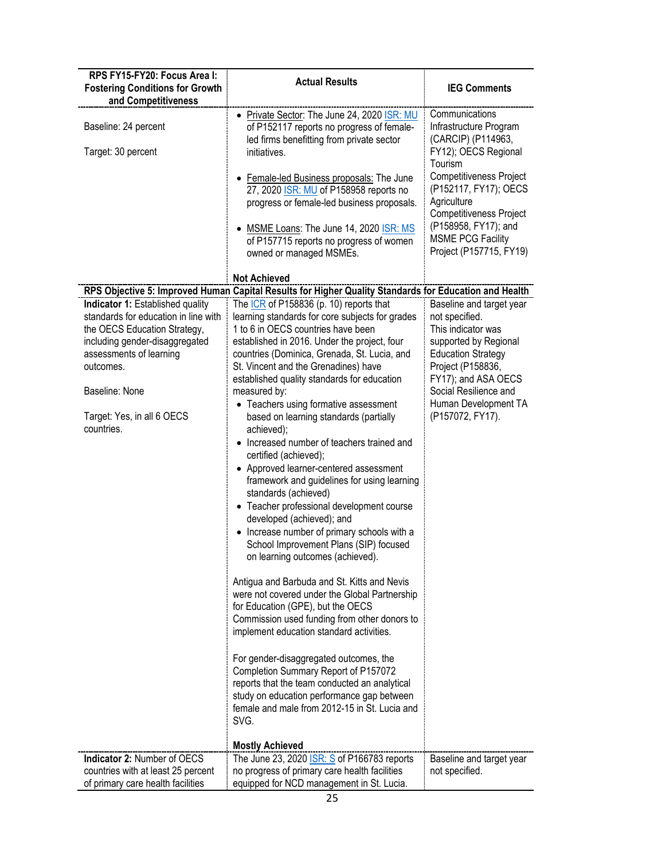| RPS FY15-FY20: Focus Area I:<br><b>Fostering Conditions for Growth</b><br>and Competitiveness                                                                                                                                                    | <b>Actual Results</b>                                                                                                                                                                                                                                                                                                                                                                                                                                                                                                                                                                                                                                                                                                                                                                                                                                                                                                                                                                                                                                                                                                                                                                                                       | <b>IEG Comments</b>                                                                                                                                                                                                                                                                          |
|--------------------------------------------------------------------------------------------------------------------------------------------------------------------------------------------------------------------------------------------------|-----------------------------------------------------------------------------------------------------------------------------------------------------------------------------------------------------------------------------------------------------------------------------------------------------------------------------------------------------------------------------------------------------------------------------------------------------------------------------------------------------------------------------------------------------------------------------------------------------------------------------------------------------------------------------------------------------------------------------------------------------------------------------------------------------------------------------------------------------------------------------------------------------------------------------------------------------------------------------------------------------------------------------------------------------------------------------------------------------------------------------------------------------------------------------------------------------------------------------|----------------------------------------------------------------------------------------------------------------------------------------------------------------------------------------------------------------------------------------------------------------------------------------------|
| Baseline: 24 percent<br>Target: 30 percent                                                                                                                                                                                                       | • Private Sector: The June 24, 2020 ISR: MU<br>of P152117 reports no progress of female-<br>led firms benefitting from private sector<br>initiatives.<br>Female-led Business proposals: The June<br>27, 2020 <b>ISR: MU</b> of P158958 reports no<br>progress or female-led business proposals.<br>• MSME Loans: The June 14, 2020 ISR: MS<br>of P157715 reports no progress of women<br>owned or managed MSMEs.                                                                                                                                                                                                                                                                                                                                                                                                                                                                                                                                                                                                                                                                                                                                                                                                            | Communications<br>Infrastructure Program<br>(CARCIP) (P114963,<br>FY12); OECS Regional<br>Tourism<br><b>Competitiveness Project</b><br>(P152117, FY17); OECS<br>Agriculture<br><b>Competitiveness Project</b><br>(P158958, FY17); and<br><b>MSME PCG Facility</b><br>Project (P157715, FY19) |
|                                                                                                                                                                                                                                                  | <b>Not Achieved</b>                                                                                                                                                                                                                                                                                                                                                                                                                                                                                                                                                                                                                                                                                                                                                                                                                                                                                                                                                                                                                                                                                                                                                                                                         |                                                                                                                                                                                                                                                                                              |
| Indicator 1: Established quality<br>standards for education in line with<br>the OECS Education Strategy,<br>including gender-disaggregated<br>assessments of learning<br>outcomes.<br>Baseline: None<br>Target: Yes, in all 6 OECS<br>countries. | RPS Objective 5: Improved Human Capital Results for Higher Quality Standards for Education and Health<br>The ICR of P158836 (p. 10) reports that<br>learning standards for core subjects for grades<br>1 to 6 in OECS countries have been<br>established in 2016. Under the project, four<br>countries (Dominica, Grenada, St. Lucia, and<br>St. Vincent and the Grenadines) have<br>established quality standards for education<br>measured by:<br>• Teachers using formative assessment<br>based on learning standards (partially<br>achieved);<br>• Increased number of teachers trained and<br>certified (achieved);<br>• Approved learner-centered assessment<br>framework and guidelines for using learning<br>standards (achieved)<br>• Teacher professional development course<br>developed (achieved); and<br>• Increase number of primary schools with a<br>School Improvement Plans (SIP) focused<br>on learning outcomes (achieved).<br>Antigua and Barbuda and St. Kitts and Nevis<br>were not covered under the Global Partnership<br>for Education (GPE), but the OECS<br>Commission used funding from other donors to<br>implement education standard activities.<br>For gender-disaggregated outcomes, the | Baseline and target year<br>not specified.<br>This indicator was<br>supported by Regional<br><b>Education Strategy</b><br>Project (P158836,<br>FY17); and ASA OECS<br>Social Resilience and<br>Human Development TA<br>(P157072, FY17).                                                      |
|                                                                                                                                                                                                                                                  | Completion Summary Report of P157072<br>reports that the team conducted an analytical<br>study on education performance gap between<br>female and male from 2012-15 in St. Lucia and<br>SVG.<br><b>Mostly Achieved</b>                                                                                                                                                                                                                                                                                                                                                                                                                                                                                                                                                                                                                                                                                                                                                                                                                                                                                                                                                                                                      |                                                                                                                                                                                                                                                                                              |
| Indicator 2: Number of OECS<br>countries with at least 25 percent<br>of primary care health facilities                                                                                                                                           | The June 23, 2020 <b>ISR: S</b> of P166783 reports<br>no progress of primary care health facilities<br>equipped for NCD management in St. Lucia.                                                                                                                                                                                                                                                                                                                                                                                                                                                                                                                                                                                                                                                                                                                                                                                                                                                                                                                                                                                                                                                                            | Baseline and target year<br>not specified.                                                                                                                                                                                                                                                   |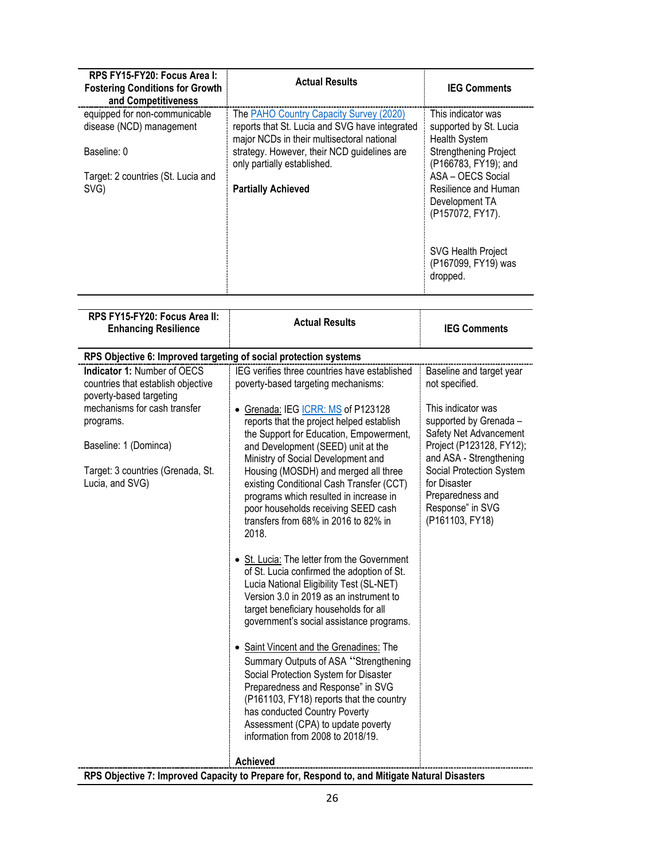| RPS FY15-FY20: Focus Area I:<br><b>Fostering Conditions for Growth</b><br>and Competitiveness | <b>Actual Results</b>                                                                                                                   | <b>IEG Comments</b>                                                             |
|-----------------------------------------------------------------------------------------------|-----------------------------------------------------------------------------------------------------------------------------------------|---------------------------------------------------------------------------------|
| equipped for non-communicable<br>disease (NCD) management                                     | The PAHO Country Capacity Survey (2020)<br>reports that St. Lucia and SVG have integrated<br>major NCDs in their multisectoral national | This indicator was<br>supported by St. Lucia<br>Health System                   |
| Baseline: 0                                                                                   | strategy. However, their NCD guidelines are<br>only partially established.                                                              | <b>Strengthening Project</b><br>(P166783, FY19); and                            |
| Target: 2 countries (St. Lucia and<br>SVG)                                                    | <b>Partially Achieved</b>                                                                                                               | ASA - OECS Social<br>Resilience and Human<br>Development TA<br>(P157072, FY17). |
|                                                                                               |                                                                                                                                         | <b>SVG Health Project</b><br>(P167099, FY19) was<br>dropped.                    |

| RPS FY15-FY20: Focus Area II:<br><b>Enhancing Resilience</b>                                                                                                                                                                      | <b>Actual Results</b>                                                                                                                                                                                                                                                                                                                                                                                                                                                                                                                                                                                                                                                                                                                                                                                                                                                                                                                                         | <b>IEG Comments</b>                                                                                                                                                                                                                                                                |  |  |  |  |
|-----------------------------------------------------------------------------------------------------------------------------------------------------------------------------------------------------------------------------------|---------------------------------------------------------------------------------------------------------------------------------------------------------------------------------------------------------------------------------------------------------------------------------------------------------------------------------------------------------------------------------------------------------------------------------------------------------------------------------------------------------------------------------------------------------------------------------------------------------------------------------------------------------------------------------------------------------------------------------------------------------------------------------------------------------------------------------------------------------------------------------------------------------------------------------------------------------------|------------------------------------------------------------------------------------------------------------------------------------------------------------------------------------------------------------------------------------------------------------------------------------|--|--|--|--|
| RPS Objective 6: Improved targeting of social protection systems                                                                                                                                                                  |                                                                                                                                                                                                                                                                                                                                                                                                                                                                                                                                                                                                                                                                                                                                                                                                                                                                                                                                                               |                                                                                                                                                                                                                                                                                    |  |  |  |  |
| <b>Indicator 1: Number of OECS</b><br>countries that establish objective<br>poverty-based targeting<br>mechanisms for cash transfer<br>programs.<br>Baseline: 1 (Dominca)<br>Target: 3 countries (Grenada, St.<br>Lucia, and SVG) | IEG verifies three countries have established<br>poverty-based targeting mechanisms:<br>Grenada: IEG ICRR: MS of P123128<br>reports that the project helped establish<br>the Support for Education, Empowerment,<br>and Development (SEED) unit at the<br>Ministry of Social Development and<br>Housing (MOSDH) and merged all three<br>existing Conditional Cash Transfer (CCT)<br>programs which resulted in increase in<br>poor households receiving SEED cash<br>transfers from 68% in 2016 to 82% in<br>2018.<br>• St. Lucia: The letter from the Government<br>of St. Lucia confirmed the adoption of St.<br>Lucia National Eligibility Test (SL-NET)<br>Version 3.0 in 2019 as an instrument to<br>target beneficiary households for all<br>government's social assistance programs.<br>• Saint Vincent and the Grenadines: The<br>Summary Outputs of ASA "Strengthening<br>Social Protection System for Disaster<br>Preparedness and Response" in SVG | Baseline and target year<br>not specified.<br>This indicator was<br>supported by Grenada -<br>Safety Net Advancement<br>Project (P123128, FY12);<br>and ASA - Strengthening<br>Social Protection System<br>for Disaster<br>Preparedness and<br>Response" in SVG<br>(P161103, FY18) |  |  |  |  |
|                                                                                                                                                                                                                                   | (P161103, FY18) reports that the country<br>has conducted Country Poverty<br>Assessment (CPA) to update poverty<br>information from 2008 to 2018/19.                                                                                                                                                                                                                                                                                                                                                                                                                                                                                                                                                                                                                                                                                                                                                                                                          |                                                                                                                                                                                                                                                                                    |  |  |  |  |
|                                                                                                                                                                                                                                   | <b>Achieved</b>                                                                                                                                                                                                                                                                                                                                                                                                                                                                                                                                                                                                                                                                                                                                                                                                                                                                                                                                               |                                                                                                                                                                                                                                                                                    |  |  |  |  |
|                                                                                                                                                                                                                                   | RPS Objective 7: Improved Capacity to Prepare for, Respond to, and Mitigate Natural Disasters                                                                                                                                                                                                                                                                                                                                                                                                                                                                                                                                                                                                                                                                                                                                                                                                                                                                 |                                                                                                                                                                                                                                                                                    |  |  |  |  |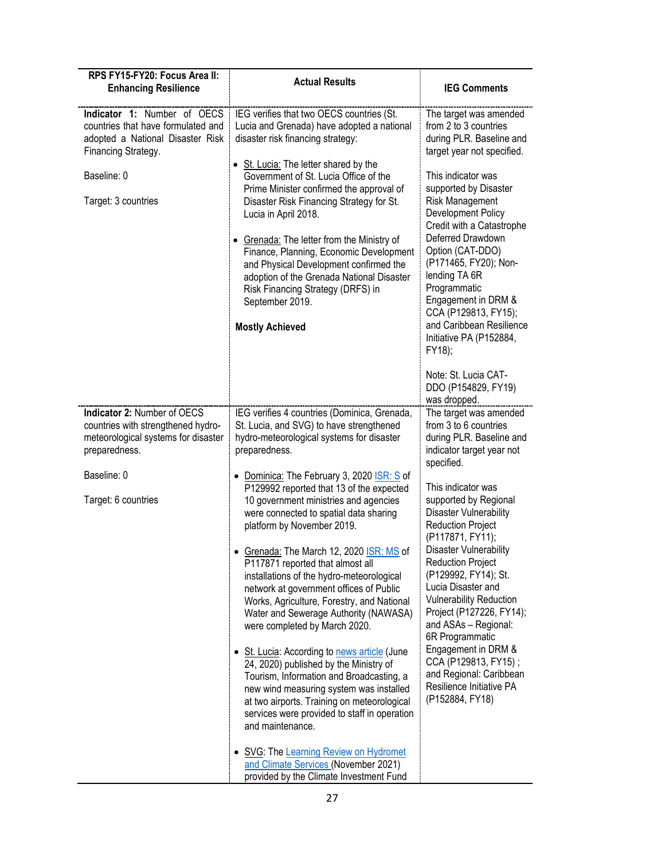| RPS FY15-FY20: Focus Area II:<br><b>Enhancing Resilience</b>                                                                                                       | <b>Actual Results</b>                                                                                                                                                                                                                                                                                                                                                                                                                                                                                                                               | <b>IEG Comments</b>                                                                                                                                                                                                                                                                                                                      |
|--------------------------------------------------------------------------------------------------------------------------------------------------------------------|-----------------------------------------------------------------------------------------------------------------------------------------------------------------------------------------------------------------------------------------------------------------------------------------------------------------------------------------------------------------------------------------------------------------------------------------------------------------------------------------------------------------------------------------------------|------------------------------------------------------------------------------------------------------------------------------------------------------------------------------------------------------------------------------------------------------------------------------------------------------------------------------------------|
| Indicator 1: Number of OECS<br>countries that have formulated and<br>adopted a National Disaster Risk<br>Financing Strategy.<br>Baseline: 0<br>Target: 3 countries | IEG verifies that two OECS countries (St.<br>Lucia and Grenada) have adopted a national<br>disaster risk financing strategy:<br>• St. Lucia: The letter shared by the<br>Government of St. Lucia Office of the<br>Prime Minister confirmed the approval of<br>Disaster Risk Financing Strategy for St.<br>Lucia in April 2018.<br>• Grenada: The letter from the Ministry of<br>Finance, Planning, Economic Development<br>and Physical Development confirmed the<br>adoption of the Grenada National Disaster<br>Risk Financing Strategy (DRFS) in | The target was amended<br>from 2 to 3 countries<br>during PLR. Baseline and<br>target year not specified.<br>This indicator was<br>supported by Disaster<br><b>Risk Management</b><br>Development Policy<br>Credit with a Catastrophe<br>Deferred Drawdown<br>Option (CAT-DDO)<br>(P171465, FY20); Non-<br>lending TA 6R<br>Programmatic |
|                                                                                                                                                                    | September 2019.<br><b>Mostly Achieved</b>                                                                                                                                                                                                                                                                                                                                                                                                                                                                                                           | Engagement in DRM &<br>CCA (P129813, FY15);<br>and Caribbean Resilience<br>Initiative PA (P152884,<br>FY18);                                                                                                                                                                                                                             |
|                                                                                                                                                                    |                                                                                                                                                                                                                                                                                                                                                                                                                                                                                                                                                     | Note: St. Lucia CAT-<br>DDO (P154829, FY19)<br>was dropped.                                                                                                                                                                                                                                                                              |
| Indicator 2: Number of OECS<br>countries with strengthened hydro-<br>meteorological systems for disaster<br>preparedness.                                          | IEG verifies 4 countries (Dominica, Grenada,<br>St. Lucia, and SVG) to have strengthened<br>hydro-meteorological systems for disaster<br>preparedness.                                                                                                                                                                                                                                                                                                                                                                                              | The target was amended<br>from 3 to 6 countries<br>during PLR. Baseline and<br>indicator target year not<br>specified.                                                                                                                                                                                                                   |
| Baseline: 0<br>Target: 6 countries                                                                                                                                 | • Dominica: The February 3, 2020 ISR: S of<br>P129992 reported that 13 of the expected<br>10 government ministries and agencies<br>were connected to spatial data sharing<br>platform by November 2019.                                                                                                                                                                                                                                                                                                                                             | This indicator was<br>supported by Regional<br>Disaster Vulnerability<br><b>Reduction Project</b><br>(P117871, FY11);                                                                                                                                                                                                                    |
|                                                                                                                                                                    | • Grenada: The March 12, 2020 ISR: MS of<br>P117871 reported that almost all<br>installations of the hydro-meteorological<br>network at government offices of Public<br>Works, Agriculture, Forestry, and National<br>Water and Sewerage Authority (NAWASA)<br>were completed by March 2020.                                                                                                                                                                                                                                                        | Disaster Vulnerability<br><b>Reduction Project</b><br>(P129992, FY14); St.<br>Lucia Disaster and<br><b>Vulnerability Reduction</b><br>Project (P127226, FY14);<br>and ASAs - Regional:<br>6R Programmatic                                                                                                                                |
|                                                                                                                                                                    | • St. Lucia: According to news article (June<br>24, 2020) published by the Ministry of<br>Tourism, Information and Broadcasting, a<br>new wind measuring system was installed<br>at two airports. Training on meteorological<br>services were provided to staff in operation<br>and maintenance.                                                                                                                                                                                                                                                    | Engagement in DRM &<br>CCA (P129813, FY15);<br>and Regional: Caribbean<br>Resilience Initiative PA<br>(P152884, FY18)                                                                                                                                                                                                                    |
|                                                                                                                                                                    | • SVG: The Learning Review on Hydromet<br>and Climate Services (November 2021)<br>provided by the Climate Investment Fund                                                                                                                                                                                                                                                                                                                                                                                                                           |                                                                                                                                                                                                                                                                                                                                          |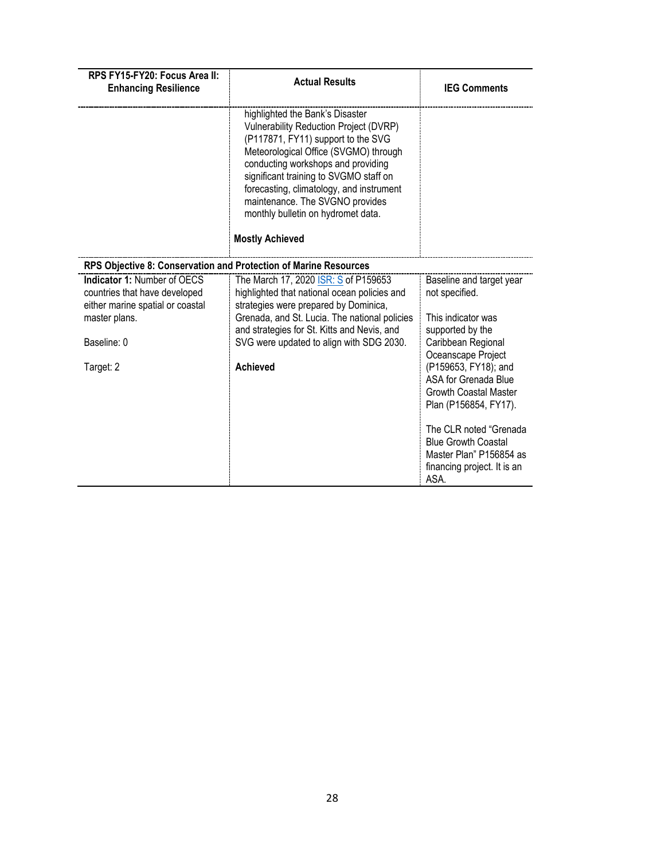| RPS FY15-FY20: Focus Area II:<br><b>Enhancing Resilience</b>                                                                                         | <b>Actual Results</b>                                                                                                                                                                                                                                                                                                                                                                   | <b>IEG Comments</b>                                                                                                                                                                                                                                                                                                                                                 |
|------------------------------------------------------------------------------------------------------------------------------------------------------|-----------------------------------------------------------------------------------------------------------------------------------------------------------------------------------------------------------------------------------------------------------------------------------------------------------------------------------------------------------------------------------------|---------------------------------------------------------------------------------------------------------------------------------------------------------------------------------------------------------------------------------------------------------------------------------------------------------------------------------------------------------------------|
|                                                                                                                                                      | highlighted the Bank's Disaster<br>Vulnerability Reduction Project (DVRP)<br>(P117871, FY11) support to the SVG<br>Meteorological Office (SVGMO) through<br>conducting workshops and providing<br>significant training to SVGMO staff on<br>forecasting, climatology, and instrument<br>maintenance. The SVGNO provides<br>monthly bulletin on hydromet data.<br><b>Mostly Achieved</b> |                                                                                                                                                                                                                                                                                                                                                                     |
| RPS Objective 8: Conservation and Protection of Marine Resources                                                                                     |                                                                                                                                                                                                                                                                                                                                                                                         |                                                                                                                                                                                                                                                                                                                                                                     |
| <b>Indicator 1: Number of OECS</b><br>countries that have developed<br>either marine spatial or coastal<br>master plans.<br>Baseline: 0<br>Target: 2 | The March 17, 2020 ISR: S of P159653<br>highlighted that national ocean policies and<br>strategies were prepared by Dominica,<br>Grenada, and St. Lucia. The national policies<br>and strategies for St. Kitts and Nevis, and<br>SVG were updated to align with SDG 2030.<br><b>Achieved</b>                                                                                            | Baseline and target year<br>not specified.<br>This indicator was<br>supported by the<br>Caribbean Regional<br>Oceanscape Project<br>(P159653, FY18); and<br>ASA for Grenada Blue<br><b>Growth Coastal Master</b><br>Plan (P156854, FY17).<br>The CLR noted "Grenada<br><b>Blue Growth Coastal</b><br>Master Plan" P156854 as<br>financing project. It is an<br>ASA. |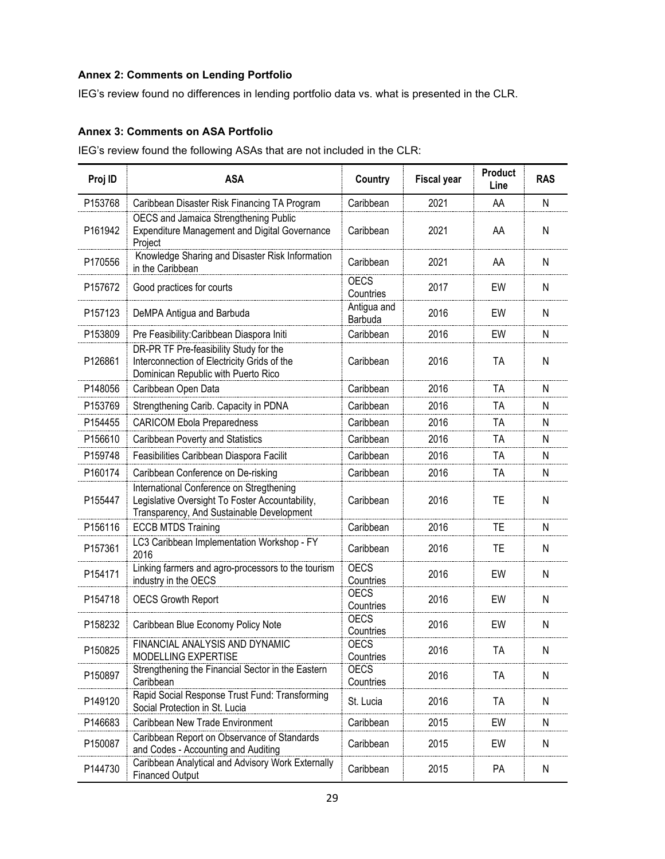# **Annex 2: Comments on Lending Portfolio**

IEG's review found no differences in lending portfolio data vs. what is presented in the CLR.

### **Annex 3: Comments on ASA Portfolio**

IEG's review found the following ASAs that are not included in the CLR:

| Proj ID             | <b>ASA</b>                                                                                                                               | Country                  | <b>Fiscal year</b> | <b>Product</b><br>Line | <b>RAS</b> |
|---------------------|------------------------------------------------------------------------------------------------------------------------------------------|--------------------------|--------------------|------------------------|------------|
| P153768             | Caribbean Disaster Risk Financing TA Program                                                                                             | Caribbean                | 2021               | AA                     | Ν          |
| P161942             | OECS and Jamaica Strengthening Public<br><b>Expenditure Management and Digital Governance</b><br>Project                                 | Caribbean                | 2021               | AA                     | N          |
| P170556             | Knowledge Sharing and Disaster Risk Information<br>in the Caribbean                                                                      | Caribbean                | 2021               | AA                     | N          |
| P157672             | Good practices for courts                                                                                                                | <b>OECS</b><br>Countries | 2017               | EW                     | N          |
| P <sub>157123</sub> | DeMPA Antigua and Barbuda                                                                                                                | Antigua and<br>Barbuda   | 2016               | EW                     | Ν          |
| P153809             | Pre Feasibility: Caribbean Diaspora Initi                                                                                                | Caribbean                | 2016               | EW                     | N          |
| P126861             | DR-PR TF Pre-feasibility Study for the<br>Interconnection of Electricity Grids of the<br>Dominican Republic with Puerto Rico             | Caribbean                | 2016               | <b>TA</b>              | N          |
| P148056             | Caribbean Open Data                                                                                                                      | Caribbean                | 2016               | TA                     | N          |
| P153769             | Strengthening Carib. Capacity in PDNA                                                                                                    | Caribbean                | 2016               | TA                     | N          |
| P154455             | <b>CARICOM Ebola Preparedness</b>                                                                                                        | Caribbean                | 2016               | TA                     | Ν          |
| P156610             | Caribbean Poverty and Statistics                                                                                                         | Caribbean                | 2016               | TA                     | N          |
| P159748             | Feasibilities Caribbean Diaspora Facilit                                                                                                 | Caribbean                | 2016               | ТA                     | N          |
| P160174             | Caribbean Conference on De-risking                                                                                                       | Caribbean                | 2016               | <b>TA</b>              | Ν          |
| P155447             | International Conference on Stregthening<br>Legislative Oversight To Foster Accountability,<br>Transparency, And Sustainable Development | Caribbean                | 2016               | <b>TE</b>              | N          |
| P156116             | <b>ECCB MTDS Training</b>                                                                                                                | Caribbean                | 2016               | TE                     | Ν          |
| P157361             | LC3 Caribbean Implementation Workshop - FY<br>2016                                                                                       | Caribbean                | 2016               | TE                     | N          |
| P154171             | Linking farmers and agro-processors to the tourism<br>industry in the OECS                                                               | <b>OECS</b><br>Countries | 2016               | EW                     | N          |
| P154718             | <b>OECS Growth Report</b>                                                                                                                | <b>OECS</b><br>Countries | 2016               | EW                     | Ν          |
| P158232             | Caribbean Blue Economy Policy Note                                                                                                       | <b>OECS</b><br>Countries | 2016               | EW                     | Ν          |
| P150825             | FINANCIAL ANALYSIS AND DYNAMIC<br>MODELLING EXPERTISE                                                                                    | <b>OECS</b><br>Countries | 2016               | <b>TA</b>              | N          |
| P150897             | Strengthening the Financial Sector in the Eastern<br>Caribbean                                                                           | <b>OECS</b><br>Countries | 2016               | TA                     | Ν          |
| P149120             | Rapid Social Response Trust Fund: Transforming<br>Social Protection in St. Lucia                                                         | St. Lucia                | 2016               | TA                     | N          |
| P146683             | Caribbean New Trade Environment                                                                                                          | Caribbean                | 2015               | EW                     | Ν          |
| P150087             | Caribbean Report on Observance of Standards<br>and Codes - Accounting and Auditing                                                       | Caribbean                | 2015               | EW                     | Ν          |
| P144730             | Caribbean Analytical and Advisory Work Externally<br><b>Financed Output</b>                                                              | Caribbean                | 2015               | PA                     | Ν          |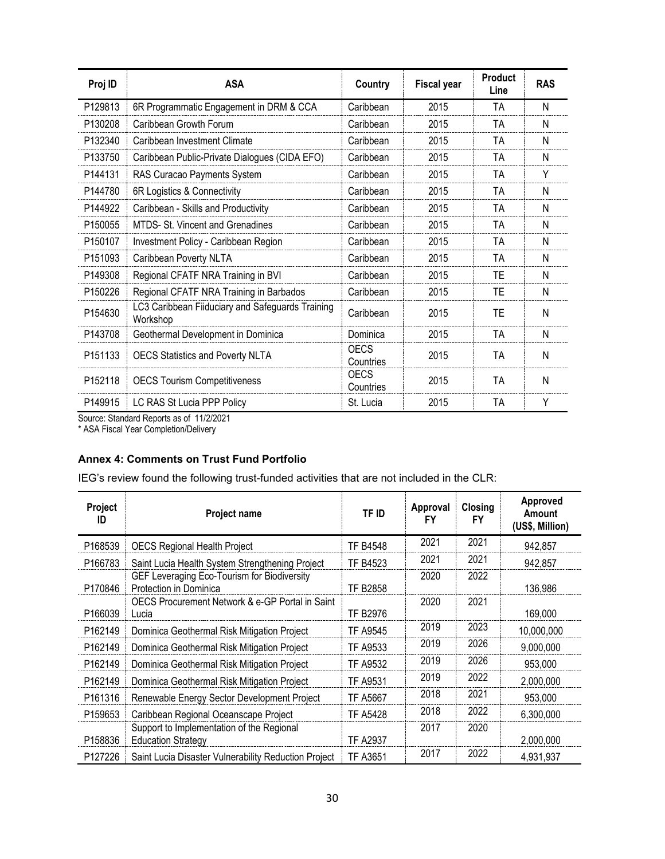| Proj ID             | <b>ASA</b>                                                   | Country           | <b>Fiscal year</b> | <b>Product</b><br>Line | <b>RAS</b> |
|---------------------|--------------------------------------------------------------|-------------------|--------------------|------------------------|------------|
| P129813             | 6R Programmatic Engagement in DRM & CCA                      | Caribbean         | 2015               | TA                     | N          |
| P130208             | Caribbean Growth Forum                                       | Caribbean         | 2015               | TA                     | N          |
| P132340             | Caribbean Investment Climate                                 | Caribbean         | 2015               | TA                     | N          |
| P133750             | Caribbean Public-Private Dialogues (CIDA EFO)                | Caribbean         | 2015               | TA                     | N          |
| P144131             | RAS Curacao Payments System                                  | Caribbean         | 2015               | TA                     | Y          |
| P144780             | 6R Logistics & Connectivity                                  | Caribbean         | 2015               | TA                     | N          |
| P144922             | Caribbean - Skills and Productivity                          | Caribbean         | 2015               | TA                     | N          |
| P <sub>150055</sub> | MTDS- St. Vincent and Grenadines                             | Caribbean         | 2015               | TA                     | N          |
| P150107             | Investment Policy - Caribbean Region                         | Caribbean         | 2015               | TA                     | N          |
| P151093             | Caribbean Poverty NLTA                                       | Caribbean         | 2015               | TA                     | N          |
| P <sub>149308</sub> | Regional CFATF NRA Training in BVI                           | Caribbean         | 2015               | TE                     | N          |
| P150226             | Regional CFATF NRA Training in Barbados                      | Caribbean         | 2015               | TE                     | N          |
| P <sub>154630</sub> | LC3 Caribbean Fiiduciary and Safeguards Training<br>Workshop | Caribbean         | 2015               | ΤE                     | N          |
| P <sub>143708</sub> | Geothermal Development in Dominica                           | Dominica          | 2015               | TA                     | N          |
| P <sub>151133</sub> | <b>OECS Statistics and Poverty NLTA</b>                      | OECS<br>Countries | 2015               | TA                     | N          |
| P152118             | <b>OECS Tourism Competitiveness</b>                          | OECS<br>Countries | 2015               | TA                     | N          |
| P149915             | LC RAS St Lucia PPP Policy                                   | St. Lucia         | 2015               | TA                     | Y          |

Source: Standard Reports as of 11/2/2021

\* ASA Fiscal Year Completion/Delivery

## **Annex 4: Comments on Trust Fund Portfolio**

IEG's review found the following trust-funded activities that are not included in the CLR:

| Project<br>ID       | <b>Project name</b>                                                    | TF ID           | Approval<br>FY | Closing<br><b>FY</b> | Approved<br>Amount<br>(US\$, Million) |
|---------------------|------------------------------------------------------------------------|-----------------|----------------|----------------------|---------------------------------------|
| P168539             | <b>OECS Regional Health Project</b>                                    | <b>TF B4548</b> | 2021           | 2021                 | 942,857                               |
| P166783             | Saint Lucia Health System Strengthening Project                        | <b>TF B4523</b> | 2021           | 2021                 | 942,857                               |
| P170846             | GEF Leveraging Eco-Tourism for Biodiversity<br>Protection in Dominica  | <b>TF B2858</b> | 2020           | 2022                 | 136,986                               |
| P <sub>166039</sub> | OECS Procurement Network & e-GP Portal in Saint<br>Lucia               | <b>TF B2976</b> | 2020           | 2021                 | 169,000                               |
| P162149             | Dominica Geothermal Risk Mitigation Project                            | <b>TF A9545</b> | 2019           | 2023                 | 10,000,000                            |
| P162149             | Dominica Geothermal Risk Mitigation Project                            | <b>TF A9533</b> | 2019           | 2026                 | 9,000,000                             |
| P162149             | Dominica Geothermal Risk Mitigation Project                            | <b>TF A9532</b> | 2019           | 2026                 | 953,000                               |
| P <sub>162149</sub> | Dominica Geothermal Risk Mitigation Project                            | <b>TF A9531</b> | 2019           | 2022                 | 2,000,000                             |
| P161316             | Renewable Energy Sector Development Project                            | <b>TF A5667</b> | 2018           | 2021                 | 953,000                               |
| P159653             | Caribbean Regional Oceanscape Project                                  | <b>TF A5428</b> | 2018           | 2022                 | 6,300,000                             |
| P158836             | Support to Implementation of the Regional<br><b>Education Strategy</b> | <b>TF A2937</b> | 2017           | 2020                 | 2,000,000                             |
| P127226             | Saint Lucia Disaster Vulnerability Reduction Project                   | TF A3651        | 2017           | 2022                 | 4,931,937                             |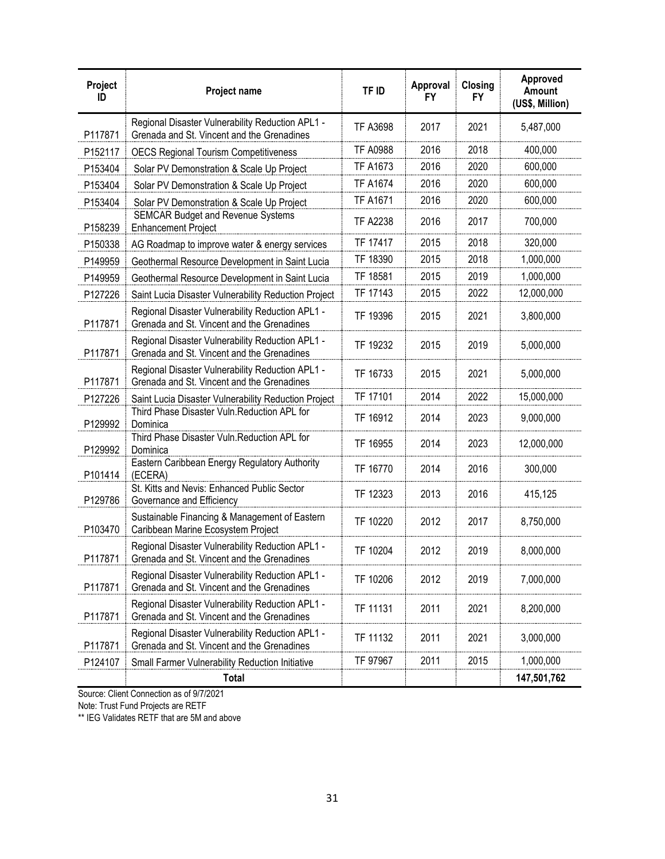| Project<br>ID | Project name                                                                                   | TF ID           | Approval<br><b>FY</b> | Closing<br><b>FY</b> | Approved<br>Amount<br>(US\$, Million) |
|---------------|------------------------------------------------------------------------------------------------|-----------------|-----------------------|----------------------|---------------------------------------|
| P117871       | Regional Disaster Vulnerability Reduction APL1 -<br>Grenada and St. Vincent and the Grenadines | <b>TF A3698</b> | 2017                  | 2021                 | 5,487,000                             |
| P152117       | <b>OECS Regional Tourism Competitiveness</b>                                                   | <b>TF A0988</b> | 2016                  | 2018                 | 400,000                               |
| P153404       | Solar PV Demonstration & Scale Up Project                                                      | <b>TF A1673</b> | 2016                  | 2020                 | 600,000                               |
| P153404       | Solar PV Demonstration & Scale Up Project                                                      | <b>TF A1674</b> | 2016                  | 2020                 | 600,000                               |
| P153404       | Solar PV Demonstration & Scale Up Project                                                      | <b>TF A1671</b> | 2016                  | 2020                 | 600,000                               |
| P158239       | <b>SEMCAR Budget and Revenue Systems</b><br><b>Enhancement Project</b>                         | <b>TF A2238</b> | 2016                  | 2017                 | 700,000                               |
| P150338       | AG Roadmap to improve water & energy services                                                  | TF 17417        | 2015                  | 2018                 | 320,000                               |
| P149959       | Geothermal Resource Development in Saint Lucia                                                 | TF 18390        | 2015                  | 2018                 | 1,000,000                             |
| P149959       | Geothermal Resource Development in Saint Lucia                                                 | TF 18581        | 2015                  | 2019                 | 1,000,000                             |
| P127226       | Saint Lucia Disaster Vulnerability Reduction Project                                           | TF 17143        | 2015                  | 2022                 | 12,000,000                            |
| P117871       | Regional Disaster Vulnerability Reduction APL1 -<br>Grenada and St. Vincent and the Grenadines | TF 19396        | 2015                  | 2021                 | 3,800,000                             |
| P117871       | Regional Disaster Vulnerability Reduction APL1 -<br>Grenada and St. Vincent and the Grenadines | TF 19232        | 2015                  | 2019                 | 5,000,000                             |
| P117871       | Regional Disaster Vulnerability Reduction APL1 -<br>Grenada and St. Vincent and the Grenadines | TF 16733        | 2015                  | 2021                 | 5,000,000                             |
| P127226       | Saint Lucia Disaster Vulnerability Reduction Project                                           | TF 17101        | 2014                  | 2022                 | 15,000,000                            |
| P129992       | Third Phase Disaster Vuln. Reduction APL for<br>Dominica                                       | TF 16912        | 2014                  | 2023                 | 9,000,000                             |
| P129992       | Third Phase Disaster Vuln. Reduction APL for<br>Dominica                                       | TF 16955        | 2014                  | 2023                 | 12,000,000                            |
| P101414       | Eastern Caribbean Energy Regulatory Authority<br>(ECERA)                                       | TF 16770        | 2014                  | 2016                 | 300,000                               |
| P129786       | St. Kitts and Nevis: Enhanced Public Sector<br>Governance and Efficiency                       | TF 12323        | 2013                  | 2016                 | 415,125                               |
| P103470       | Sustainable Financing & Management of Eastern<br>Caribbean Marine Ecosystem Project            | TF 10220        | 2012                  | 2017                 | 8,750,000                             |
| P117871       | Regional Disaster Vulnerability Reduction APL1 -<br>Grenada and St. Vincent and the Grenadines | TF 10204        | 2012                  | 2019                 | 8,000,000                             |
| P117871       | Regional Disaster Vulnerability Reduction APL1 -<br>Grenada and St. Vincent and the Grenadines | TF 10206        | 2012                  | 2019                 | 7,000,000                             |
| P117871       | Regional Disaster Vulnerability Reduction APL1 -<br>Grenada and St. Vincent and the Grenadines | TF 11131        | 2011                  | 2021                 | 8,200,000                             |
| P117871       | Regional Disaster Vulnerability Reduction APL1 -<br>Grenada and St. Vincent and the Grenadines | TF 11132        | 2011                  | 2021                 | 3,000,000                             |
| P124107       | Small Farmer Vulnerability Reduction Initiative                                                | TF 97967        | 2011                  | 2015                 | 1,000,000                             |
|               | <b>Total</b>                                                                                   |                 |                       |                      | 147,501,762                           |

Source: Client Connection as of 9/7/2021

Note: Trust Fund Projects are RETF

\*\* IEG Validates RETF that are 5M and above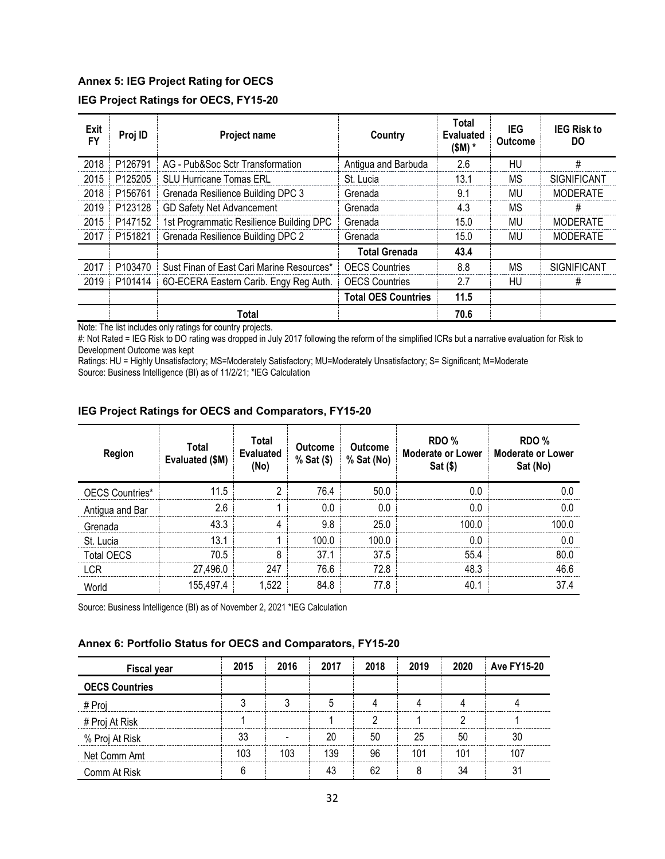#### **Annex 5: IEG Project Rating for OECS**

| IEG Project Ratings for OECS, FY15-20 |  |  |  |
|---------------------------------------|--|--|--|
|---------------------------------------|--|--|--|

| Exit<br><b>FY</b> | Proj ID | <b>Project name</b>                       | Country                    | Total<br><b>Evaluated</b><br>$(SM)$ * | IEG<br><b>Outcome</b> | <b>IEG Risk to</b><br>DO |
|-------------------|---------|-------------------------------------------|----------------------------|---------------------------------------|-----------------------|--------------------------|
| 2018              | P126791 | AG - Pub&Soc Sctr Transformation          | Antigua and Barbuda        | 2.6                                   | HU                    | #                        |
| 2015              | P125205 | <b>SLU Hurricane Tomas ERL</b>            | St. Lucia                  | 13.1                                  | ΜS                    | SIGNIFICANT              |
| 2018              | P156761 | Grenada Resilience Building DPC 3         | Grenada                    | 9.1                                   | MU                    | <b>MODERATE</b>          |
| 2019              | P123128 | GD Safety Net Advancement                 | Grenada                    | 4.3                                   | ΜS                    | #                        |
| 2015              | P147152 | 1st Programmatic Resilience Building DPC  | Grenada                    | 15.0                                  | MU                    | <b>MODERATE</b>          |
| 2017              | P151821 | Grenada Resilience Building DPC 2         | Grenada                    | 15.0                                  | MU                    | <b>MODERATE</b>          |
|                   |         |                                           | <b>Total Grenada</b>       | 43.4                                  |                       |                          |
| 2017              | P103470 | Sust Finan of East Cari Marine Resources* | <b>OECS Countries</b>      | 8.8                                   | ΜS                    | SIGNIFICANT              |
| 2019              | P101414 | 6O-ECERA Eastern Carib. Engy Reg Auth.    | <b>OECS Countries</b>      | 2.7                                   | HU                    | #                        |
|                   |         |                                           | <b>Total OES Countries</b> | 11.5                                  |                       |                          |
|                   |         | Total                                     |                            | 70.6                                  |                       |                          |

Note: The list includes only ratings for country projects.

#: Not Rated = IEG Risk to DO rating was dropped in July 2017 following the reform of the simplified ICRs but a narrative evaluation for Risk to Development Outcome was kept

Ratings: HU = Highly Unsatisfactory; MS=Moderately Satisfactory; MU=Moderately Unsatisfactory; S= Significant; M=Moderate Source: Business Intelligence (BI) as of 11/2/21; \*IEG Calculation

#### **IEG Project Ratings for OECS and Comparators, FY15-20**

| <b>Region</b>   | Total<br>Evaluated (\$M) | Total<br><b>Evaluated</b><br>No) | <b>Outcome</b><br>% Sat (\$) | <b>Outcome</b><br>% Sat (No) | RDO %<br>Moderate or Lower<br>Sat (\$) | RDO %<br><b>Moderate or Lower</b><br>Sat (No) |
|-----------------|--------------------------|----------------------------------|------------------------------|------------------------------|----------------------------------------|-----------------------------------------------|
| OECS Countries* | -5                       | ┍<br>                            | 764                          | 50 N                         |                                        |                                               |
| Antigua and Bar | 26.                      |                                  | n n                          |                              |                                        |                                               |
| Grenada         |                          |                                  | 98                           | 25 N                         | uu u                                   |                                               |
| St Lucia        |                          |                                  |                              | ınn n                        |                                        |                                               |
| Total OECS      | 70 5                     | о                                | 37 1                         | 37.5                         |                                        |                                               |
|                 | 27,496.0                 | 247                              | 76.6                         | 72 R                         |                                        |                                               |
|                 | 155.497.4                |                                  | 84.8                         | 77.8                         |                                        | 37 4                                          |

Source: Business Intelligence (BI) as of November 2, 2021 \*IEG Calculation

#### **Annex 6: Portfolio Status for OECS and Comparators, FY15-20**

| <b>Fiscal year</b>    | 2015 | 2016 | 2017 | 2018 | 2019 | 2020 | <b>Ave FY15-20</b> |
|-----------------------|------|------|------|------|------|------|--------------------|
| <b>OECS Countries</b> |      |      |      |      |      |      |                    |
| # Proi                |      |      |      |      |      |      |                    |
| # Proj At Risk        |      |      |      |      |      |      |                    |
| % Proj At Risk        |      |      |      |      |      |      |                    |
| Net Comm Amt          |      |      |      |      | 101  |      |                    |
| Comm At Risk          |      |      |      |      |      |      |                    |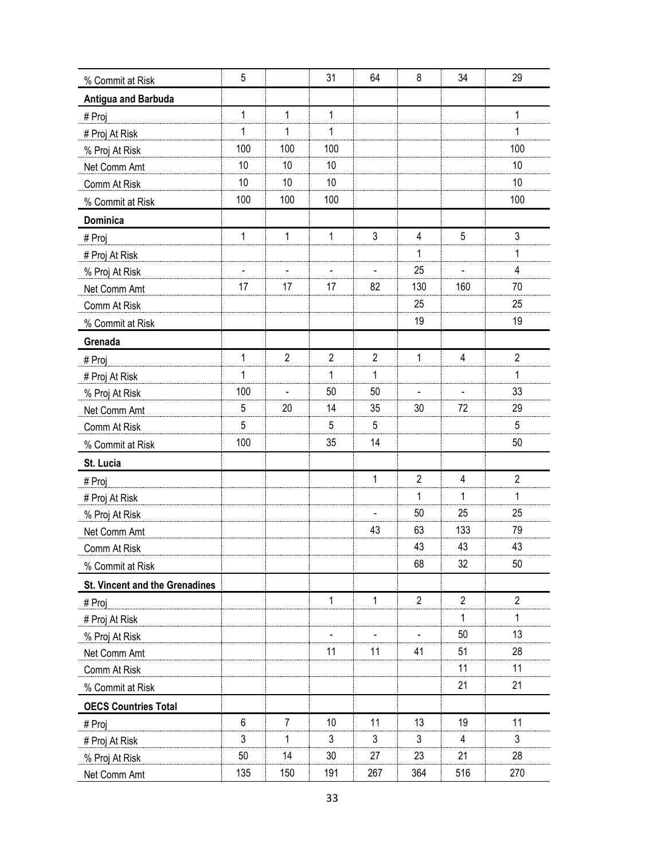| % Commit at Risk               | 5   |                | 31             | 64                       | 8              | 34             | 29             |
|--------------------------------|-----|----------------|----------------|--------------------------|----------------|----------------|----------------|
| Antigua and Barbuda            |     |                |                |                          |                |                |                |
| # Proj                         | 1   | 1              | $\mathbf{1}$   |                          |                |                | 1              |
| # Proj At Risk                 | 1   | 1              | 1              |                          |                |                | 1              |
| % Proj At Risk                 | 100 | 100            | 100            |                          |                |                | 100            |
| Net Comm Amt                   | 10  | 10             | 10             |                          |                |                | 10             |
| Comm At Risk                   | 10  | 10             | 10             |                          |                |                | 10             |
| % Commit at Risk               | 100 | 100            | 100            |                          |                |                | 100            |
| Dominica                       |     |                |                |                          |                |                |                |
| # Proj                         | 1   | $\mathbf 1$    | $\mathbf{1}$   | 3                        | 4              | $\sqrt{5}$     | 3              |
| # Proj At Risk                 |     |                |                |                          | 1              |                | 1              |
| % Proj At Risk                 |     |                |                |                          | 25             |                | 4              |
| Net Comm Amt                   | 17  | 17             | 17             | 82                       | 130            | 160            | 70             |
| Comm At Risk                   |     |                |                |                          | 25             |                | 25             |
| % Commit at Risk               |     |                |                |                          | 19             |                | 19             |
| Grenada                        |     |                |                |                          |                |                |                |
| # Proj                         | 1   | $\overline{2}$ | $\overline{2}$ | $\overline{2}$           | $\mathbf{1}$   | $\overline{4}$ | $\overline{2}$ |
| # Proj At Risk                 | 1   |                | 1              | 1                        |                |                | 1              |
| % Proj At Risk                 | 100 | $\blacksquare$ | 50             | 50                       |                |                | 33             |
| Net Comm Amt                   | 5   | 20             | 14             | 35                       | 30             | 72             | 29             |
| Comm At Risk                   | 5   |                | 5              | 5                        |                |                | 5              |
| % Commit at Risk               | 100 |                | 35             | 14                       |                |                | 50             |
| St. Lucia                      |     |                |                |                          |                |                |                |
| # Proj                         |     |                |                | 1                        | $\overline{2}$ | $\overline{4}$ | $\mathbf{2}$   |
| # Proj At Risk                 |     |                |                |                          | 1              | 1              | 1              |
| % Proj At Risk                 |     |                |                | $\overline{\phantom{a}}$ | 50             | 25             | 25             |
| Net Comm Amt                   |     |                |                | 43                       | 63             | 133            | 79             |
| Comm At Risk                   |     |                |                |                          | 43             | 43             | 43             |
| % Commit at Risk               |     |                |                |                          | 68             | 32             | 50             |
| St. Vincent and the Grenadines |     |                |                |                          |                |                |                |
| # Proj                         |     |                | $\mathbf{1}$   | $\mathbf{1}$             | $\overline{2}$ | $\overline{2}$ | $\overline{2}$ |
| # Proj At Risk                 |     |                |                |                          |                | 1              | 1              |
| % Proj At Risk                 |     |                |                |                          |                | 50             | 13             |
| Net Comm Amt                   |     |                | 11             | 11                       | 41             | 51             | 28             |
| Comm At Risk                   |     |                |                |                          |                | 11             | 11             |
| % Commit at Risk               |     |                |                |                          |                | 21             | 21             |
| <b>OECS Countries Total</b>    |     |                |                |                          |                |                |                |
| # Proj                         | 6   | 7              | 10             | 11                       | 13             | 19             | 11             |
| # Proj At Risk                 | 3   | 1              | 3              | 3                        | 3              | 4              | 3              |
| % Proj At Risk                 | 50  | 14             | 30             | 27                       | 23             | 21             | 28             |
| Net Comm Amt                   | 135 | 150            | 191            | 267                      | 364            | 516            | 270            |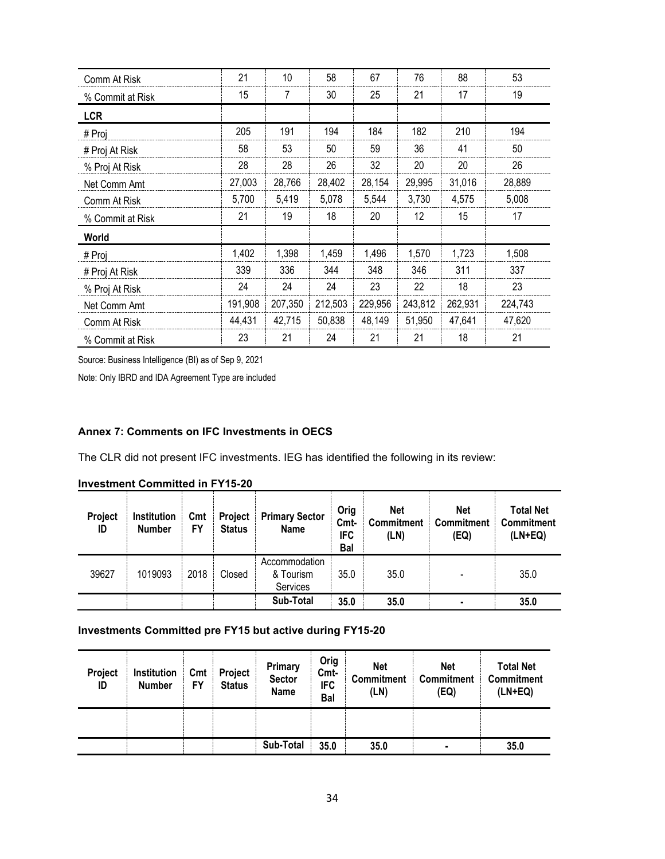| Comm At Risk     | 21      | 10      | 58      | 67      | 76      | 88      | 53      |
|------------------|---------|---------|---------|---------|---------|---------|---------|
| % Commit at Risk | 15      | 7       | 30      | 25      | 21      | 17      | 19      |
| <b>LCR</b>       |         |         |         |         |         |         |         |
| # Proj           | 205     | 191     | 194     | 184     | 182     | 210     | 194     |
| # Proj At Risk   | 58      | 53      | 50      | 59      | 36      | 41      | 50      |
| % Proj At Risk   | 28      | 28      | 26      | 32      | 20      | 20      | 26      |
| Net Comm Amt     | 27,003  | 28,766  | 28,402  | 28,154  | 29,995  | 31,016  | 28,889  |
| Comm At Risk     | 5,700   | 5,419   | 5,078   | 5,544   | 3,730   | 4,575   | 5,008   |
| % Commit at Risk | 21      | 19      | 18      | 20      | 12      | 15      | 17      |
| World            |         |         |         |         |         |         |         |
| # Proj           | 1,402   | 1,398   | 1,459   | 1,496   | 1,570   | 1,723   | 1,508   |
| # Proj At Risk   | 339     | 336     | 344     | 348     | 346     | 311     | 337     |
| % Proj At Risk   | 24      | 24      | 24      | 23      | 22      | 18      | 23      |
| Net Comm Amt     | 191,908 | 207,350 | 212,503 | 229,956 | 243,812 | 262,931 | 224,743 |
| Comm At Risk     | 44,431  | 42,715  | 50,838  | 48,149  | 51,950  | 47,641  | 47,620  |
| % Commit at Risk | 23      | 21      | 24      | 21      | 21      | 18      | 21      |

Source: Business Intelligence (BI) as of Sep 9, 2021

Note: Only IBRD and IDA Agreement Type are included

#### **Annex 7: Comments on IFC Investments in OECS**

The CLR did not present IFC investments. IEG has identified the following in its review:

| Project<br>ID | Institution<br><b>Number</b> | Cmt<br>FY | Project<br><b>Status</b> | <b>Primary Sector</b><br><b>Name</b>   | Orig<br>Cmt-<br><b>IFC</b><br>Bal | Net<br><b>Commitment</b><br>(LN) | <b>Net</b><br><b>Commitment</b><br>(EQ) | <b>Total Net</b><br><b>Commitment</b><br>$(LN+EQ)$ |
|---------------|------------------------------|-----------|--------------------------|----------------------------------------|-----------------------------------|----------------------------------|-----------------------------------------|----------------------------------------------------|
| 39627         | 1019093                      | 2018      | Closed                   | Accommodation<br>& Tourism<br>Services | 35.0                              | 35.0                             |                                         | 35.0                                               |
|               |                              |           |                          | Sub-Total                              | 35.0                              | 35.0                             | ۰                                       | 35.0                                               |

#### **Investments Committed pre FY15 but active during FY15-20**

| Project<br>ID | Institution<br><b>Number</b> | Cmt<br>FY | Project<br><b>Status</b> | Primary<br><b>Sector</b><br><b>Name</b> | Orig<br>Cmt-<br><b>IFC</b><br>Bal | <b>Net</b><br><b>Commitment</b><br>(LN) | <b>Net</b><br><b>Commitment</b><br>(EQ) | <b>Total Net</b><br><b>Commitment</b><br>(LN+EQ) |
|---------------|------------------------------|-----------|--------------------------|-----------------------------------------|-----------------------------------|-----------------------------------------|-----------------------------------------|--------------------------------------------------|
|               |                              |           |                          |                                         |                                   |                                         |                                         |                                                  |
|               |                              |           |                          | Sub-Total                               | 35.0                              | 35.0                                    | ٠                                       | 35.0                                             |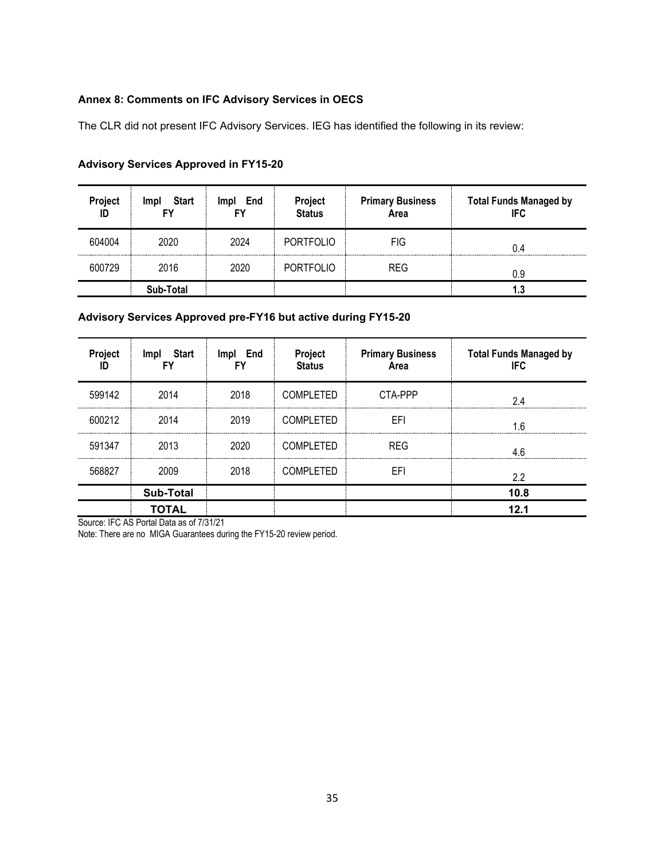#### **Annex 8: Comments on IFC Advisory Services in OECS**

The CLR did not present IFC Advisory Services. IEG has identified the following in its review:

| Project<br>ID | Start<br><b>Impl</b> | End<br><b>Impl</b> | Project<br><b>Status</b>                           | <b>Primary Business</b><br>Area | <b>Total Funds Managed by</b><br><b>IFC</b> |
|---------------|----------------------|--------------------|----------------------------------------------------|---------------------------------|---------------------------------------------|
| 604004        | 2020                 | 2024               | <b>PORTFOLIO</b>                                   | FIG                             | በ 4                                         |
| 600729        | 2016                 | 2020               | ------------------------------<br><b>PORTFOLIO</b> | <b>REG</b>                      | 0.9                                         |
|               | Sub-Total            |                    |                                                    |                                 | 1.3                                         |

#### **Advisory Services Approved in FY15-20**

## **Advisory Services Approved pre-FY16 but active during FY15-20**

| Project | Start<br>Impl    | Impl End | Project<br><b>Status</b> | <b>Primary Business</b><br>Area | <b>Total Funds Managed by</b><br>IFC. |
|---------|------------------|----------|--------------------------|---------------------------------|---------------------------------------|
| 599142  | 2014             | 2018     | <b>COMPLETED</b>         | CTA-PPP                         | 24                                    |
| 600212  | 2014             | 2019     | <b>COMPLETED</b>         | EFI                             | ĥ                                     |
| 591347  | 2013             | 2020     | <b>COMPLETED</b>         | <b>REG</b>                      |                                       |
| 568827  | 2009             | 2018     | <b>COMPLETED</b>         | EFI                             | 2.2                                   |
|         | <b>Sub-Total</b> |          |                          |                                 | 10.8                                  |
|         | <b>TOTAL</b>     |          |                          |                                 | 12.1                                  |

Source: IFC AS Portal Data as of 7/31/21

Note: There are no MIGA Guarantees during the FY15-20 review period.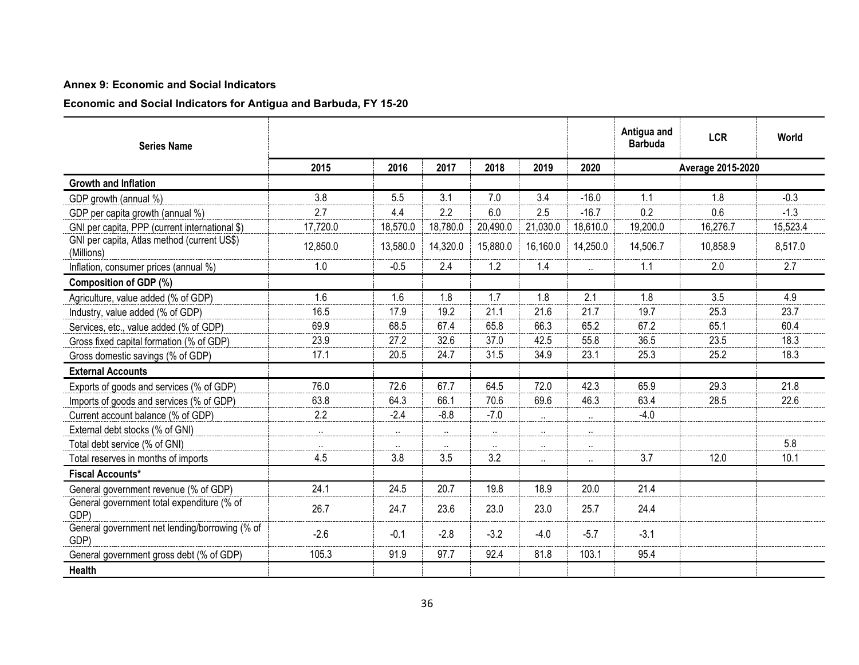#### **Annex 9: Economic and Social Indicators**

**Economic and Social Indicators for Antigua and Barbuda, FY 15-20**

| <b>Series Name</b>                                        |                      |           |          |           |           |                      | Antigua and<br><b>Barbuda</b> | <b>LCR</b> | World    |  |
|-----------------------------------------------------------|----------------------|-----------|----------|-----------|-----------|----------------------|-------------------------------|------------|----------|--|
|                                                           | 2015                 | 2016      | 2017     | 2018      | 2019      | 2020                 | Average 2015-2020             |            |          |  |
| <b>Growth and Inflation</b>                               |                      |           |          |           |           |                      |                               |            |          |  |
| GDP growth (annual %)                                     | 3.8                  | 5.5       | 3.1      | 7.0       | 3.4       | $-16.0$              | 1.1                           | 1.8        | $-0.3$   |  |
| GDP per capita growth (annual %)                          | 2.7                  | 4.4       | 2.2      | 6.0       | 2.5       | $-16.7$              | 0.2                           | 0.6        | $-1.3$   |  |
| GNI per capita, PPP (current international \$)            | 17,720.0             | 18,570.0  | 18,780.0 | 20,490.0  | 21,030.0  | 18,610.0             | 19,200.0                      | 16,276.7   | 15,523.4 |  |
| GNI per capita, Atlas method (current US\$)<br>(Millions) | 12,850.0             | 13,580.0  | 14,320.0 | 15,880.0  | 16,160.0  | 14,250.0             | 14,506.7                      | 10,858.9   | 8,517.0  |  |
| Inflation, consumer prices (annual %)                     | 1.0                  | $-0.5$    | 2.4      | 1.2       | 1.4       | $\ddot{\phantom{a}}$ | 1.1                           | 2.0        | 2.7      |  |
| <b>Composition of GDP (%)</b>                             |                      |           |          |           |           |                      |                               |            |          |  |
| Agriculture, value added (% of GDP)                       | 1.6                  | 1.6       | 1.8      | 1.7       | 1.8       | 2.1                  | 1.8                           | 3.5        | 4.9      |  |
| Industry, value added (% of GDP)                          | 16.5                 | 17.9      | 19.2     | 21.1      | 21.6      | 21.7                 | 19.7                          | 25.3       | 23.7     |  |
| Services, etc., value added (% of GDP)                    | 69.9                 | 68.5      | 67.4     | 65.8      | 66.3      | 65.2                 | 67.2                          | 65.1       | 60.4     |  |
| Gross fixed capital formation (% of GDP)                  | 23.9                 | 27.2      | 32.6     | 37.0      | 42.5      | 55.8                 | 36.5                          | 23.5       | 18.3     |  |
| Gross domestic savings (% of GDP)                         | 17.1                 | 20.5      | 24.7     | 31.5      | 34.9      | 23.1                 | 25.3                          | 25.2       | 18.3     |  |
| <b>External Accounts</b>                                  |                      |           |          |           |           |                      |                               |            |          |  |
| Exports of goods and services (% of GDP)                  | 76.0                 | 72.6      | 67.7     | 64.5      | 72.0      | 42.3                 | 65.9                          | 29.3       | 21.8     |  |
| Imports of goods and services (% of GDP)                  | 63.8                 | 64.3      | 66.1     | 70.6      | 69.6      | 46.3                 | 63.4                          | 28.5       | 22.6     |  |
| Current account balance (% of GDP)                        | 2.2                  | $-2.4$    | $-8.8$   | $-7.0$    | $\sim$    | $\cdots$             | $-4.0$                        |            |          |  |
| External debt stocks (% of GNI)                           | $\ddotsc$            | $\ddotsc$ | $\ldots$ | $\ddotsc$ | $\ddotsc$ | $\ddot{\phantom{a}}$ |                               |            |          |  |
| Total debt service (% of GNI)                             | $\ddot{\phantom{a}}$ | $\ldots$  | $\ldots$ | $\ldots$  | $\sim$    | $\ddotsc$            |                               |            | 5.8      |  |
| Total reserves in months of imports                       | 4.5                  | 3.8       | 3.5      | 3.2       | $\sim$    | $\ddot{\phantom{a}}$ | 3.7                           | 12.0       | 10.1     |  |
| <b>Fiscal Accounts*</b>                                   |                      |           |          |           |           |                      |                               |            |          |  |
| General government revenue (% of GDP)                     | 24.1                 | 24.5      | 20.7     | 19.8      | 18.9      | 20.0                 | 21.4                          |            |          |  |
| General government total expenditure (% of<br>GDP)        | 26.7                 | 24.7      | 23.6     | 23.0      | 23.0      | 25.7                 | 24.4                          |            |          |  |
| General government net lending/borrowing (% of<br>GDP)    | $-2.6$               | $-0.1$    | $-2.8$   | $-3.2$    | $-4.0$    | $-5.7$               | $-3.1$                        |            |          |  |
| General government gross debt (% of GDP)                  | 105.3                | 91.9      | 97.7     | 92.4      | 81.8      | 103.1                | 95.4                          |            |          |  |
| <b>Health</b>                                             |                      |           |          |           |           |                      |                               |            |          |  |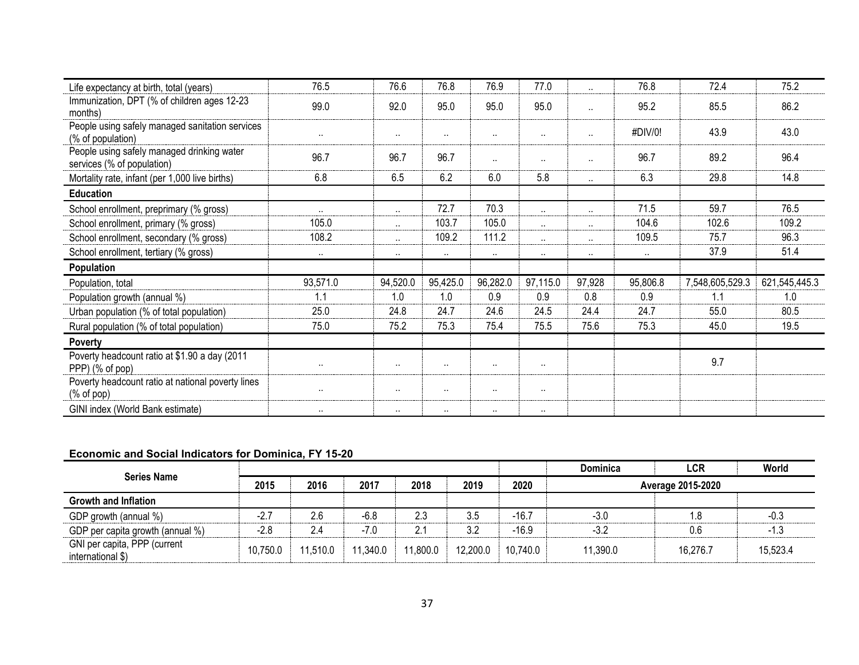| Life expectancy at birth, total (years)                                  | 76.5                 | 76.6      | 76.8      | 76.9                 | 77.0                 |          | 76.8     | 72.4            | 75.2          |
|--------------------------------------------------------------------------|----------------------|-----------|-----------|----------------------|----------------------|----------|----------|-----------------|---------------|
| Immunization, DPT (% of children ages 12-23<br>months)                   | 99.0                 | 92.0      | 95.0      | 95.0                 | 95.0                 |          | 95.2     | 85.5            | 86.2          |
| People using safely managed sanitation services<br>(% of population)     | $\ddot{\phantom{a}}$ | $\ddotsc$ | $\cdot$ . | $\ddotsc$            | $\ddot{\phantom{a}}$ |          | #DIV/0!  | 43.9            | 43.0          |
| People using safely managed drinking water<br>services (% of population) | 96.7                 | 96.7      | 96.7      | $\cdots$             | $\ldots$             | $\cdots$ | 96.7     | 89.2            | 96.4          |
| Mortality rate, infant (per 1,000 live births)                           | 6.8                  | 6.5       | 6.2       | 6.0                  | 5.8                  |          | 6.3      | 29.8            | 14.8          |
| <b>Education</b>                                                         |                      |           |           |                      |                      |          |          |                 |               |
| School enrollment, preprimary (% gross)                                  | $\ddot{\phantom{a}}$ | $\ddotsc$ | 72.7      | 70.3                 | $\ddotsc$            |          | 71.5     | 59.7            | 76.5          |
| School enrollment, primary (% gross)                                     | 105.0                | $\cdots$  | 103.7     | 105.0                | $\ddot{\phantom{a}}$ | $\cdots$ | 104.6    | 102.6           | 109.2         |
| School enrollment, secondary (% gross)                                   | 108.2                |           | 109.2     | 111.2                | $\ddot{\phantom{a}}$ |          | 109.5    | 75.7            | 96.3          |
| School enrollment, tertiary (% gross)                                    | $\cdots$             | $\cdot$ . | $\cdot$ . | $\ddot{\phantom{1}}$ | $\ldots$             | $\cdots$ | $\sim$   | 37.9            | 51.4          |
| Population                                                               |                      |           |           |                      |                      |          |          |                 |               |
| Population, total                                                        | 93,571.0             | 94,520.0  | 95,425.0  | 96,282.0             | 97,115.0             | 97,928   | 95,806.8 | 7,548,605,529.3 | 621,545,445.3 |
| Population growth (annual %)                                             | 1.1                  | 1.0       | 1.0       | 0.9                  | 0.9                  | 0.8      | 0.9      | 1.1             | 1.0           |
| Urban population (% of total population)                                 | 25.0                 | 24.8      | 24.7      | 24.6                 | 24.5                 | 24.4     | 24.7     | 55.0            | 80.5          |
| Rural population (% of total population)                                 | 75.0                 | 75.2      | 75.3      | 75.4                 | 75.5                 | 75.6     | 75.3     | 45.0            | 19.5          |
| Poverty                                                                  |                      |           |           |                      |                      |          |          |                 |               |
| Poverty headcount ratio at \$1.90 a day (2011<br>PPP) (% of pop)         | $\cdots$             |           | $\cdot$ . | $\cdots$             | $\cdot$ .            |          |          | 9.7             |               |
| Poverty headcount ratio at national poverty lines<br>$%$ of pop)         | $\cdots$             | $\cdots$  | $\cdot$ . | $\cdots$             | $\ldots$             |          |          |                 |               |
| GINI index (World Bank estimate)                                         | $\cdot$ .            | $\cdots$  | $\cdot$ . | $\cdots$             | $\ldots$             |          |          |                 |               |

## **Economic and Social Indicators for Dominica, FY 15-20**

| <b>Series Name</b>                                |          |          |          |          |          |          | <b>Dominica</b>   | LCR      | World    |  |
|---------------------------------------------------|----------|----------|----------|----------|----------|----------|-------------------|----------|----------|--|
|                                                   | 2015     | 2016     | 2017     | 2018     | 2019     | 2020     | Average 2015-2020 |          |          |  |
| <b>Growth and Inflation</b>                       |          |          |          |          |          |          |                   |          |          |  |
| GDP growth (annual %)                             | -2.7     | 2.6      | $-6.8$   | 2.3      | 3.5      | $-16.7$  | $-3.0$            |          | -0.3     |  |
| GDP per capita growth (annual %)                  | $-2.8$   | 2.4      | $-7.0$   | 2.1      | 3.2      | $-16.9$  | $-3.2$            | 0.6      | -1.3     |  |
| GNI per capita, PPP (current<br>international \$) | 10,750.0 | 11,510.0 | 11,340.0 | 11,800.0 | 12,200.0 | 10,740.0 | 11,390.0          | 16,276.7 | 15,523.4 |  |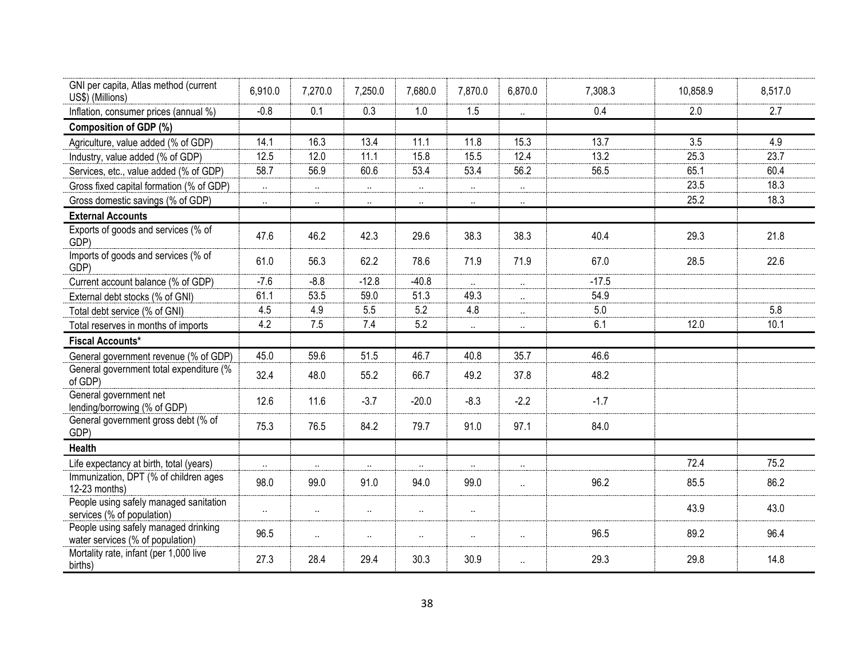| GNI per capita, Atlas method (current<br>US\$) (Millions)                | 6,910.0 | 7,270.0  | 7,250.0   | 7,680.0              | 7,870.0              | 6,870.0   | 7,308.3 | 10,858.9 | 8,517.0 |
|--------------------------------------------------------------------------|---------|----------|-----------|----------------------|----------------------|-----------|---------|----------|---------|
| Inflation, consumer prices (annual %)                                    | $-0.8$  | 0.1      | 0.3       | 1.0                  | 1.5                  | $\ldots$  | 0.4     | 2.0      | 2.7     |
| Composition of GDP (%)                                                   |         |          |           |                      |                      |           |         |          |         |
| Agriculture, value added (% of GDP)                                      | 14.1    | 16.3     | 13.4      | 11.1                 | 11.8                 | 15.3      | 13.7    | 3.5      | 4.9     |
| Industry, value added (% of GDP)                                         | 12.5    | 12.0     | 11.1      | 15.8                 | 15.5                 | 12.4      | 13.2    | 25.3     | 23.7    |
| Services, etc., value added (% of GDP)                                   | 58.7    | 56.9     | 60.6      | 53.4                 | 53.4                 | 56.2      | 56.5    | 65.1     | 60.4    |
| Gross fixed capital formation (% of GDP)                                 | $\sim$  | $\sim$   | $\ldots$  | $\ldots$             | $\ddotsc$            | $\ldots$  |         | 23.5     | 18.3    |
| Gross domestic savings (% of GDP)                                        | $\sim$  | $\sim$   | $\ddotsc$ | $\ldots$             | $\ldots$             | $\ddotsc$ |         | 25.2     | 18.3    |
| <b>External Accounts</b>                                                 |         |          |           |                      |                      |           |         |          |         |
| Exports of goods and services (% of<br>GDP)                              | 47.6    | 46.2     | 42.3      | 29.6                 | 38.3                 | 38.3      | 40.4    | 29.3     | 21.8    |
| Imports of goods and services (% of<br>GDP)                              | 61.0    | 56.3     | 62.2      | 78.6                 | 71.9                 | 71.9      | 67.0    | 28.5     | 22.6    |
| Current account balance (% of GDP)                                       | $-7.6$  | $-8.8$   | $-12.8$   | $-40.8$              | $\ldots$             | $\cdot$ . | $-17.5$ |          |         |
| External debt stocks (% of GNI)                                          | 61.1    | 53.5     | 59.0      | 51.3                 | 49.3                 | $\ddotsc$ | 54.9    |          |         |
| Total debt service (% of GNI)                                            | 4.5     | 4.9      | 5.5       | 5.2                  | 4.8                  | $\cdot$ . | 5.0     |          | 5.8     |
| Total reserves in months of imports                                      | 4.2     | 7.5      | 7.4       | 5.2                  | $\cdot$ .            | $\cdot$ . | 6.1     | 12.0     | 10.1    |
| <b>Fiscal Accounts*</b>                                                  |         |          |           |                      |                      |           |         |          |         |
| General government revenue (% of GDP)                                    | 45.0    | 59.6     | 51.5      | 46.7                 | 40.8                 | 35.7      | 46.6    |          |         |
| General government total expenditure (%<br>of GDP)                       | 32.4    | 48.0     | 55.2      | 66.7                 | 49.2                 | 37.8      | 48.2    |          |         |
| General government net<br>lending/borrowing (% of GDP)                   | 12.6    | 11.6     | $-3.7$    | $-20.0$              | $-8.3$               | $-2.2$    | $-1.7$  |          |         |
| General government gross debt (% of<br>GDP)                              | 75.3    | 76.5     | 84.2      | 79.7                 | 91.0                 | 97.1      | 84.0    |          |         |
| <b>Health</b>                                                            |         |          |           |                      |                      |           |         |          |         |
| Life expectancy at birth, total (years)                                  | $\sim$  | $\sim$   | $\ddotsc$ | $\ldots$             | $\sim$               | $\ddotsc$ |         | 72.4     | 75.2    |
| Immunization, DPT (% of children ages<br>12-23 months)                   | 98.0    | 99.0     | 91.0      | 94.0                 | 99.0                 | $\ddotsc$ | 96.2    | 85.5     | 86.2    |
| People using safely managed sanitation<br>services (% of population)     | $\sim$  | $\ldots$ | $\ldots$  | $\ddot{\phantom{1}}$ | $\ddot{\phantom{1}}$ |           |         | 43.9     | 43.0    |
| People using safely managed drinking<br>water services (% of population) | 96.5    | $\sim$   | $\ddotsc$ | $\ddot{\phantom{1}}$ | $\ddotsc$            | $\ldots$  | 96.5    | 89.2     | 96.4    |
| Mortality rate, infant (per 1,000 live<br>births)                        | 27.3    | 28.4     | 29.4      | 30.3                 | 30.9                 | $\ddotsc$ | 29.3    | 29.8     | 14.8    |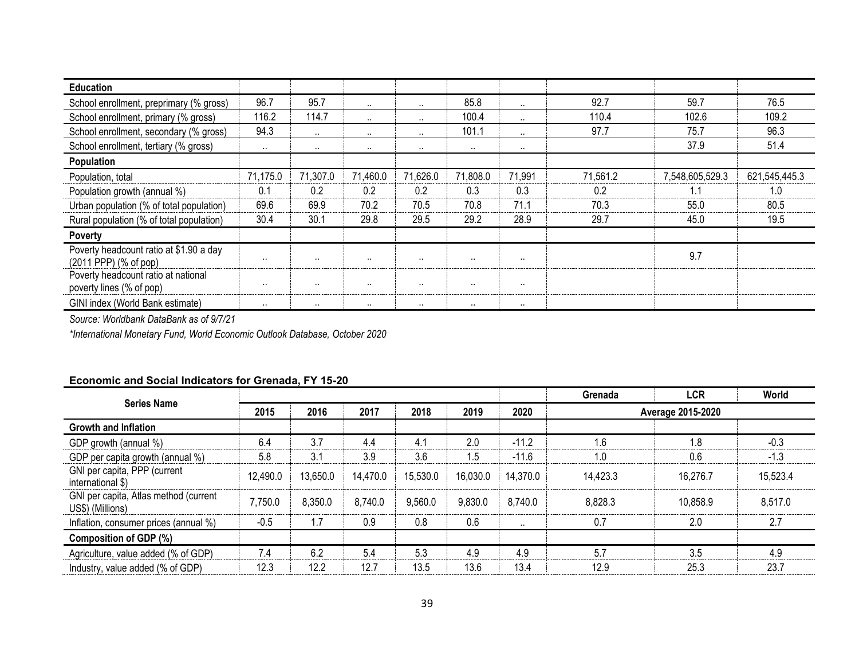| <b>Education</b>                                                 |           |          |                      |                      |           |           |          |                 |               |
|------------------------------------------------------------------|-----------|----------|----------------------|----------------------|-----------|-----------|----------|-----------------|---------------|
| School enrollment, preprimary (% gross)                          | 96.7      | 95.7     | $\ddot{\phantom{a}}$ | $\ddot{\phantom{a}}$ | 85.8      | $\cdot$ . | 92.7     | 59.7            | 76.5          |
| School enrollment, primary (% gross)                             | 116.2     | 114.7    | $\cdots$             | $\ddot{\phantom{a}}$ | 100.4     | $\cdot$ . | 110.4    | 102.6           | 109.2         |
| School enrollment, secondary (% gross)                           | 94.3      | $\sim$   | $\cdots$             | $\ddot{\phantom{a}}$ | 101.1     | $\cdot$ . | 97.7     | 75.7            | 96.3          |
| School enrollment, tertiary (% gross)                            | $\cdot$   | $\sim$   | $\cdots$             | $\cdots$             | $\cdots$  | $\cdots$  |          | 37.9            | 51.4          |
| Population                                                       |           |          |                      |                      |           |           |          |                 |               |
| Population, total                                                | 71,175.0  | 71,307.0 | 71,460.0             | 71,626.0             | 71,808.0  | 71,991    | 71,561.2 | 7,548,605,529.3 | 621,545,445.3 |
| Population growth (annual %)                                     | 0.1       | 0.2      | 0.2                  | 0.2                  | 0.3       | 0.3       | 0.2      | 1.1             | 1.0           |
| Urban population (% of total population)                         | 69.6      | 69.9     | 70.2                 | 70.5                 | 70.8      | 71.1      | 70.3     | 55.0            | 80.5          |
| Rural population (% of total population)                         | 30.4      | 30.1     | 29.8                 | 29.5                 | 29.2      | 28.9      | 29.7     | 45.0            | 19.5          |
| Poverty                                                          |           |          |                      |                      |           |           |          |                 |               |
| Poverty headcount ratio at \$1.90 a day<br>(2011 PPP) (% of pop) | $\cdot$ . | $\sim$   | $\ddot{\phantom{a}}$ | $\ddot{\phantom{a}}$ | $\cdot$ . | $\cdots$  |          | 9.7             |               |
| Poverty headcount ratio at national<br>poverty lines (% of pop)  | $\cdot$ . | .        | $\cdots$             | $\cdot$              | $\cdot$ . | $\cdots$  |          |                 |               |
| GINI index (World Bank estimate)                                 | $\cdot$   | $\sim$   | $\sim$               | $\cdot$              | $\cdots$  | $\cdots$  |          |                 |               |

*\*International Monetary Fund, World Economic Outlook Database, October 2020*

## **Economic and Social Indicators for Grenada, FY 15-20**

|                                                           |          |          |          |          |          |           | Grenada           | LCR      | World    |  |
|-----------------------------------------------------------|----------|----------|----------|----------|----------|-----------|-------------------|----------|----------|--|
| <b>Series Name</b>                                        | 2015     | 2016     | 2017     | 2018     | 2019     | 2020      | Average 2015-2020 |          |          |  |
| <b>Growth and Inflation</b>                               |          |          |          |          |          |           |                   |          |          |  |
| GDP growth (annual %)                                     | 6.4      | 3.7      | 4.4      | 4.1      | 2.0      | $-11.2$   | 1.6               | 1.8      | $-0.3$   |  |
| GDP per capita growth (annual %)                          | 5.8      | 3.1      | 3.9      | 3.6      | 1.5      | $-11.6$   | 1.0               | 0.6      | $-1.3$   |  |
| GNI per capita, PPP (current<br>international \$)         | 12,490.0 | 13,650.0 | 14,470.0 | 15,530.0 | 16,030.0 | 14,370.0  | 14,423.3          | 16,276.7 | 15,523.4 |  |
| GNI per capita, Atlas method (current<br>US\$) (Millions) | 7,750.0  | 8,350.0  | 8,740.0  | 9,560.0  | 9,830.0  | 8.740.0   | 8,828.3           | 10,858.9 | 8,517.0  |  |
| Inflation, consumer prices (annual %)                     | $-0.5$   | 1.7      | 0.9      | 0.8      | 0.6      | $\cdot$ . | 0.7               | 2.0      | 2.7      |  |
| Composition of GDP (%)                                    |          |          |          |          |          |           |                   |          |          |  |
| Agriculture, value added (% of GDP)                       | 7.4      | 6.2      | 5.4      | 5.3      | 4.9      | 4.9       | 5.7               | 3.5      | 4.9      |  |
| Industry, value added (% of GDP)                          | 12.3     | 12.2     | 12.7     | 13.5     | 13.6     | 13.4      | 12.9              | 25.3     | 23.7     |  |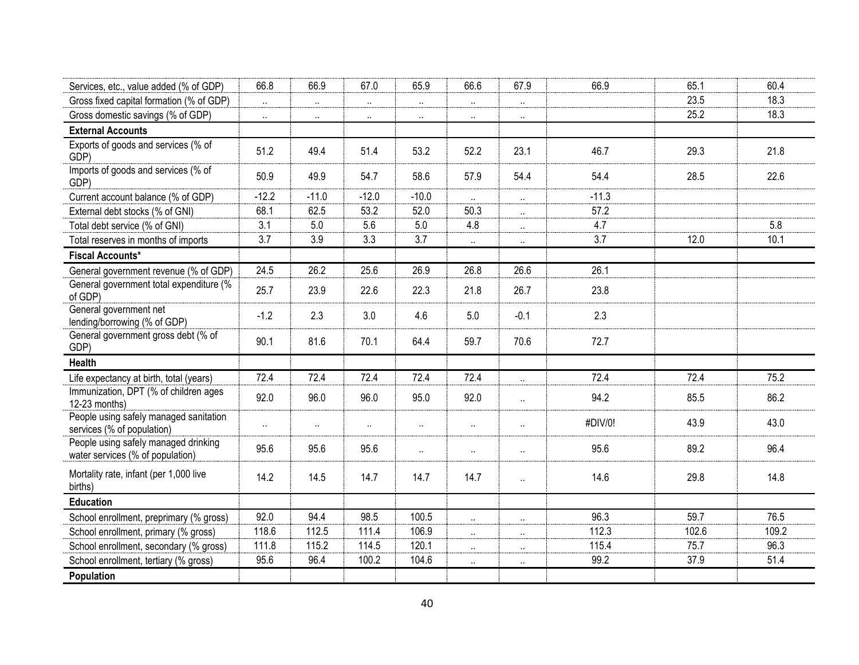| Services, etc., value added (% of GDP)                                   | 66.8     | 66.9                 | 67.0                 | 65.9                 | 66.6                 | 67.9                 | 66.9    | 65.1  | 60.4  |
|--------------------------------------------------------------------------|----------|----------------------|----------------------|----------------------|----------------------|----------------------|---------|-------|-------|
| Gross fixed capital formation (% of GDP)                                 | $\sim$   | $\ddot{\phantom{1}}$ | $\ddotsc$            | $\ddot{\phantom{1}}$ | $\ddot{\phantom{1}}$ | $\ddot{\phantom{1}}$ |         | 23.5  | 18.3  |
| Gross domestic savings (% of GDP)                                        | $\ldots$ | $\ldots$             | $\cdots$             | $\ddot{\phantom{1}}$ | $\cdots$             | $\cdot$              |         | 25.2  | 18.3  |
| <b>External Accounts</b>                                                 |          |                      |                      |                      |                      |                      |         |       |       |
| Exports of goods and services (% of<br>GDP)                              | 51.2     | 49.4                 | 51.4                 | 53.2                 | 52.2                 | 23.1                 | 46.7    | 29.3  | 21.8  |
| Imports of goods and services (% of<br>GDP)                              | 50.9     | 49.9                 | 54.7                 | 58.6                 | 57.9                 | 54.4                 | 54.4    | 28.5  | 22.6  |
| Current account balance (% of GDP)                                       | $-12.2$  | $-11.0$              | $-12.0$              | $-10.0$              | $\ddotsc$            | $\ddot{\phantom{1}}$ | $-11.3$ |       |       |
| External debt stocks (% of GNI)                                          | 68.1     | 62.5                 | 53.2                 | 52.0                 | 50.3                 | $\ldots$             | 57.2    |       |       |
| Total debt service (% of GNI)                                            | 3.1      | 5.0                  | 5.6                  | 5.0                  | 4.8                  | $\ldots$             | 4.7     |       | 5.8   |
| Total reserves in months of imports                                      | 3.7      | 3.9                  | 3.3                  | 3.7                  | $\cdot$ .            | $\cdot$ .            | 3.7     | 12.0  | 10.1  |
| <b>Fiscal Accounts*</b>                                                  |          |                      |                      |                      |                      |                      |         |       |       |
| General government revenue (% of GDP)                                    | 24.5     | 26.2                 | 25.6                 | 26.9                 | 26.8                 | 26.6                 | 26.1    |       |       |
| General government total expenditure (%<br>of GDP)                       | 25.7     | 23.9                 | 22.6                 | 22.3                 | 21.8                 | 26.7                 | 23.8    |       |       |
| General government net<br>lending/borrowing (% of GDP)                   | $-1.2$   | 2.3                  | 3.0                  | 4.6                  | 5.0                  | $-0.1$               | 2.3     |       |       |
| General government gross debt (% of<br>GDP)                              | 90.1     | 81.6                 | 70.1                 | 64.4                 | 59.7                 | 70.6                 | 72.7    |       |       |
| Health                                                                   |          |                      |                      |                      |                      |                      |         |       |       |
| Life expectancy at birth, total (years)                                  | 72.4     | 72.4                 | 72.4                 | 72.4                 | 72.4                 | $\ddot{\phantom{a}}$ | 72.4    | 72.4  | 75.2  |
| Immunization, DPT (% of children ages<br>12-23 months)                   | 92.0     | 96.0                 | 96.0                 | 95.0                 | 92.0                 | $\ddotsc$            | 94.2    | 85.5  | 86.2  |
| People using safely managed sanitation<br>services (% of population)     |          | $\ldots$             | $\ddot{\phantom{1}}$ | $\ddot{\phantom{1}}$ | $\ldots$             | $\ddotsc$            | #DIV/0! | 43.9  | 43.0  |
| People using safely managed drinking<br>water services (% of population) | 95.6     | 95.6                 | 95.6                 | $\ddot{\phantom{a}}$ | $\ldots$             | $\cdot$ .            | 95.6    | 89.2  | 96.4  |
| Mortality rate, infant (per 1,000 live<br>births)                        | 14.2     | 14.5                 | 14.7                 | 14.7                 | 14.7                 | $\ddotsc$            | 14.6    | 29.8  | 14.8  |
| <b>Education</b>                                                         |          |                      |                      |                      |                      |                      |         |       |       |
| School enrollment, preprimary (% gross)                                  | 92.0     | 94.4                 | 98.5                 | 100.5                | $\ldots$             | $\ddotsc$            | 96.3    | 59.7  | 76.5  |
| School enrollment, primary (% gross)                                     | 118.6    | 112.5                | 111.4                | 106.9                | $\sim$               | $\cdots$             | 112.3   | 102.6 | 109.2 |
| School enrollment, secondary (% gross)                                   | 111.8    | 115.2                | 114.5                | 120.1                | $\ddot{\phantom{1}}$ | $\ldots$             | 115.4   | 75.7  | 96.3  |
| School enrollment, tertiary (% gross)                                    | 95.6     | 96.4                 | 100.2                | 104.6                | $\ddot{\phantom{a}}$ | $\cdot$              | 99.2    | 37.9  | 51.4  |
| Population                                                               |          |                      |                      |                      |                      |                      |         |       |       |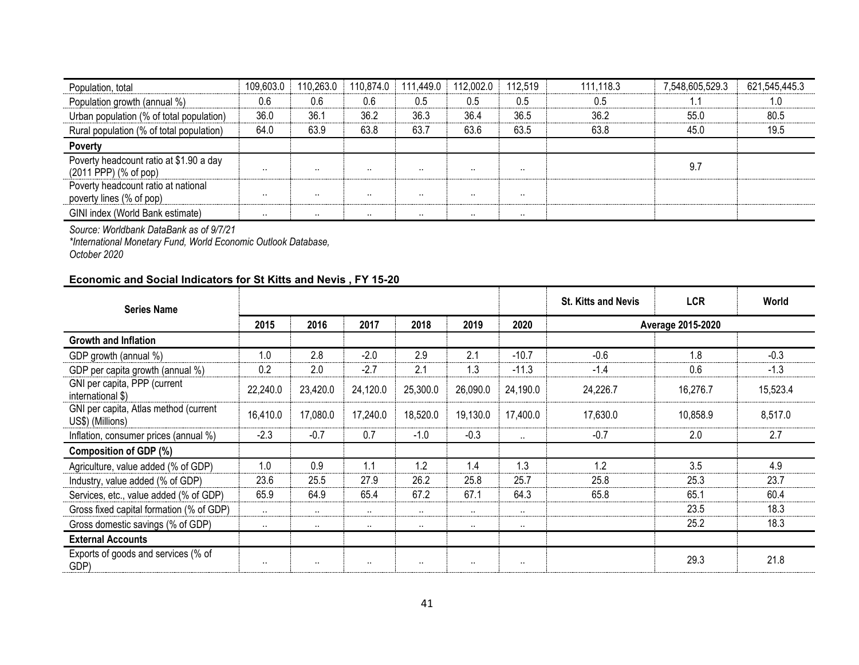| Population, total                                                | 109,603.0 | 110,263.0 | 110,874.0 | 111,449.0 | 112,002.0 | 112,519 | 111,118.3 | 7,548,605,529.3 | 621,545,445.3 |
|------------------------------------------------------------------|-----------|-----------|-----------|-----------|-----------|---------|-----------|-----------------|---------------|
| Population growth (annual %)                                     | 0.6       | 0.6       | 0.6       | 0.5       | 0.5       | 0.5     | 0.5       |                 | 1.0           |
| Urban population (% of total population)                         | 36.0      | 36.1      | 36.2      | 36.3      | 36.4      | 36.5    | 36.2      | 55.0            | 80.5          |
| Rural population (% of total population)                         | 64.0      | 63.9      | 63.8      | 63.7      | 63.6      | 63.5    | 63.8      | 45.0            | 19.5          |
| Poverty                                                          |           |           |           |           |           |         |           |                 |               |
| Poverty headcount ratio at \$1.90 a day<br>(2011 PPP) (% of pop) |           | .         | $\cdots$  | $\cdots$  | $\cdots$  |         |           | 9.7             |               |
| Poverty headcount ratio at national<br>poverty lines (% of pop)  |           | .         | $\cdots$  | $\cdots$  |           |         |           |                 |               |
| GINI index (World Bank estimate)                                 | $\cdots$  | $\cdots$  | $\cdots$  | $\cdots$  |           |         |           |                 |               |

*\*International Monetary Fund, World Economic Outlook Database, October 2020*

## **Economic and Social Indicators for St Kitts and Nevis , FY 15-20**

| <b>Series Name</b>                                        |           |          |          |          |                      |          | <b>St. Kitts and Nevis</b> | <b>LCR</b>        | World    |
|-----------------------------------------------------------|-----------|----------|----------|----------|----------------------|----------|----------------------------|-------------------|----------|
|                                                           | 2015      | 2016     | 2017     | 2018     | 2019                 | 2020     |                            | Average 2015-2020 |          |
| <b>Growth and Inflation</b>                               |           |          |          |          |                      |          |                            |                   |          |
| GDP growth (annual %)                                     | 1.0       | 2.8      | $-2.0$   | 2.9      | 2.1                  | $-10.7$  | $-0.6$                     | 1.8               | $-0.3$   |
| GDP per capita growth (annual %)                          | 0.2       | 2.0      | $-2.7$   | 2.1      | 1.3                  | $-11.3$  | $-1.4$                     | 0.6               | $-1.3$   |
| GNI per capita, PPP (current<br>international \$)         | 22,240.0  | 23,420.0 | 24,120.0 | 25,300.0 | 26,090.0             | 24,190.0 | 24,226.7                   | 16,276.7          | 15,523.4 |
| GNI per capita, Atlas method (current<br>US\$) (Millions) | 16,410.0  | 17,080.0 | 17,240.0 | 18,520.0 | 19,130.0             | 17,400.0 | 17,630.0                   | 10,858.9          | 8,517.0  |
| Inflation, consumer prices (annual %)                     | $-2.3$    | $-0.7$   | 0.7      | $-1.0$   | $-0.3$               | $\cdots$ | $-0.7$                     | 2.0               | 2.7      |
| Composition of GDP (%)                                    |           |          |          |          |                      |          |                            |                   |          |
| Agriculture, value added (% of GDP)                       | 1.0       | 0.9      | 1.1      | 1.2      | 1.4                  | 1.3      | 1.2                        | 3.5               | 4.9      |
| Industry, value added (% of GDP)                          | 23.6      | 25.5     | 27.9     | 26.2     | 25.8                 | 25.7     | 25.8                       | 25.3              | 23.7     |
| Services, etc., value added (% of GDP)                    | 65.9      | 64.9     | 65.4     | 67.2     | 67.1                 | 64.3     | 65.8                       | 65.1              | 60.4     |
| Gross fixed capital formation (% of GDP)                  | $\ddotsc$ | $\sim$   | $\cdots$ | $\cdots$ | $\ddot{\phantom{a}}$ | $\cdots$ |                            | 23.5              | 18.3     |
| Gross domestic savings (% of GDP)                         | $\sim$    | $\sim$   | $\cdots$ | $\sim$   | $\cdots$             | $\cdots$ |                            | 25.2              | 18.3     |
| <b>External Accounts</b>                                  |           |          |          |          |                      |          |                            |                   |          |
| Exports of goods and services (% of<br>GDP)               | $\cdot$   | $\sim$   | $\cdots$ | $\cdots$ | $\cdots$             | $\cdot$  |                            | 29.3              | 21.8     |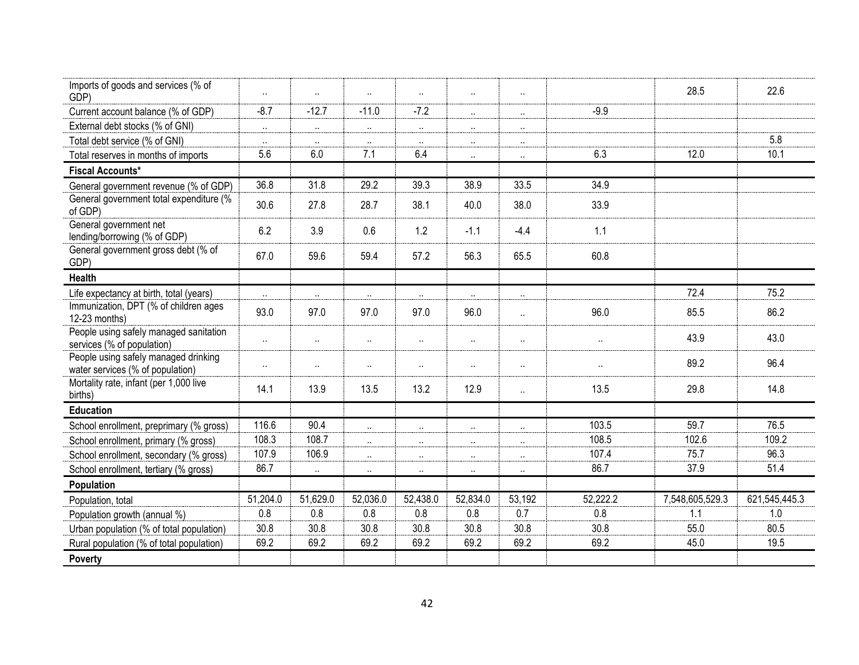| Imports of goods and services (% of<br>GDP)                              | $\ddot{\phantom{1}}$ | $\ddot{\phantom{1}}$ |                      | $\ddot{\phantom{1}}$ | $\cdots$  | $\cdot$ .            |                      | 28.5            | 22.6          |
|--------------------------------------------------------------------------|----------------------|----------------------|----------------------|----------------------|-----------|----------------------|----------------------|-----------------|---------------|
| Current account balance (% of GDP)                                       | $-8.7$               | $-12.7$              | $-11.0$              | $-7.2$               | $\sim$    | $\sim$               | $-9.9$               |                 |               |
| External debt stocks (% of GNI)                                          | $\sim$               | $\sim$               | $\ldots$             | $\ddot{\phantom{1}}$ | $\ldots$  | $\cdot$ .            |                      |                 |               |
| Total debt service (% of GNI)                                            | $\ddot{\phantom{1}}$ | $\sim$               | $\cdots$             | $\ddot{\phantom{1}}$ | $\cdot$ . | $\cdot$ .            |                      |                 | 5.8           |
| Total reserves in months of imports                                      | 5.6                  | 6.0                  | 7.1                  | 6.4                  | $\cdot$ . | $\cdot$ .            | 6.3                  | 12.0            | 10.1          |
| <b>Fiscal Accounts*</b>                                                  |                      |                      |                      |                      |           |                      |                      |                 |               |
| General government revenue (% of GDP)                                    | 36.8                 | 31.8                 | 29.2                 | 39.3                 | 38.9      | 33.5                 | 34.9                 |                 |               |
| General government total expenditure (%<br>of GDP)                       | 30.6                 | 27.8                 | 28.7                 | 38.1                 | 40.0      | 38.0                 | 33.9                 |                 |               |
| General government net<br>lending/borrowing (% of GDP)                   | 6.2                  | 3.9                  | 0.6                  | 1.2                  | $-1.1$    | $-4.4$               | 1.1                  |                 |               |
| General government gross debt (% of<br>GDP)                              | 67.0                 | 59.6                 | 59.4                 | 57.2                 | 56.3      | 65.5                 | 60.8                 |                 |               |
| <b>Health</b>                                                            |                      |                      |                      |                      |           |                      |                      |                 |               |
| Life expectancy at birth, total (years)                                  | $\sim$               | $\mathbf{a}$ .       | $\ddotsc$            | $\ddot{\phantom{1}}$ | $\cdot$ . | $\cdot$ .            |                      | 72.4            | 75.2          |
| Immunization, DPT (% of children ages<br>12-23 months)                   | 93.0                 | 97.0                 | 97.0                 | 97.0                 | 96.0      | $\ddot{\phantom{a}}$ | 96.0                 | 85.5            | 86.2          |
| People using safely managed sanitation<br>services (% of population)     | $\ddot{\phantom{1}}$ | $\ddot{\phantom{1}}$ | $\ldots$             | $\ddot{\phantom{a}}$ | $\cdot$ . | $\cdot$ .            | $\cdot$ .            | 43.9            | 43.0          |
| People using safely managed drinking<br>water services (% of population) | $\ddotsc$            | $\ddot{\phantom{1}}$ | $\ddot{\phantom{a}}$ | $\ddot{\phantom{1}}$ | $\cdot$ . | $\cdot$ .            | $\ddot{\phantom{1}}$ | 89.2            | 96.4          |
| Mortality rate, infant (per 1,000 live<br>births)                        | 14.1                 | 13.9                 | 13.5                 | 13.2                 | 12.9      | $\ddot{\phantom{a}}$ | 13.5                 | 29.8            | 14.8          |
| <b>Education</b>                                                         |                      |                      |                      |                      |           |                      |                      |                 |               |
| School enrollment, preprimary (% gross)                                  | 116.6                | 90.4                 | $\ldots$             | $\ddot{\phantom{a}}$ | $\cdot$ . | $\ddot{\phantom{a}}$ | 103.5                | 59.7            | 76.5          |
| School enrollment, primary (% gross)                                     | 108.3                | 108.7                | $\mathbf{a}$         | $\sim$               | $\ldots$  | $\ddotsc$            | 108.5                | 102.6           | 109.2         |
| School enrollment, secondary (% gross)                                   | 107.9                | 106.9                | $\ldots$             | $\ddot{\phantom{a}}$ | $\ldots$  | $\cdot$ .            | 107.4                | 75.7            | 96.3          |
| School enrollment, tertiary (% gross)                                    | 86.7                 | $\sim$               | $\ldots$             | $\ddot{\phantom{a}}$ | $\cdot$ . | $\cdot$ .            | 86.7                 | 37.9            | 51.4          |
| Population                                                               |                      |                      |                      |                      |           |                      |                      |                 |               |
| Population, total                                                        | 51,204.0             | 51,629.0             | 52,036.0             | 52,438.0             | 52,834.0  | 53,192               | 52,222.2             | 7,548,605,529.3 | 621,545,445.3 |
| Population growth (annual %)                                             | 0.8                  | 0.8                  | 0.8                  | 0.8                  | 0.8       | 0.7                  | 0.8                  | 1.1             | 1.0           |
| Urban population (% of total population)                                 | 30.8                 | 30.8                 | 30.8                 | 30.8                 | 30.8      | 30.8                 | 30.8                 | 55.0            | 80.5          |
| Rural population (% of total population)                                 | 69.2                 | 69.2                 | 69.2                 | 69.2                 | 69.2      | 69.2                 | 69.2                 | 45.0            | 19.5          |
| Poverty                                                                  |                      |                      |                      |                      |           |                      |                      |                 |               |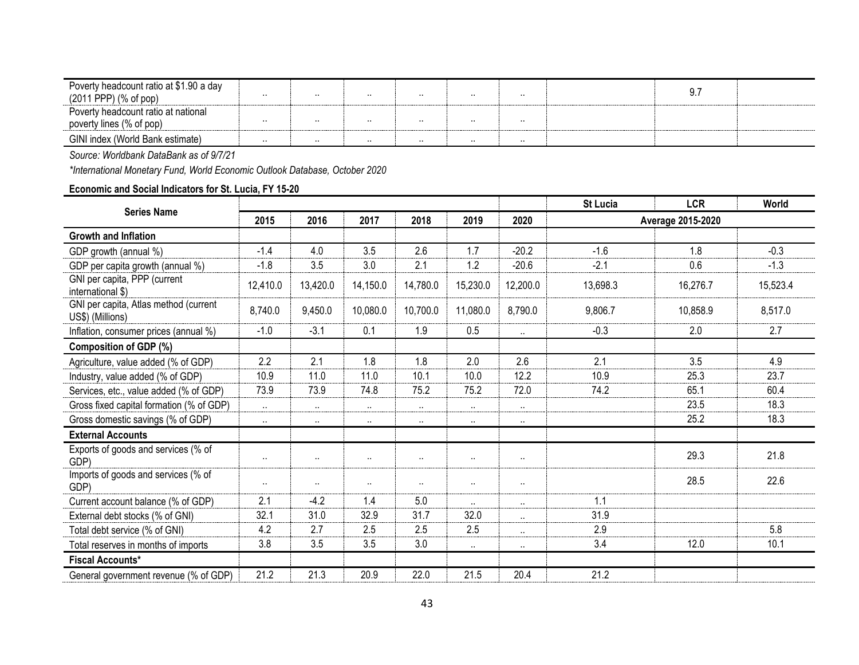| Poverty headcount ratio at \$1.90 a day |          |          |          |     |          |          | ч  |  |
|-----------------------------------------|----------|----------|----------|-----|----------|----------|----|--|
| $(2011$ PPP $)$ $(\%$ of pop $)$        | $\cdots$ |          | $\cdots$ | . . | $\cdots$ | $\cdots$ | v. |  |
| Poverty headcount ratio at national     |          |          |          |     |          |          |    |  |
| poverty lines (% of pop)                | $\cdots$ | $\cdots$ | $\cdots$ | . . | $\cdots$ | $\cdots$ |    |  |
| GINI index (World Bank estimate)        | $\cdots$ | . .      | . .      | . . | $\cdots$ | $\cdots$ |    |  |

*\*International Monetary Fund, World Economic Outlook Database, October 2020*

## **Economic and Social Indicators for St. Lucia, FY 15-20**

| <b>Series Name</b>                                        |           |          |          |          |           |              | <b>St Lucia</b>   | <b>LCR</b> | World    |  |
|-----------------------------------------------------------|-----------|----------|----------|----------|-----------|--------------|-------------------|------------|----------|--|
|                                                           | 2015      | 2016     | 2017     | 2018     | 2019      | 2020         | Average 2015-2020 |            |          |  |
| <b>Growth and Inflation</b>                               |           |          |          |          |           |              |                   |            |          |  |
| GDP growth (annual %)                                     | $-1.4$    | 4.0      | 3.5      | 2.6      | 1.7       | $-20.2$      | $-1.6$            | 1.8        | $-0.3$   |  |
| GDP per capita growth (annual %)                          | $-1.8$    | 3.5      | 3.0      | 2.1      | 1.2       | $-20.6$      | $-2.1$            | 0.6        | $-1.3$   |  |
| GNI per capita, PPP (current<br>international \$)         | 12,410.0  | 13,420.0 | 14,150.0 | 14,780.0 | 15,230.0  | 12,200.0     | 13,698.3          | 16,276.7   | 15,523.4 |  |
| GNI per capita, Atlas method (current<br>US\$) (Millions) | 8,740.0   | 9,450.0  | 10,080.0 | 10,700.0 | 11,080.0  | 8,790.0      | 9,806.7           | 10,858.9   | 8,517.0  |  |
| Inflation, consumer prices (annual %)                     | $-1.0$    | $-3.1$   | 0.1      | 1.9      | 0.5       | $\ldots$     | $-0.3$            | 2.0        | 2.7      |  |
| <b>Composition of GDP (%)</b>                             |           |          |          |          |           |              |                   |            |          |  |
| Agriculture, value added (% of GDP)                       | 2.2       | 2.1      | 1.8      | 1.8      | 2.0       | 2.6          | 2.1               | 3.5        | 4.9      |  |
| Industry, value added (% of GDP)                          | 10.9      | 11.0     | 11.0     | 10.1     | 10.0      | 12.2         | 10.9              | 25.3       | 23.7     |  |
| Services, etc., value added (% of GDP)                    | 73.9      | 73.9     | 74.8     | 75.2     | 75.2      | 72.0         | 74.2              | 65.1       | 60.4     |  |
| Gross fixed capital formation (% of GDP)                  | $\ldots$  | $\sim$   | $\ldots$ | $\ldots$ | $\ldots$  | $\ldots$     |                   | 23.5       | 18.3     |  |
| Gross domestic savings (% of GDP)                         | $\ddotsc$ | $\sim$   | $\cdots$ | $\ldots$ | $\cdots$  | $\cdots$     |                   | 25.2       | 18.3     |  |
| <b>External Accounts</b>                                  |           |          |          |          |           |              |                   |            |          |  |
| Exports of goods and services (% of<br>GDP)               | $\cdot$ . | $\sim$   | $\cdots$ | $\ldots$ | $\cdots$  | $\cdot\cdot$ |                   | 29.3       | 21.8     |  |
| Imports of goods and services (% of<br>GDP)               | $\cdots$  | $\cdots$ | $\cdots$ | ٠.       | $\cdots$  | $\cdot\cdot$ |                   | 28.5       | 22.6     |  |
| Current account balance (% of GDP)                        | 2.1       | $-4.2$   | 1.4      | 5.0      | $\cdot$ . | $\ddotsc$    | 1.1               |            |          |  |
| External debt stocks (% of GNI)                           | 32.1      | 31.0     | 32.9     | 31.7     | 32.0      | $\ldots$     | 31.9              |            |          |  |
| Total debt service (% of GNI)                             | 4.2       | 2.7      | 2.5      | 2.5      | 2.5       | $\cdots$     | 2.9               |            | 5.8      |  |
| Total reserves in months of imports                       | 3.8       | 3.5      | 3.5      | 3.0      | $\cdots$  | $\ldots$     | 3.4               | 12.0       | 10.1     |  |
| <b>Fiscal Accounts*</b>                                   |           |          |          |          |           |              |                   |            |          |  |
| General government revenue (% of GDP)                     | 21.2      | 21.3     | 20.9     | 22.0     | 21.5      | 20.4         | 21.2              |            |          |  |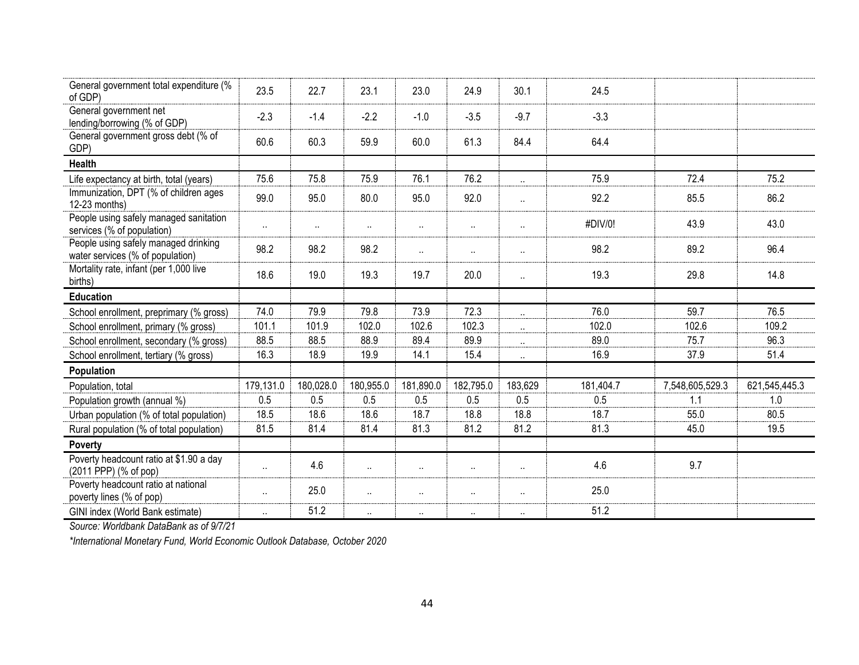| General government total expenditure (%<br>of GDP)                       | 23.5                 | 22.7      | 23.1                 | 23.0                 | 24.9      | 30.1                 | 24.5      |                 |               |
|--------------------------------------------------------------------------|----------------------|-----------|----------------------|----------------------|-----------|----------------------|-----------|-----------------|---------------|
| General government net<br>lending/borrowing (% of GDP)                   | $-2.3$               | $-1.4$    | $-2.2$               | $-1.0$               | $-3.5$    | $-9.7$               | $-3.3$    |                 |               |
| General government gross debt (% of<br>GDP)                              | 60.6                 | 60.3      | 59.9                 | 60.0                 | 61.3      | 84.4                 | 64.4      |                 |               |
| <b>Health</b>                                                            |                      |           |                      |                      |           |                      |           |                 |               |
| Life expectancy at birth, total (years)                                  | 75.6                 | 75.8      | 75.9                 | 76.1                 | 76.2      | $\ldots$             | 75.9      | 72.4            | 75.2          |
| Immunization, DPT (% of children ages<br>12-23 months)                   | 99.0                 | 95.0      | 80.0                 | 95.0                 | 92.0      | $\ddot{\phantom{a}}$ | 92.2      | 85.5            | 86.2          |
| People using safely managed sanitation<br>services (% of population)     | $\ddot{\phantom{a}}$ | $\sim$    | $\ddot{\phantom{1}}$ | $\ddot{\phantom{1}}$ | $\ldots$  | $\ddotsc$            | #DIV/0!   | 43.9            | 43.0          |
| People using safely managed drinking<br>water services (% of population) | 98.2                 | 98.2      | 98.2                 | $\ldots$             | $\ldots$  | $\cdot$ .            | 98.2      | 89.2            | 96.4          |
| Mortality rate, infant (per 1,000 live<br>births)                        | 18.6                 | 19.0      | 19.3                 | 19.7                 | 20.0      | $\ddot{\phantom{a}}$ | 19.3      | 29.8            | 14.8          |
| <b>Education</b>                                                         |                      |           |                      |                      |           |                      |           |                 |               |
| School enrollment, preprimary (% gross)                                  | 74.0                 | 79.9      | 79.8                 | 73.9                 | 72.3      | $\ddotsc$            | 76.0      | 59.7            | 76.5          |
| School enrollment, primary (% gross)                                     | 101.1                | 101.9     | 102.0                | 102.6                | 102.3     | $\ldots$             | 102.0     | 102.6           | 109.2         |
| School enrollment, secondary (% gross)                                   | 88.5                 | 88.5      | 88.9                 | 89.4                 | 89.9      | $\ldots$             | 89.0      | 75.7            | 96.3          |
| School enrollment, tertiary (% gross)                                    | 16.3                 | 18.9      | 19.9                 | 14.1                 | 15.4      | $\ddotsc$            | 16.9      | 37.9            | 51.4          |
| Population                                                               |                      |           |                      |                      |           |                      |           |                 |               |
| Population, total                                                        | 179,131.0            | 180,028.0 | 180,955.0            | 181,890.0            | 182,795.0 | 183,629              | 181,404.7 | 7,548,605,529.3 | 621,545,445.3 |
| Population growth (annual %)                                             | 0.5                  | 0.5       | 0.5                  | 0.5                  | 0.5       | 0.5                  | 0.5       | 1.1             | 1.0           |
| Urban population (% of total population)                                 | 18.5                 | 18.6      | 18.6                 | 18.7                 | 18.8      | 18.8                 | 18.7      | 55.0            | 80.5          |
| Rural population (% of total population)                                 | 81.5                 | 81.4      | 81.4                 | 81.3                 | 81.2      | 81.2                 | 81.3      | 45.0            | 19.5          |
| <b>Poverty</b>                                                           |                      |           |                      |                      |           |                      |           |                 |               |
| Poverty headcount ratio at \$1.90 a day<br>(2011 PPP) (% of pop)         | Ω.                   | 4.6       | $\ldots$             | $\ddot{\phantom{a}}$ | $\cdot$ . | $\cdot$ .            | 4.6       | 9.7             |               |
| Poverty headcount ratio at national<br>poverty lines (% of pop)          | $\cdot$              | 25.0      | $\cdots$             | $\ddot{\phantom{a}}$ | $\ldots$  | $\cdot$ .            | 25.0      |                 |               |
| GINI index (World Bank estimate)                                         | $\cdot$              | 51.2      | $\cdots$             | $\cdots$             | $\cdots$  | $\cdot$ .            | 51.2      |                 |               |

*\*International Monetary Fund, World Economic Outlook Database, October 2020*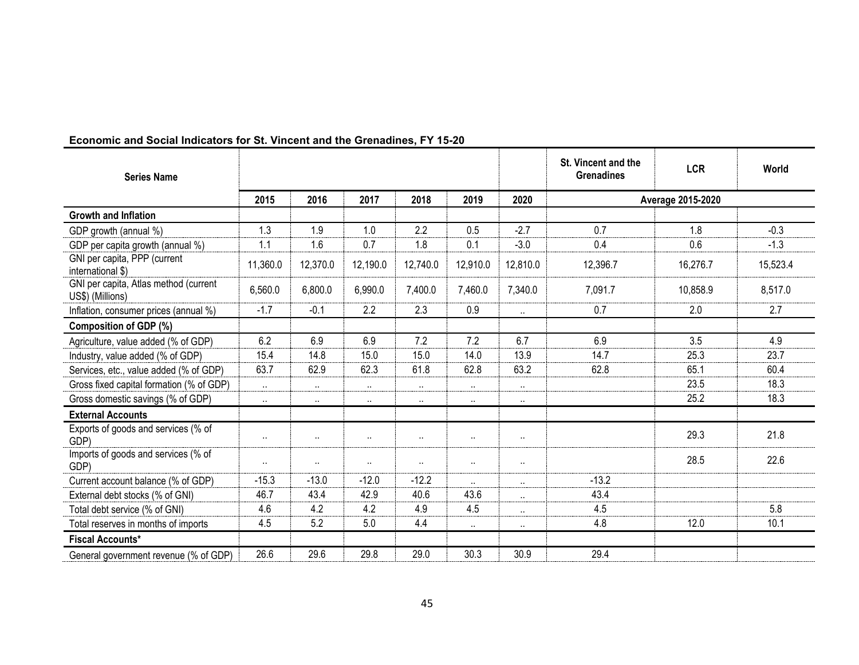| <b>Series Name</b>                                        |           |          |          |                      |           |           | St. Vincent and the<br><b>Grenadines</b> | <b>LCR</b>        | World    |
|-----------------------------------------------------------|-----------|----------|----------|----------------------|-----------|-----------|------------------------------------------|-------------------|----------|
|                                                           | 2015      | 2016     | 2017     | 2018                 | 2019      | 2020      |                                          | Average 2015-2020 |          |
| <b>Growth and Inflation</b>                               |           |          |          |                      |           |           |                                          |                   |          |
| GDP growth (annual %)                                     | 1.3       | 1.9      | 1.0      | 2.2                  | 0.5       | $-2.7$    | 0.7                                      | 1.8               | $-0.3$   |
| GDP per capita growth (annual %)                          | 1.1       | 1.6      | 0.7      | 1.8                  | 0.1       | $-3.0$    | 0.4                                      | 0.6               | $-1.3$   |
| GNI per capita, PPP (current<br>international \$)         | 11,360.0  | 12,370.0 | 12,190.0 | 12,740.0             | 12,910.0  | 12,810.0  | 12,396.7                                 | 16,276.7          | 15,523.4 |
| GNI per capita, Atlas method (current<br>US\$) (Millions) | 6,560.0   | 6,800.0  | 6,990.0  | 7,400.0              | 7,460.0   | 7,340.0   | 7,091.7                                  | 10,858.9          | 8,517.0  |
| Inflation, consumer prices (annual %)                     | $-1.7$    | $-0.1$   | 2.2      | 2.3                  | 0.9       | $\ldots$  | 0.7                                      | 2.0               | 2.7      |
| Composition of GDP (%)                                    |           |          |          |                      |           |           |                                          |                   |          |
| Agriculture, value added (% of GDP)                       | 6.2       | 6.9      | 6.9      | 7.2                  | 7.2       | 6.7       | 6.9                                      | 3.5               | 4.9      |
| Industry, value added (% of GDP)                          | 15.4      | 14.8     | 15.0     | 15.0                 | 14.0      | 13.9      | 14.7                                     | 25.3              | 23.7     |
| Services, etc., value added (% of GDP)                    | 63.7      | 62.9     | 62.3     | 61.8                 | 62.8      | 63.2      | 62.8                                     | 65.1              | 60.4     |
| Gross fixed capital formation (% of GDP)                  | $\ldots$  | $\sim$   | $\ldots$ | $\cdot$ .            | $\ldots$  | $\cdot$ . |                                          | 23.5              | 18.3     |
| Gross domestic savings (% of GDP)                         | $\ldots$  | $\sim$   | $\cdots$ | $\sim$               | $\cdots$  | $\cdots$  |                                          | 25.2              | 18.3     |
| <b>External Accounts</b>                                  |           |          |          |                      |           |           |                                          |                   |          |
| Exports of goods and services (% of<br>GDP)               | $\cdot$ . | $\cdots$ | $\cdots$ | $\ddot{\phantom{a}}$ | $\cdot$ . | $\cdot$ . |                                          | 29.3              | 21.8     |
| Imports of goods and services (% of<br>GDP)               | $\cdot$   | $\cdots$ | $\ldots$ | $\ddot{\phantom{a}}$ | $\cdots$  | $\cdot$ . |                                          | 28.5              | 22.6     |
| Current account balance (% of GDP)                        | $-15.3$   | $-13.0$  | $-12.0$  | $-12.2$              | $\ldots$  | $\ldots$  | $-13.2$                                  |                   |          |
| External debt stocks (% of GNI)                           | 46.7      | 43.4     | 42.9     | 40.6                 | 43.6      | $\cdot$ . | 43.4                                     |                   |          |
| Total debt service (% of GNI)                             | 4.6       | 4.2      | 4.2      | 4.9                  | 4.5       | $\ldots$  | 4.5                                      |                   | 5.8      |
| Total reserves in months of imports                       | 4.5       | 5.2      | 5.0      | 4.4                  | $\cdots$  | $\ldots$  | 4.8                                      | 12.0              | 10.1     |
| <b>Fiscal Accounts*</b>                                   |           |          |          |                      |           |           |                                          |                   |          |
| General government revenue (% of GDP)                     | 26.6      | 29.6     | 29.8     | 29.0                 | 30.3      | 30.9      | 29.4                                     |                   |          |

# **Economic and Social Indicators for St. Vincent and the Grenadines, FY 15-20**